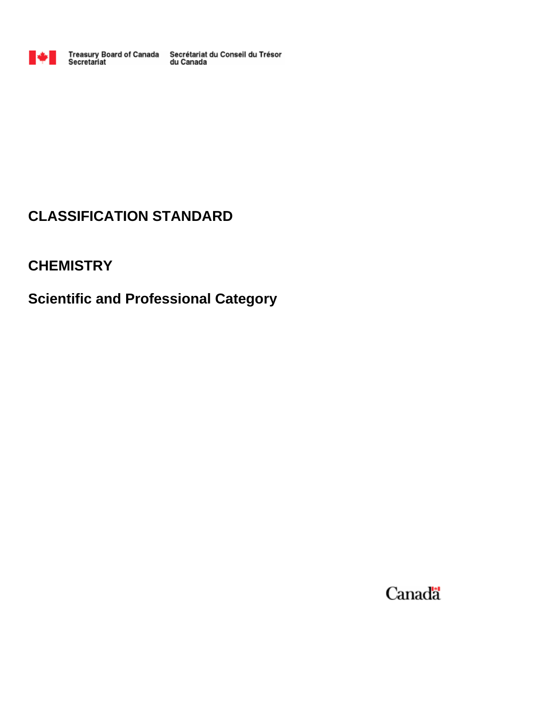

Treasury Board of Canada Secrétariat du Conseil du Trésor<br>Secretariat du Canada

# **CLASSIFICATION STANDARD**

# **CHEMISTRY**

# **Scientific and Professional Category**

Canada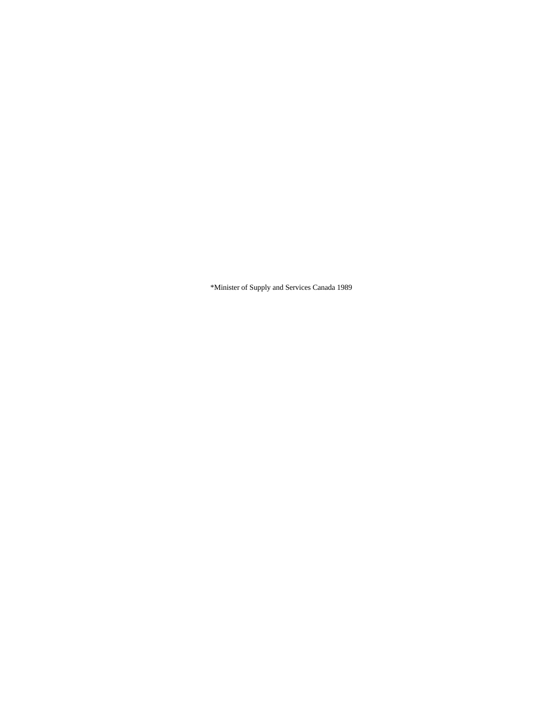\*Minister of Supply and Services Canada 1989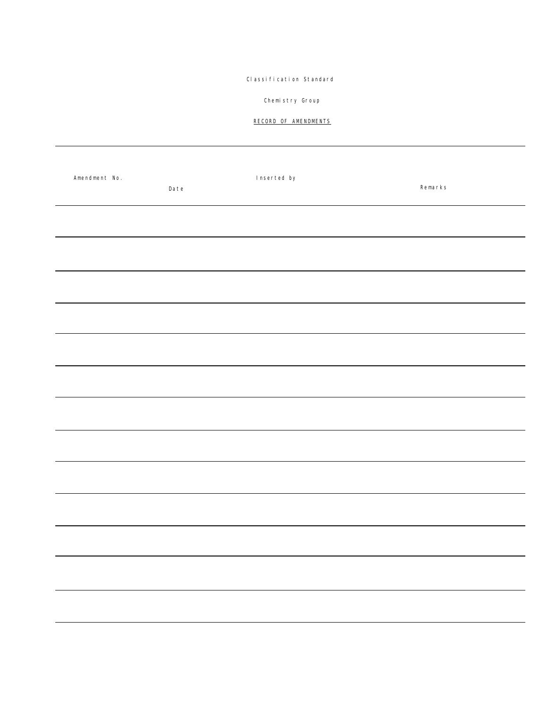# Classification Standard

# Chemistry Group

# RECORD OF AMENDMENTS

| Amendment No. | Date | Inserted by | Remarks |
|---------------|------|-------------|---------|
|               |      |             |         |
|               |      |             |         |
|               |      |             |         |
|               |      |             |         |
|               |      |             |         |
|               |      |             |         |
|               |      |             |         |
|               |      |             |         |
|               |      |             |         |
|               |      |             |         |
|               |      |             |         |
|               |      |             |         |
|               |      |             |         |
|               |      |             |         |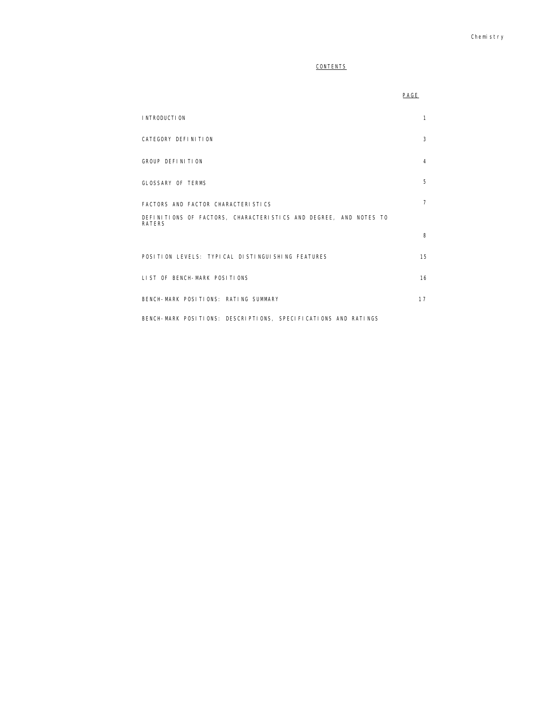# **CONTENTS**

|                                                                                   | PAGE           |  |
|-----------------------------------------------------------------------------------|----------------|--|
| <b>INTRODUCTION</b>                                                               | $\mathbf{1}$   |  |
| CATEGORY DEFINITION                                                               | 3              |  |
| GROUP DEFINITION                                                                  | 4              |  |
| GLOSSARY OF TERMS                                                                 | 5              |  |
| FACTORS AND FACTOR CHARACTERISTICS                                                | $\overline{7}$ |  |
| DEFINITIONS OF FACTORS, CHARACTERISTICS AND DEGREE, AND NOTES TO<br><b>RATERS</b> |                |  |
|                                                                                   | 8              |  |
| POSITION LEVELS: TYPICAL DISTINGUISHING FEATURES                                  | 15             |  |
| LIST OF BENCH-MARK POSITIONS                                                      | 16             |  |
| BENCH-MARK POSITIONS: RATING SUMMARY                                              | 17             |  |
| BENCH-MARK POSITIONS: DESCRIPTIONS, SPECIFICATIONS AND RATINGS                    |                |  |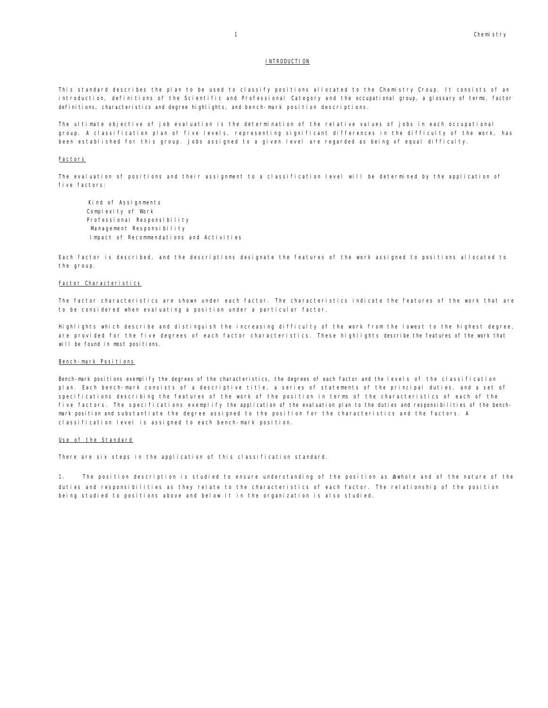#### INTRODUCTION

This standard describes the plan to be used to classify positions allocated to the Chemistry Croup. It consists of an introduction, definitions of the Scientific and Professional Category and the occupational group, a glossary of terms, factor definitions, characteristics and degree highlights, and bench-mark position descriptions.

The ultimate objective of job evaluation is the determination of the relative values of jobs in each occupational group. A classification plan of five levels, representing significant differences in the difficulty of the work, has been established for this group. Jobs assigned to a given level are regarded as being of equal difficulty.

#### **Factors**

The evaluation of positions and their assignment to a classification level will be determined by the application of five factors:

Kind of Assignments Complexity of Work Professional Responsibility Management Responsibility Impact of Recommendations and Activities

Each factor is described, and the descriptions designate the features of the work assigned to positions allocated to the group.

#### Factor Characteristics

The factor characteristics are shown under each factor. The characteristics indicate the features of the work that are to be considered when evaluating a position under a particular factor.

Highlights which describe and distinguish the increasing difficulty of the work from the lowest to the highest degree, are provided for the five degrees of each factor characteristics. These highlights describe the features of the work that will be found in most positions.

#### Bench-mark Positions

Bench-mark positions exemplify the degrees of the characteristics, the degrees of each factor and the levels of the classification plan. Each bench-mark consists of a descriptive title, a series of statements of the principal duties, and a set of specifications describing the features of the work of the position in terms of the characteristics of each of the five factors. The specifications exemplify the application of the evaluation plan to the duties and responsibilities of the benchmark position and substantiate the degree assigned to the position for the characteristics and the factors. A classification level is assigned to each bench-mark position.

#### Use of the Standard

There are six steps in the application of this classification standard.

1. The position description is studied to ensure understanding of the position as a whole and of the nature of the duties and responsibilities as they relate to the characteristics of each factor. The relationship of the position being studied to positions above and below it in the organization is also studied.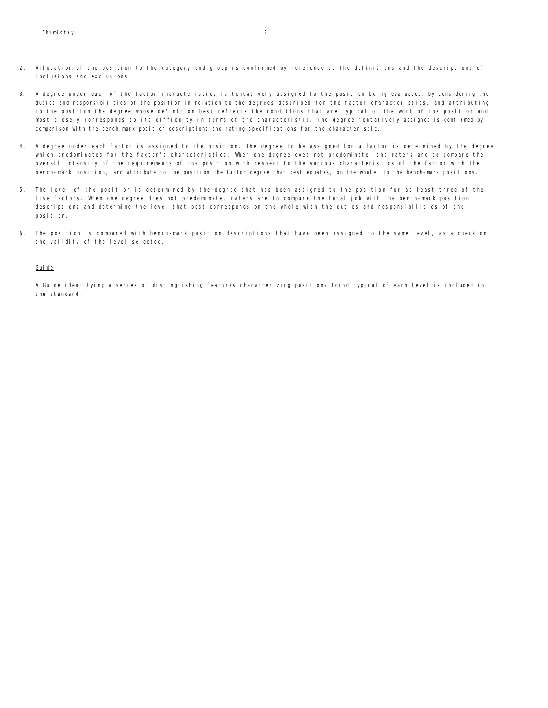- 2. Allocation of the position to the category and group is confirmed by reference to the definitions and the descriptions of inclusions and exclusions.
- 3. A degree under each of the factor characteristics is tentatively assigned to the position being evaluated, by considering the duties and responsibilities of the position in relation to the degrees described for the factor characteristics, and attributing to the position the degree whose definition best reflects the conditions that are typical of the work of the position and most closely corresponds to its difficulty in terms of the characteristic. The degree tentatively assigned is confirmed by comparison with the bench-mark position descriptions and rating specifications for the characteristic.
- 4. A degree under each factor is assigned to the position. The degree to be assigned for a factor is determined by the degree which predominates for the factor's characteristics. When one degree does not predominate, the raters are to compare the overall intensity of the requirements of the position with respect to the various characteristics of the factor with the bench-mark position, and attribute to the position the factor degree that best equates, on the whole, to the bench-mark positions.
- 5. The level of the position is determined by the degree that has been assigned to the position for at least three of the five factors. When one degree does not predominate, raters are to compare the total job with the bench-mark position descriptions and determine the level that best corresponds on the whole with the duties and responsibilities of the position.
- 6. The position is compared with bench-mark position descriptions that have been assigned to the same level, as a check on the validity of the level selected.

#### Guide

A Guide identifying a series of distinguishing features characterizing positions found typical of each level is included in the standard.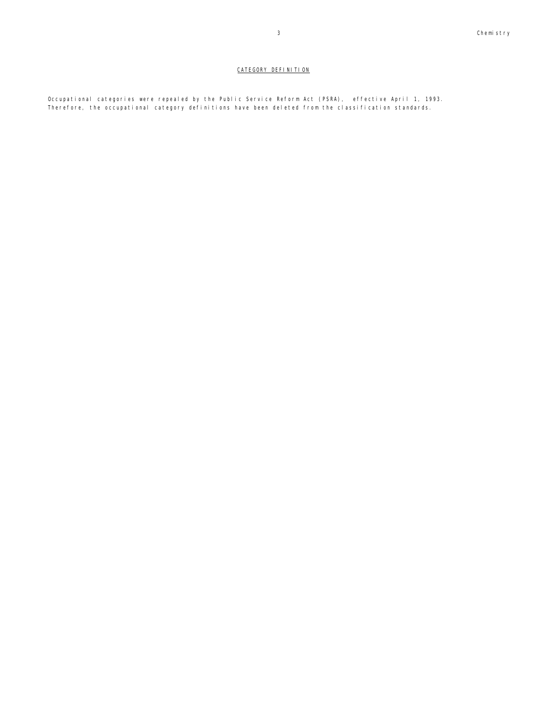# CATEGORY DEFINITION

Occupational categories were repealed by the Public Service Reform Act (PSRA), effective April 1, 1993. Therefore, the occupational category definitions have been deleted from the classification standards.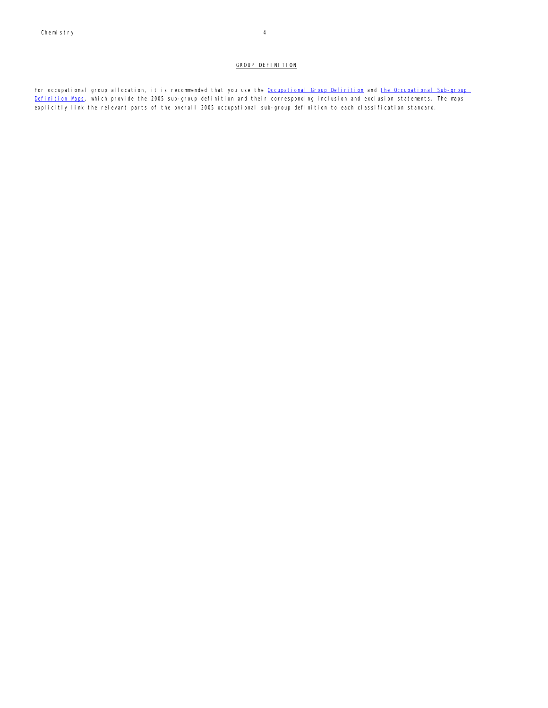#### GROUP DEFINITION

For occupational group allocation, it is recommended that you use the Occupational Group Definition and the Occupational Sub-group Definition Maps, which provide the 2005 sub-group definition and their corresponding inclusion and exclusion statements. The maps explicitly link the relevant parts of the overall 2005 occupational sub-group definition to each classification standard.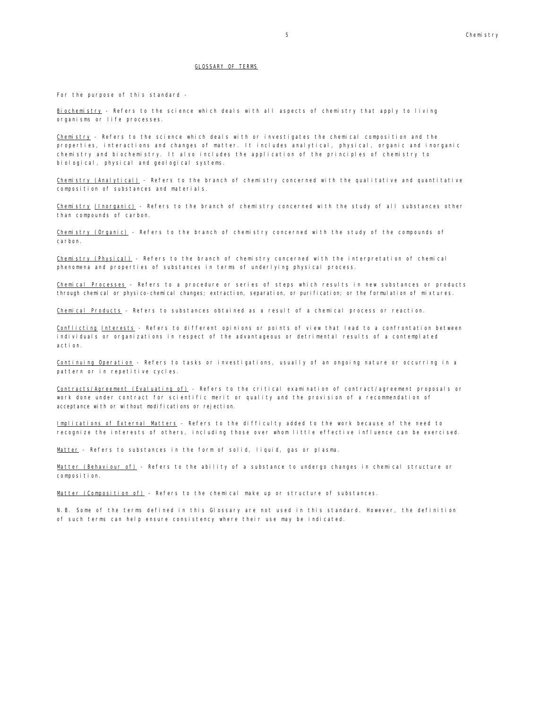#### GLOSSARY OF TERMS

For the purpose of this standard -

Biochemistry - Refers to the science which deals with all aspects of chemistry that apply to living organisms or life processes.

Chemistry - Refers to the science which deals with or investigates the chemical composition and the properties, interactions and changes of matter. It includes analytical, physical, organic and inorganic chemistry and biochemistry. It also includes the application of the principles of chemistry to biological, physical and geological systems.

Chemistry (Analytical) - Refers to the branch of chemistry concerned with the qualitative and quantitative composition of substances and materials.

Chemistry (Inorganic) - Refers to the branch of chemistry concerned with the study of all substances other than compounds of carbon.

Chemistry (Organic) - Refers to the branch of chemistry concerned with the study of the compounds of carbon.

Chemistry (Physical) - Refers to the branch of chemistry concerned with the interpretation of chemical phenomena and properties of substances in terms of underlying physical process.

Chemical Processes - Refers to a procedure or series of steps which results in new substances or products through chemical or physico-chemical changes; extraction, separation, or purification; or the formulation of mixtures.

Chemical Products - Refers to substances obtained as a result of a chemical process or reaction.

Conflicting Interests - Refers to different opinions or points of view that lead to a confrontation between individuals or organizations in respect of the advantageous or detrimental results of a contemplated action.

Continuing Operation - Refers to tasks or investigations, usually of an ongoing nature or occurring in a pattern or in repetitive cycles.

Contracts/Agreement (Evaluating of) - Refers to the critical examination of contract/agreement proposals or work done under contract for scientific merit or quality and the provision of a recommendation of acceptance with or without modifications or rejection.

Implications of External Matters - Refers to the difficulty added to the work because of the need to recognize the interests of others, including those over whom little effective influence can be exercised.

Matter - Refers to substances in the form of solid, liquid, gas or plasma.

Matter (Behaviour of) - Refers to the ability of a substance to undergo changes in chemical structure or composition.

Matter (Composition of) - Refers to the chemical make up or structure of substances.

N.B. Some of the terms defined in this Glossary are not used in this standard. However, the definition of such terms can help ensure consistency where their use may be indicated.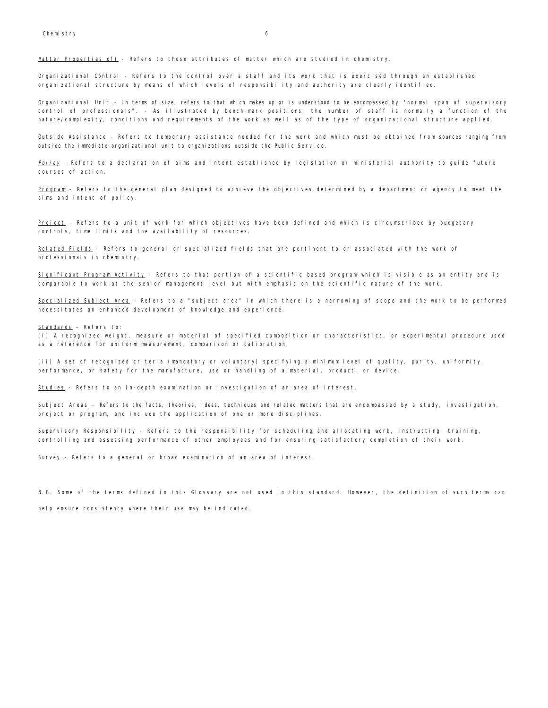Matter Properties of) - Refers to those attributes of matter which are studied in chemistry.

Organizational Control - Refers to the control over a staff and its work that is exercised through an established organizational structure by means of which levels of responsibility and authority are clearly identified.

Organizational Unit - In terms of size, refers to that which makes up or is understood to be encompassed by "normal span of supervisory control of professionals". - As illustrated by bench-mark positions, the number of staff is normally a function of the nature/complexity, conditions and requirements of the work as well as of the type of organizational structure applied.

Outside Assistance - Refers to temporary assistance needed for the work and which must be obtained from sources ranging from outside the immediate organizational unit to organizations outside the Public Service.

Policy - Refers to a declaration of aims and intent established by legislation or ministerial authority to guide future courses of action.

Program - Refers to the general plan designed to achieve the objectives determined by a department or agency to meet the aims and intent of policy.

Project - Refers to a unit of work for which objectives have been defined and which is circumscribed by budgetary controls, time limits and the availability of resources.

Related Fields - Refers to general or specialized fields that are pertinent to or associated with the work of professionals in chemistry.

Significant Program Activity - Refers to that portion of a scientific based program which is visible as an entity and is comparable to work at the senior management level but with emphasis on the scientific nature of the work.

Specialized Subject Area - Refers to a "subject area" in which there is a narrowing of scope and the work to be performed necessitates an enhanced development of knowledge and experience.

Standards - Refers to:

(i) A recognized weight, measure or material of specified composition or characteristics, or experimental procedure used as a reference for uniform measurement, comparison or calibration;

(ii) A set of recognized criteria (mandatory or voluntary) specifying a minimum level of quality, purity, uniformity, performance, or safety for the manufacture, use or handling of a material, product, or device.

Studies - Refers to an in-depth examination or investigation of an area of interest.

Subject Areas - Refers to the facts, theories, ideas, techniques and related matters that are encompassed by a study, investigation, project or program, and include the application of one or more disciplines.

Supervisory Responsibility - Refers to the responsibility for scheduling and allocating work, instructing, training, controlling and assessing performance of other employees and for ensuring satisfactory completion of their work.

Survey - Refers to a general or broad examination of an area of interest.

N.B. Some of the terms defined in this Glossary are not used in this standard. However, the definition of such terms can

help ensure consistency where their use may be indicated.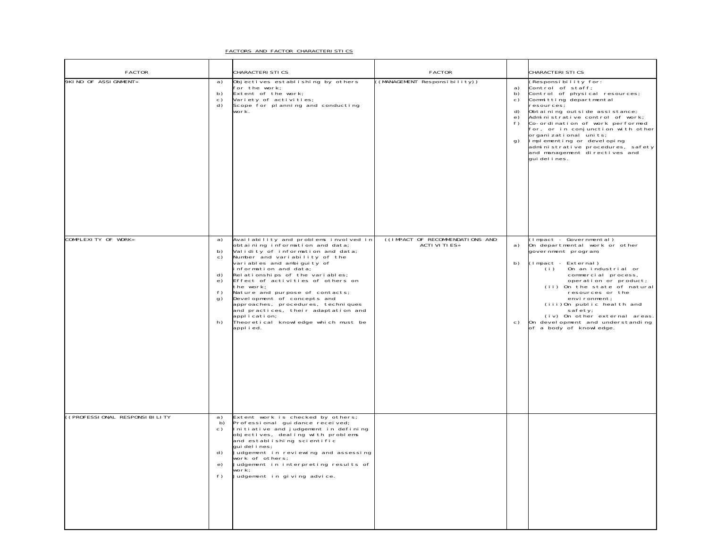#### FACTORS AND FACTOR CHARACTERISTICS

| FACTOR                        |                                              | CHARACTERI STI CS                                                                                                                                                                                                                                                                                                                                                                                                                                                                                            | <b>FACTOR</b>                                            |                                                                    | CHARACTERI STI CS                                                                                                                                                                                                                                                                                                                                                                                               |
|-------------------------------|----------------------------------------------|--------------------------------------------------------------------------------------------------------------------------------------------------------------------------------------------------------------------------------------------------------------------------------------------------------------------------------------------------------------------------------------------------------------------------------------------------------------------------------------------------------------|----------------------------------------------------------|--------------------------------------------------------------------|-----------------------------------------------------------------------------------------------------------------------------------------------------------------------------------------------------------------------------------------------------------------------------------------------------------------------------------------------------------------------------------------------------------------|
| 9KIND OF ASSIGNMENT»          | a)<br>b)<br>C)<br>d)                         | Objectives establishing by others<br>for the work;<br>Extent of the work;<br>Variety of activities;<br>Scope for planning and conducting<br>work.                                                                                                                                                                                                                                                                                                                                                            | ((MANAGEMENT Responsibility))                            | a)<br>b)<br>c)<br>d)<br>$\begin{matrix} e \\ f \end{matrix}$<br>g) | (Responsibility for:<br>Control of staff;<br>Control of physical resources;<br>Committing departmental<br>resources;<br>Obtaining outside assistance;<br>Administrative control of work;<br>Co-ordination of work performed<br>for, or in conjunction with other<br>organi zati onal uni ts;<br>Implementing or developing<br>administrative procedures, safety<br>and management directives and<br>quidelines. |
| COMPLEXITY OF WORK»           | a)<br>b)<br>c)<br>d)<br>e)<br>f)<br>g)<br>h) | Availability and problems involved in<br>obtaining information and data;<br>Validity of information and data;<br>Number and variability of the<br>variables and ambiguity of<br>information and data;<br>Relationships of the variables;<br>Effect of activities of others on<br>the work;<br>Nature and purpose of contacts;<br>Development of concepts and<br>approaches, procedures, techniques<br>and practices, their adaptation and<br>application;<br>Theoretical knowledge which must be<br>applied. | ((IMPACT OF RECOMMENDATIONS AND<br><b>ACTI VI TI ES»</b> | a)<br>b)<br>C)                                                     | (Impact - Governmental)<br>On departmental work or other<br>government program;<br>(Impact - External)<br>On an industrial or<br>(i)<br>commercial process,<br>operation or product;<br>(ii) On the state of natural<br>resources or the<br>environment;<br>(iii)On public health and<br>safety;<br>(iv) On other external areas.<br>On development and understanding<br>of a body of knowledge.                |
| ((PROFESSIONAL RESPONSIBILITY | a)<br>b)<br>c)<br>d)<br>e)<br>f)             | Extent work is checked by others;<br>Professional guidance received;<br>Initiative and judgement in defining<br>objectives, dealing with problems<br>and establishing scientific<br>qui del i nes;<br>Uudgement in reviewing and assessing<br>work of others;<br>Judgement in interpreting results of<br>work;<br>Judgement in giving advice.                                                                                                                                                                |                                                          |                                                                    |                                                                                                                                                                                                                                                                                                                                                                                                                 |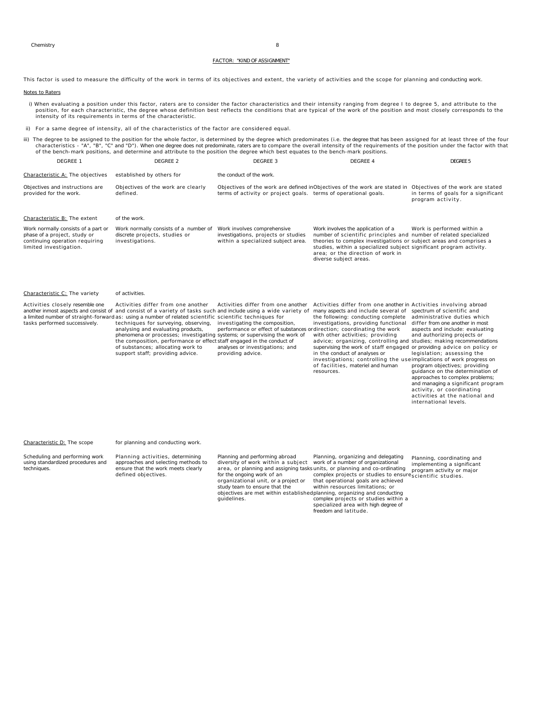#### FACTOR: "KIND OF ASSIGNMENT"

This factor is used to measure the difficulty of the work in terms of its objectives and extent, the variety of activities and the scope for planning and conducting work.

#### Notes to Raters

- i) When evaluating a position under this factor, raters are to consider the factor characteristics and their intensity ranging from degree I to degree 5, and attribute to the position, for each characteristic, the degree whose definition best reflects the conditions that are typical of the work of the position and most closely corresponds to the intensity of its requirements in terms of the characteristic.
- ii) For a same degree of intensity, all of the characteristics of the factor are considered equal.
- iii) The degree to be assigned to the position for the whole factor, is determined by the degree which predominates (i.e. the degree that has been assigned for at least three of the four characteristics - "A", "B", "C" and "D"). When one degree does not predominate, raters are to compare the overall intensity of the requirements of the position under the factor with that<br>of the bench-mark positions, and de DEGREE 1 DEGREE 2 DEGREE 3 DEGREE 4 DEGREE 5 Characteristic A: The objectives established by others for the conduct of the work. Objectives and instructions are provided for the work. Objectives of the work are clearly defined. Objectives of the work are defined inObjectives of the work are stated in Objectives of the work are stated terms of activity or project goals. terms of operational goals. in terms of goals for a significant program activity. Characteristic B: The extent of the work. Work normally consists of a part or phase of a project, study or continuing operation requiring limited investigation. Work normally consists of a number of Work involves comprehensive discrete projects, studies or investigations. investigations, projects or studies within a specialized subject area. Work involves the application of a number of scientific principles and number of related specialized theories to complex investigations or subject areas and comprises a studies, within a specialized subject area; or the direction of work in significant program activity. diverse subject areas. Work is performed within a Characteristic C: The variety of activities. Activities closely resemble one another inmost aspects and consist of and consist of a variety of tasks such and include using a wide variety of<br>a limited number of straight-forward as: using a number of related scientific scientific techniques for tasks performed successively. Activities differ from one another techniques for surveying, observing, investigating the composition, analysing and evaluating products, phenomena or processes; investigating systems; or supervising the work of the composition, performance or effect staff engaged in the conduct of<br>of substances; allocating work to analyses or investigations; and support staff; providing advice. Activities differ from one another performance or effect of substances ordirection; coordinating the work providing advice. Activities differ from one another in Activities involving abroad many aspects and include several of spectrum of scientific and the following: conducting complete investigations, providing functional with other activities; providing advice; organizing, controlling and studies; making recommendations<br>supervising the work of staff engaged or providing advice on policy or in the conduct of analyses or investigations; controlling the use implications of work progress on of facilities, materiel and human resources. administrative duties which differ from one another in most aspects and include: evaluating and authorizing projects or legislation; assessing the program objectives; providing guidance on the determination of approaches to complex problems; and managing a significant program activity, or coordinating activities at the national and international levels. Characteristic D: The scope for planning and conducting work. Scheduling and performing work using standardized procedures and techniques. Planning activities, determining approaches and selecting methods to ensure that the work meets clearly defined objectives. Planning and performing abroad diversity of work within a subject area, or planning and assigning tasks units, or planning and co-ordinating for the ongoing work of an organizational unit, or a project or study team to ensure that the objectives are met within established planning, organizing and conducting guidelines. Planning, organizing and delegating work of a number of organizational complex projects or studies to ensure scientific studies. that operational goals are achieved within resources limitations; or complex projects or studies within a Planning, coordinating and implementing a significant program activity or major

specialized area with high degree of

freedom and latitude.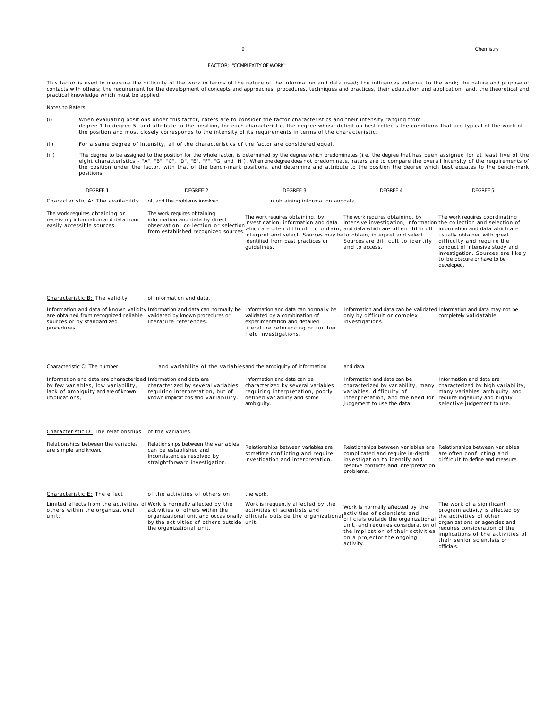officials.

### FACTOR: "COMPLEXITY OF WORK"

This factor is used to measure the difficulty of the work in terms of the nature of the information and data used; the influences external to the work; the nature and purpose of contacts with others; the requirement for the development of concepts and approaches, procedures, techniques and practices, their adaptation and application; and, the theoretical and practical knowledge which must be applied.

#### Notes to Raters

- (i) When evaluating positions under this factor, raters are to consider the factor characteristics and their intensity ranging from<br>degree 1 to degree 5, and attribute to the position, for each characteristic, the degree w the position and most closely corresponds to the intensity of its requirements in terms of the characteristic.
- (ii) For a same degree of intensity, all of the characteristics of the factor are considered equal.
- iii) The degree to be assigned to the position for the whole factor, is determined by the degree which predominates (i.e. the degree that has been assigned for at least five of the<br>eight characteristics "A", "B", "C", "D positions.

| DEGREE 1                                                                                                                                                                                           | <b>DEGREE 2</b>                                                                                                                              | <b>DEGREE 3</b>                                                                                                                                                                                                                                                               | <b>DEGREE 4</b>                                                                                                                                                                                                                   | <b>DEGREE 5</b>                                                                                                                                                                                                                                   |  |  |
|----------------------------------------------------------------------------------------------------------------------------------------------------------------------------------------------------|----------------------------------------------------------------------------------------------------------------------------------------------|-------------------------------------------------------------------------------------------------------------------------------------------------------------------------------------------------------------------------------------------------------------------------------|-----------------------------------------------------------------------------------------------------------------------------------------------------------------------------------------------------------------------------------|---------------------------------------------------------------------------------------------------------------------------------------------------------------------------------------------------------------------------------------------------|--|--|
| Characteristic A: The availability                                                                                                                                                                 | of, and the problems involved                                                                                                                | in obtaining information anddata.                                                                                                                                                                                                                                             |                                                                                                                                                                                                                                   |                                                                                                                                                                                                                                                   |  |  |
| The work requires obtaining or<br>receiving information and data from<br>easily accessible sources.                                                                                                | The work requires obtaining<br>information and data by direct<br>observation, collection or selection<br>from established recognized sources | The work requires obtaining, by<br>investigation, information and data<br>which are often difficult to obtain, and data which are often difficult<br>interpret and select. Sources may beto obtain, interpret and select.<br>identified from past practices or<br>quidelines. | The work requires obtaining, by<br>intensive investigation, information the collection and selection of<br>Sources are difficult to identify<br>and to access.                                                                    | The work requires coordinating<br>information and data which are<br>usually obtained with great<br>difficulty and require the<br>conduct of intensive study and<br>investigation. Sources are likely<br>to be obscure or have to be<br>developed. |  |  |
| Characteristic B: The validity                                                                                                                                                                     | of information and data.                                                                                                                     |                                                                                                                                                                                                                                                                               |                                                                                                                                                                                                                                   |                                                                                                                                                                                                                                                   |  |  |
| Information and data of known validity Information and data can normally be<br>are obtained from recognized reliable validated by known procedures or<br>sources or by standardized<br>procedures. | literature references.                                                                                                                       | Information and data can normally be<br>validated by a combination of<br>experimentation and detailed<br>literature referencing or further<br>field investigations.                                                                                                           | Information and data can be validated Information and data may not be<br>only by difficult or complex<br>investigations.                                                                                                          | completely validatable.                                                                                                                                                                                                                           |  |  |
| Characteristic C: The number                                                                                                                                                                       | and variability of the variablesand the ambiguity of information                                                                             |                                                                                                                                                                                                                                                                               | and data.                                                                                                                                                                                                                         |                                                                                                                                                                                                                                                   |  |  |
| Information and data are characterized Information and data are<br>by few variables, low variability,<br>lack of ambiguity and are of known<br>implications,                                       | characterized by several variables<br>requiring interpretation, but of<br>known implications and variability.                                | Information and data can be<br>characterized by several variables<br>requiring interpretation, poorly<br>defined variability and some<br>ambiguity.                                                                                                                           | Information and data can be<br>characterized by variability, many<br>variables, difficulty of<br>interpretation, and the need for<br>judgement to use the data.                                                                   | Information and data are<br>characterized by high variability,<br>many variables, ambiguity, and<br>require ingenuity and highly<br>selective judgement to use.                                                                                   |  |  |
| Characteristic D: The relationships of the variables.                                                                                                                                              |                                                                                                                                              |                                                                                                                                                                                                                                                                               |                                                                                                                                                                                                                                   |                                                                                                                                                                                                                                                   |  |  |
| Relationships between the variables<br>are simple and known.                                                                                                                                       | Relationships between the variables<br>can be established and<br>inconsistencies resolved by<br>straightforward investigation.               | Relationships between variables are<br>sometime conflicting and require<br>investigation and interpretation.                                                                                                                                                                  | Relationships between variables are Relationships between variables<br>complicated and require in-depth<br>investigation to identify and<br>resolve conflicts and interpretation<br>problems.                                     | are often conflicting and<br>difficult to define and measure.                                                                                                                                                                                     |  |  |
| Characteristic E: The effect                                                                                                                                                                       | of the activities of others on                                                                                                               | the work.                                                                                                                                                                                                                                                                     |                                                                                                                                                                                                                                   |                                                                                                                                                                                                                                                   |  |  |
| Limited effects from the activities of Work is normally affected by the<br>others within the organizational<br>unit.                                                                               | activities of others within the<br>by the activities of others outside unit.<br>the organizational unit.                                     | Work is frequently affected by the<br>activities of scientists and<br>organizational unit and occasionally officials outside the organizational                                                                                                                               | Work is normally affected by the<br>activities of scientists and<br>officials outside the organizational<br>unit, and requires consideration of<br>the implication of their activities<br>on a projector the ongoing<br>activity. | The work of a significant<br>program activity is affected by<br>the activities of other<br>organizations or agencies and<br>requires consideration of the<br>implications of the activities of<br>their senior scientists or                      |  |  |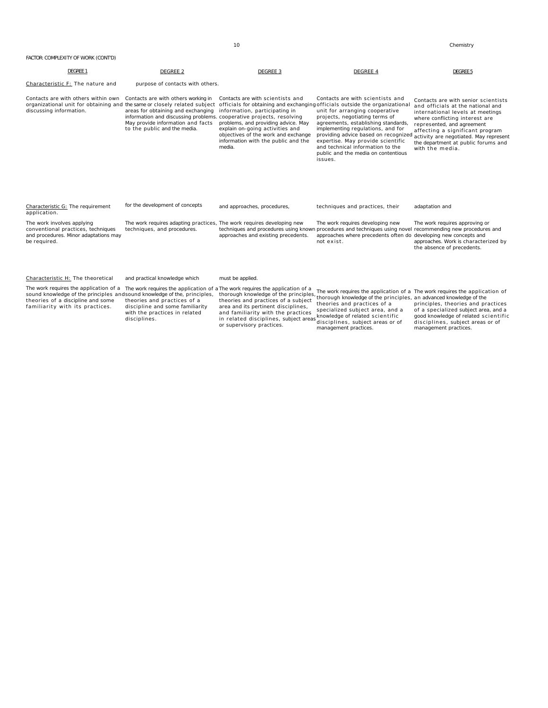| FACTOR: COMPLEXITY OF WORK (CONT'D)                                                                                                                                                                                     |                                                                                                                                                                                                                        |                                                                                                                                                                                                                                     |                                                                                                                                                                                                                                                                                                                                                                    |                                                                                                                                                                                                                                                                                                                     |
|-------------------------------------------------------------------------------------------------------------------------------------------------------------------------------------------------------------------------|------------------------------------------------------------------------------------------------------------------------------------------------------------------------------------------------------------------------|-------------------------------------------------------------------------------------------------------------------------------------------------------------------------------------------------------------------------------------|--------------------------------------------------------------------------------------------------------------------------------------------------------------------------------------------------------------------------------------------------------------------------------------------------------------------------------------------------------------------|---------------------------------------------------------------------------------------------------------------------------------------------------------------------------------------------------------------------------------------------------------------------------------------------------------------------|
| DEGREE 1                                                                                                                                                                                                                | <b>DEGREE 2</b>                                                                                                                                                                                                        | DEGREE 3                                                                                                                                                                                                                            | DEGREE 4                                                                                                                                                                                                                                                                                                                                                           | <b>DEGREE 5</b>                                                                                                                                                                                                                                                                                                     |
| Characteristic F: The nature and                                                                                                                                                                                        | purpose of contacts with others.                                                                                                                                                                                       |                                                                                                                                                                                                                                     |                                                                                                                                                                                                                                                                                                                                                                    |                                                                                                                                                                                                                                                                                                                     |
| Contacts are with others within own<br>organizational unit for obtaining and the same or closely related subject officials for obtaining and exchanging officials outside the organizational<br>discussing information. | Contacts are with others working in<br>areas for obtaining and exchanging<br>information and discussing problems, cooperative projects, resolving<br>May provide information and facts<br>to the public and the media. | Contacts are with scientists and<br>information, participating in<br>problems, and providing advice. May<br>explain on-going activities and<br>objectives of the work and exchange<br>information with the public and the<br>media. | Contacts are with scientists and<br>unit for arranging cooperative<br>projects, negotiating terms of<br>agreements, establishing standards,<br>implementing regulations, and for<br>providing advice based on recognized<br>expertise. May provide scientific<br>and technical information to the<br>public and the media on contentious<br>issues.                | Contacts are with senior scientists<br>and officials at the national and<br>international levels at meetings<br>where conflicting interest are<br>represented, and agreement<br>affecting a significant program<br>activity are negotiated. May represent<br>the department at public forums and<br>with the media. |
| Characteristic G: The requirement<br>application.                                                                                                                                                                       | for the development of concepts                                                                                                                                                                                        | and approaches, procedures,                                                                                                                                                                                                         | techniques and practices, their                                                                                                                                                                                                                                                                                                                                    | adaptation and                                                                                                                                                                                                                                                                                                      |
| The work involves applying<br>conventional practices, techniques<br>and procedures. Minor adaptations may<br>be required.                                                                                               | The work requires adapting practices. The work requires developing new<br>techniques, and procedures.                                                                                                                  | approaches and existing precedents.                                                                                                                                                                                                 | The work requires developing new<br>techniques and procedures using known procedures and techniques using novel<br>approaches where precedents often do developing new concepts and<br>not exist.                                                                                                                                                                  | The work requires approving or<br>recommending new procedures and<br>approaches. Work is characterized by<br>the absence of precedents.                                                                                                                                                                             |
| Characteristic H: The theoretical                                                                                                                                                                                       | and practical knowledge which                                                                                                                                                                                          | must be applied.                                                                                                                                                                                                                    |                                                                                                                                                                                                                                                                                                                                                                    |                                                                                                                                                                                                                                                                                                                     |
| The work requires the application of a<br>sound knowledge of the principles and sound knowledge of the, principles,<br>theories of a discipline and some<br>familiarity with its practices.                             | The work requires the application of<br>theories and practices of a<br>discipline and some familiarity<br>with the practices in related<br>disciplines.                                                                | a The work requires the application of a<br>area and its pertinent disciplines,<br>and familiarity with the practices<br>in related disciplines, subject area<br>or supervisory practices.                                          | The work requires the application of a The work requires the application of<br>thorough knowledge of the principles, the work required and opposite the principles, an advanced knowledge of the<br>theories and practices of a<br>specialized subject area, and a<br>knowledge of related scientific<br>disciplines, subject areas or of<br>management practices. | principles, theories and practices<br>of a specialized subject area, and a<br>good knowledge of related scientific<br>disciplines, subject areas or of<br>management practices.                                                                                                                                     |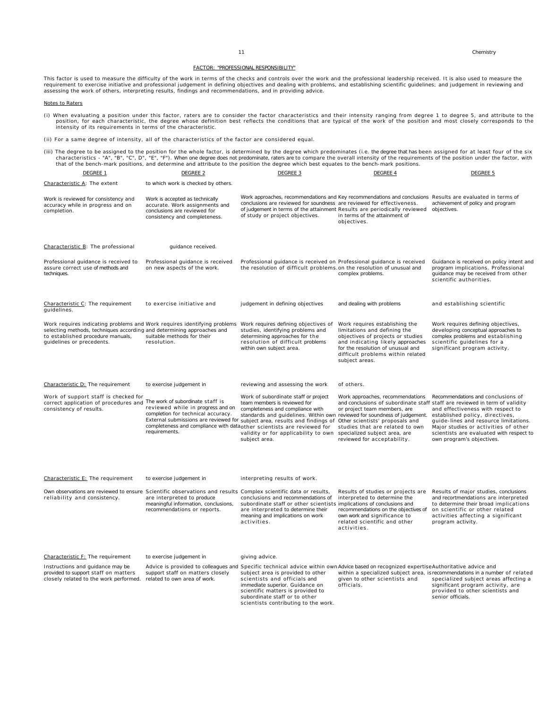#### FACTOR: "PROFESSIONAL RESPONSIBILITY"

This factor is used to measure the difficulty of the work in terms of the checks and controls over the work and the professional leadership received. It is also used to measure the requirement to exercise initiative and professional judgement in defining objectives and dealing with problems, and establishing scientific guidelines; and judgement in reviewing and<br>assessing the work of others, interpret

#### Notes to Raters

(i) When evaluating a position under this factor, raters are to consider the factor characteristics and their intensity ranging from degree 1 to degree 5, and attribute to the position, for each characteristic, the abort p

(ii) For a same degree of intensity, all of the characteristics of the factor are considered equal.

iii) The degree to be assigned to the position for the whole factor, is determined by the degree which predominates (i.e. the degree that has been assigned for at least four of the six (iii) The degree that has been assign

| DEGREE 1                                                                                                                                                                                                             | DEGREE 2                                                                                                                                                            | <u>DEGREE 3</u>                                                                                                                                                                                                                                                                                                                                               | <u>DEGREE 4</u>                                                                                                                                                                                                                     | <u>DEGREE 5</u>                                                                                                                                                                                                                                                                                                                                     |  |  |  |  |
|----------------------------------------------------------------------------------------------------------------------------------------------------------------------------------------------------------------------|---------------------------------------------------------------------------------------------------------------------------------------------------------------------|---------------------------------------------------------------------------------------------------------------------------------------------------------------------------------------------------------------------------------------------------------------------------------------------------------------------------------------------------------------|-------------------------------------------------------------------------------------------------------------------------------------------------------------------------------------------------------------------------------------|-----------------------------------------------------------------------------------------------------------------------------------------------------------------------------------------------------------------------------------------------------------------------------------------------------------------------------------------------------|--|--|--|--|
| Characteristic A: The extent                                                                                                                                                                                         | to which work is checked by others.                                                                                                                                 |                                                                                                                                                                                                                                                                                                                                                               |                                                                                                                                                                                                                                     |                                                                                                                                                                                                                                                                                                                                                     |  |  |  |  |
| Work is reviewed for consistency and<br>accuracy while in progress and on<br>completion.                                                                                                                             | Work is accepted as technically<br>accurate. Work assignments and<br>conclusions are reviewed for<br>consistency and completeness.                                  | Work approaches, recommendations and Key recommendations and conclusions Results are evaluated in terms of<br>conclusions are reviewed for soundness are reviewed for effectiveness.<br>of judgement in terms of the attainment Results are periodically reviewed<br>of study or project objectives.                                                          | in terms of the attainment of<br>objectives.                                                                                                                                                                                        | achievement of policy and program<br>objectives.                                                                                                                                                                                                                                                                                                    |  |  |  |  |
| Characteristic B: The professional                                                                                                                                                                                   | guidance received.                                                                                                                                                  |                                                                                                                                                                                                                                                                                                                                                               |                                                                                                                                                                                                                                     |                                                                                                                                                                                                                                                                                                                                                     |  |  |  |  |
| Professional guidance is received to<br>assure correct use of methods and<br>techniques.                                                                                                                             | Professional guidance is received<br>on new aspects of the work.                                                                                                    | Professional guidance is received on Professional guidance is received<br>the resolution of difficult problems.on the resolution of unusual and                                                                                                                                                                                                               | complex problems.                                                                                                                                                                                                                   | Guidance is received on policy intent and<br>program implications. Professional<br>quidance may be received from other<br>scientific authorities.                                                                                                                                                                                                   |  |  |  |  |
| Characteristic C: The requirement<br>guidelines.                                                                                                                                                                     | to exercise initiative and                                                                                                                                          | judgement in defining objectives                                                                                                                                                                                                                                                                                                                              | and dealing with problems                                                                                                                                                                                                           | and establishing scientific                                                                                                                                                                                                                                                                                                                         |  |  |  |  |
| Work requires indicating problems and Work requires identifying problems<br>selecting methods, techniques according and determining approaches and<br>to established procedure manuals,<br>guidelines or precedents. | suitable methods for their<br>resolution.                                                                                                                           | Work requires defining objectives of<br>studies, identifying problems and<br>determining approaches for the<br>resolution of difficult problems<br>within own subject area.                                                                                                                                                                                   | Work requires establishing the<br>limitations and defining the<br>objectives of projects or studies<br>and indicating likely approaches<br>for the resolution of unusual and<br>difficult problems within related<br>subject areas. | Work requires defining objectives,<br>developing conceptual approaches to<br>complex problems and establishing<br>scientific guidelines for a<br>significant program activity.                                                                                                                                                                      |  |  |  |  |
| Characteristic D: The requirement                                                                                                                                                                                    | to exercise judgement in                                                                                                                                            | reviewing and assessing the work                                                                                                                                                                                                                                                                                                                              | of others.                                                                                                                                                                                                                          |                                                                                                                                                                                                                                                                                                                                                     |  |  |  |  |
| Work of support staff is checked for<br>correct application of procedures and The work of subordinate staff is<br>consistency of results.                                                                            | reviewed while in progress and on<br>completion for technical accuracy.<br>completeness and compliance with data other scientists are reviewed for<br>requirements. | Work of subordinate staff or project<br>team members is reviewed for<br>completeness and compliance with<br>standards and quidelines. Within own reviewed for soundness of judgement.<br>External submissions are reviewed for subject area, results and findings of Other scientists' proposals and<br>validity or for applicability to own<br>subject area. | Work approaches, recommendations<br>or project team members, are<br>studies that are related to own<br>specialized subject area, are<br>reviewed for acceptability.                                                                 | Recommendations and conclusions of<br>and conclusions of subordinate staff staff are reviewed in term of validity<br>and effectiveness with respect to<br>established policy, directives,<br>guide-lines and resource limitations.<br>Major studies or activities of other<br>scientists are evaluated with respect to<br>own program's objectives. |  |  |  |  |
| Characteristic E: The requirement                                                                                                                                                                                    | to exercise judgement in                                                                                                                                            | interpreting results of work.                                                                                                                                                                                                                                                                                                                                 |                                                                                                                                                                                                                                     |                                                                                                                                                                                                                                                                                                                                                     |  |  |  |  |
| Own observations are reviewed to ensure Scientific observations and results Complex scientific data or results,<br>reliability and consistency.                                                                      | are interpreted to produce<br>meaningful information, conclusions,<br>recommendations or reports.                                                                   | conclusions and recommendations of<br>subordinate staff or other scientists implications of conclusions and<br>are interpreted to determine their<br>meaning and implications on work<br>activities.                                                                                                                                                          | Results of studies or projects are<br>interpreted to determine the<br>recommendations on the objectives of<br>own work and significance to<br>related scientific and other<br>activities.                                           | Results of major studies, conclusions<br>and recortmendations are interpreted<br>to determine their broad implications<br>on scientific or other related<br>activities affecting a significant<br>program activity.                                                                                                                                 |  |  |  |  |
| Characteristic F: The requirement                                                                                                                                                                                    | to exercise judgement in                                                                                                                                            | giving advice.                                                                                                                                                                                                                                                                                                                                                |                                                                                                                                                                                                                                     |                                                                                                                                                                                                                                                                                                                                                     |  |  |  |  |
| Instructions and guidance may be<br>provided to support staff on matters<br>closely related to the work performed. related to own area of work.                                                                      | support staff on matters closely                                                                                                                                    | Advice is provided to colleagues and Specific technical advice within own Advice based on recognized expertise Authoritative advice and<br>subject area is provided to other<br>scientists and officials and<br>immediate superior. Guidance on<br>scientific matters is provided to<br>subordinate staff or to other<br>scientists contributing to the work. | given to other scientists and<br>officials.                                                                                                                                                                                         | within a specialized subject area, is recommendations in a number of related<br>specialized subject areas affecting a<br>significant program activity, are<br>provided to other scientists and<br>senior officials.                                                                                                                                 |  |  |  |  |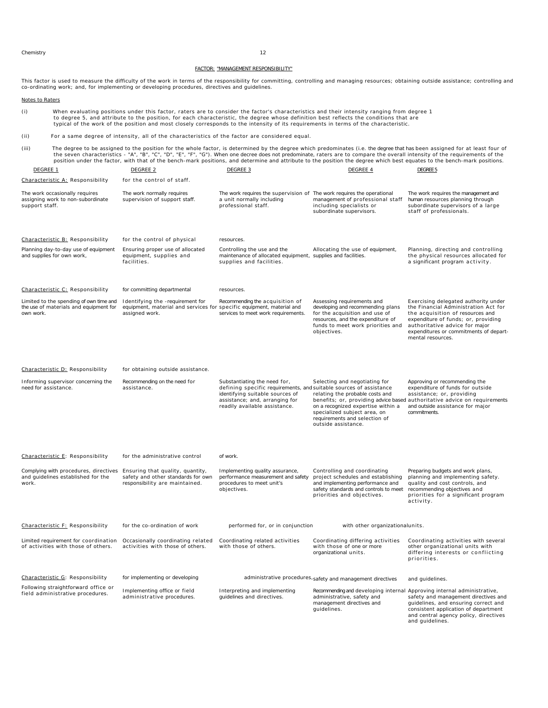Chemistry 12

#### FACTOR: "MANAGEMENT RESPONSIBILITY"

This factor is used to measure the difficulty of the work in terms of the responsibility for committing, controlling and managing resources; obtaining outside assistance; controlling and<br>co-ordinating work; and, for implem

#### Notes to Raters

(i) When evaluating positions under this factor, raters are to consider the factor's characteristics and their intensity ranging from degree 1 to degree 5, and attribute to the position, for each characteristic, the degree whose definition best reflects the conditions that are typical of the work of the position and most closely corresponds to the intensity of its requirements in terms of the characteristic.

#### (ii) For a same degree of intensity, all of the characteristics of the factor are considered equal.

iii) The degree to be assigned to the position for the whole factor, is determined by the degree which predominates (i.e. the degree that has been assigned for at least four of the seven characteristics - "A", "C", "D", "E

| DEGREE 1                                                                                                              | DEGREE 2                                                                                                                    | DEGREE 3                                                                                                                                                                                                 | DEGREE 4                                                                                                                                                                                       | DEGREE 5                                                                                                                                                                                                                                                 |
|-----------------------------------------------------------------------------------------------------------------------|-----------------------------------------------------------------------------------------------------------------------------|----------------------------------------------------------------------------------------------------------------------------------------------------------------------------------------------------------|------------------------------------------------------------------------------------------------------------------------------------------------------------------------------------------------|----------------------------------------------------------------------------------------------------------------------------------------------------------------------------------------------------------------------------------------------------------|
| Characteristic A: Responsibility                                                                                      | for the control of staff.                                                                                                   |                                                                                                                                                                                                          |                                                                                                                                                                                                |                                                                                                                                                                                                                                                          |
| The work occasionally requires<br>assigning work to non-subordinate<br>support staff.                                 | The work normally requires<br>supervision of support staff.                                                                 | The work requires the supervision of The work requires the operational<br>a unit normally including<br>professional staff.                                                                               | management of professional staff<br>including specialists or<br>subordinate supervisors.                                                                                                       | The work requires the management and<br>human resources planning through<br>subordinate supervisors of a large<br>staff of professionals.                                                                                                                |
| Characteristic B: Responsibility                                                                                      | for the control of physical                                                                                                 | resources.                                                                                                                                                                                               |                                                                                                                                                                                                |                                                                                                                                                                                                                                                          |
| Planning day-to-day use of equipment<br>and supplies for own work,                                                    | Ensuring proper use of allocated<br>equipment, supplies and<br>facilities.                                                  | Controlling the use and the<br>maintenance of allocated equipment, supplies and facilities.<br>supplies and facilities.                                                                                  | Allocating the use of equipment,                                                                                                                                                               | Planning, directing and controlling<br>the physical resources allocated for<br>a significant program activity.                                                                                                                                           |
| Characteristic C: Responsibility                                                                                      | for committing departmental                                                                                                 | resources.                                                                                                                                                                                               |                                                                                                                                                                                                |                                                                                                                                                                                                                                                          |
| Limited to the spending of own time and<br>the use of materials and equipment for<br>own work.                        | Identifying the -requirement for<br>equipment, material and services for specific equipment, material and<br>assigned work. | Recommending the acquisition of<br>services to meet work requirements.                                                                                                                                   | Assessing requirements and<br>developing and recommending plans<br>for the acquisition and use of<br>resources, and the expenditure of<br>funds to meet work priorities and<br>objectives.     | Exercising delegated authority under<br>the Financial Administration Act for<br>the acquisition of resources and<br>expenditure of funds; or, providing<br>authoritative advice for major<br>expenditures or commitments of depart-<br>mental resources. |
| Characteristic D: Responsibility                                                                                      | for obtaining outside assistance.                                                                                           |                                                                                                                                                                                                          |                                                                                                                                                                                                |                                                                                                                                                                                                                                                          |
| Informing supervisor concerning the<br>need for assistance.                                                           | Recommending on the need for<br>assistance.                                                                                 | Substantiating the need for,<br>defining specific requirements, and suitable sources of assistance<br>identifying suitable sources of<br>assistance; and, arranging for<br>readily available assistance. | Selecting and negotiating for<br>relating the probable costs and<br>on a recognized expertise within a<br>specialized subject area, on<br>requirements and selection of<br>outside assistance. | Approving or recommending the<br>expenditure of funds for outside<br>assistance; or, providing<br>benefits; or, providing advice based authoritative advice on requirements<br>and outside assistance for major<br>commitments.                          |
| Characteristic E: Responsibility                                                                                      | for the administrative control                                                                                              | of work.                                                                                                                                                                                                 |                                                                                                                                                                                                |                                                                                                                                                                                                                                                          |
| Complying with procedures, directives Ensuring that quality, quantity,<br>and guidelines established for the<br>work. | safety and other standards for own<br>responsibility are maintained.                                                        | Implementing quality assurance,<br>performance measurement and safety<br>procedures to meet unit's<br>objectives.                                                                                        | Controlling and coordinating<br>project schedules and establishing<br>and implementing performance and<br>safety standards and controls to meet<br>priorities and objectives.                  | Preparing budgets and work plans,<br>planning and implementing safety.<br>quality and cost controls, and<br>recommending objectives and<br>priorities for a significant program<br>activity.                                                             |
| Characteristic F: Responsibility                                                                                      | for the co-ordination of work                                                                                               | performed for, or in conjunction                                                                                                                                                                         | with other organizationalunits.                                                                                                                                                                |                                                                                                                                                                                                                                                          |
| Limited requirement for coordination<br>of activities with those of others.                                           | Occasionally coordinating related<br>activities with those of others.                                                       | Coordinating related activities<br>with those of others.                                                                                                                                                 | Coordinating differing activities<br>with those of one or more<br>organizational units.                                                                                                        | Coordinating activities with several<br>other organizational units with<br>differing interests or conflicting<br>priorities.                                                                                                                             |
| Characteristic G: Responsibility                                                                                      | for implementing or developing                                                                                              |                                                                                                                                                                                                          | administrative procedures, safety and management directives                                                                                                                                    | and guidelines.                                                                                                                                                                                                                                          |
| Following straightforward office or<br>field administrative procedures.                                               | Implementing office or field<br>administrative procedures.                                                                  | Interpreting and implementing<br>guidelines and directives.                                                                                                                                              | Recommending and developing internal Approving internal administrative,<br>administrative, safety and<br>management directives and<br>quidelines.                                              | safety and management directives and<br>guidelines, and ensuring correct and<br>consistent application of department<br>and central agency policy, directives<br>and guidelines.                                                                         |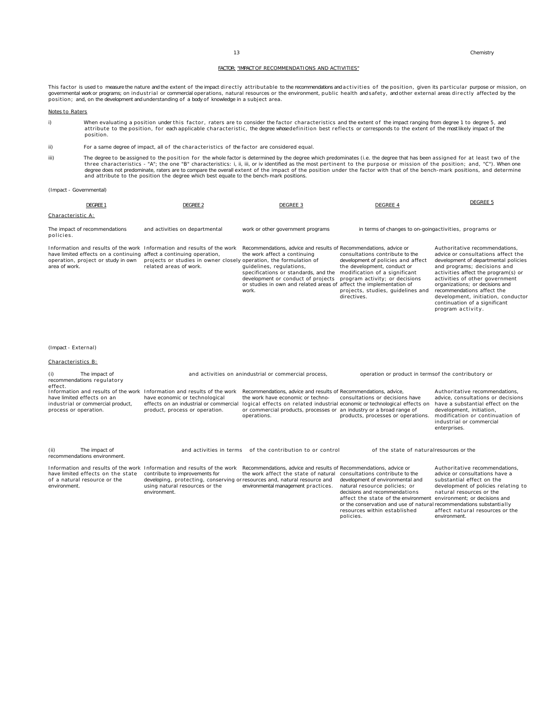or the conservation and use of natural resources within established recommendations substantially affect natural resources or the

environment.

policies.

#### FACTOR: "IMPACT OF RECOMMENDATIONS AND ACTIVITIES"

This factor is used to measure the nature and the extent of the impact directly attributable to the recommendations and activities of the position, given its particular purpose or mission, on governmental workor programs; on industrial or commercial operations, natural resources or the environment, public health andsafety, andother external areas directly affected by the<br>position; and, on the developmentand und

#### Notes to Raters

i) When evaluating a position under this factor, raters are to consider the factor characteristics and the extent of the impact ranging from degree 1 to degree 5, and attribute to the position, for each applicable characteristic, the degree whose definition best reflects or corresponds to the extent of the most likely impact of the position.

ii) For a same degree of impact, all of the characteristics of the factor are considered equal.

iii) The degree to be assigned to the position for the whole factor is determined by the degree which predominates (i.e. the degree that has been assigned for at least two of the<br>three characteristics - "A"; the one "B" ch and attribute to the position the degree which best equate to the bench-mark positions.

#### (Impact - Governmental)

| <b>DEGREE 1</b>                                                                                                                                                                                       | <b>DEGREE 2</b>                                                                                                                                                                                                                          | <b>DEGREE 3</b>                                                                                                                                                                                                                                                                                                           | <b>DEGREE 4</b>                                                                                                                                                                            | <b>DEGREE 5</b>                                                                                                                                                                                                                                                                                                                                                                   |  |  |  |  |
|-------------------------------------------------------------------------------------------------------------------------------------------------------------------------------------------------------|------------------------------------------------------------------------------------------------------------------------------------------------------------------------------------------------------------------------------------------|---------------------------------------------------------------------------------------------------------------------------------------------------------------------------------------------------------------------------------------------------------------------------------------------------------------------------|--------------------------------------------------------------------------------------------------------------------------------------------------------------------------------------------|-----------------------------------------------------------------------------------------------------------------------------------------------------------------------------------------------------------------------------------------------------------------------------------------------------------------------------------------------------------------------------------|--|--|--|--|
| Characteristic A:                                                                                                                                                                                     |                                                                                                                                                                                                                                          |                                                                                                                                                                                                                                                                                                                           |                                                                                                                                                                                            |                                                                                                                                                                                                                                                                                                                                                                                   |  |  |  |  |
| The impact of recommendations<br>policies.                                                                                                                                                            | and activities on departmental                                                                                                                                                                                                           | work or other government programs                                                                                                                                                                                                                                                                                         | in terms of changes to on-goingactivities, programs or                                                                                                                                     |                                                                                                                                                                                                                                                                                                                                                                                   |  |  |  |  |
| Information and results of the work Information and results of the work<br>have limited effects on a continuing affect a continuing operation,<br>operation, project or study in own<br>area of work. | projects or studies in owner closely operation, the formulation of<br>related areas of work.                                                                                                                                             | Recommendations, advice and results of Recommendations, advice or<br>the work affect a continuing<br>quidelines, requlations,<br>specifications or standards, and the modification of a significant<br>development or conduct of projects<br>or studies in own and related areas of affect the implementation of<br>work. | consultations contribute to the<br>development of policies and affect<br>the development, conduct or<br>program activity; or decisions<br>projects, studies, guidelines and<br>directives. | Authoritative recommendations.<br>advice or consultations affect the<br>development of departmental policies<br>and programs; decisions and<br>activities affect the program(s) or<br>activities of other government<br>organizations; or decisions and<br>recommendations affect the<br>development, initiation, conductor<br>continuation of a significant<br>program activity. |  |  |  |  |
| (Impact - External)<br>Characteristics B:                                                                                                                                                             |                                                                                                                                                                                                                                          |                                                                                                                                                                                                                                                                                                                           |                                                                                                                                                                                            |                                                                                                                                                                                                                                                                                                                                                                                   |  |  |  |  |
| The impact of<br>(i)<br>recommendations regulatory                                                                                                                                                    |                                                                                                                                                                                                                                          | and activities on anindustrial or commercial process,                                                                                                                                                                                                                                                                     | operation or product in termsof the contributory or                                                                                                                                        |                                                                                                                                                                                                                                                                                                                                                                                   |  |  |  |  |
| effect.<br>have limited effects on an<br>industrial or commercial product,<br>process or operation.                                                                                                   | Information and results of the work Information and results of the work<br>have economic or technological<br>effects on an industrial or commercial<br>product, process or operation.                                                    | Recommendations, advice and results of Recommendations, advice,<br>the work have economic or techno-<br>logical effects on related industrial economic or technological effects on<br>or commercial products, processes or an industry or a broad range of<br>operations.                                                 | consultations or decisions have<br>products, processes or operations.                                                                                                                      | Authoritative recommendations.<br>advice, consultations or decisions<br>have a substantial effect on the<br>development, initiation,<br>modification or continuation of<br>industrial or commercial<br>enterprises.                                                                                                                                                               |  |  |  |  |
| The impact of<br>(ii)<br>recommendations environment.                                                                                                                                                 |                                                                                                                                                                                                                                          | and activities in terms of the contribution to or control                                                                                                                                                                                                                                                                 | of the state of naturalresources or the                                                                                                                                                    |                                                                                                                                                                                                                                                                                                                                                                                   |  |  |  |  |
| have limited effects on the state<br>of a natural resource or the<br>environment.                                                                                                                     | Information and results of the work Information and results of the work<br>contribute to improvements for<br>developing, protecting, conserving or resources and, natural resource and<br>using natural resources or the<br>environment. | Recommendations, advice and results of Recommendations, advice or<br>the work affect the state of natural consultations contribute to the<br>environmental management practices.                                                                                                                                          | development of environmental and<br>natural resource policies; or<br>decisions and recommendations<br>affect the state of the environment                                                  | Authoritative recommendations,<br>advice or consultations have a<br>substantial effect on the<br>development of policies relating to<br>natural resources or the<br>environment; or decisions and                                                                                                                                                                                 |  |  |  |  |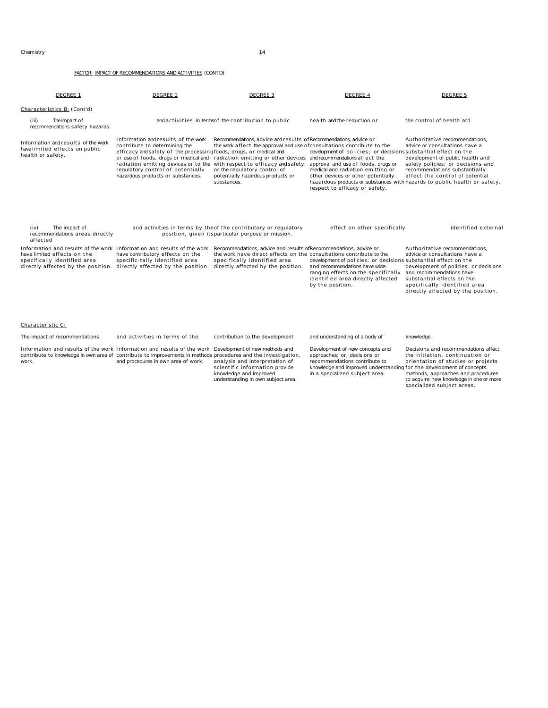| DEGREE 1                                                                                                                                 | DEGREE 2                                                                                                                                                                                                                                                                                                                                                                                                     | DEGREE 3                                                                                                                                                                                                                         | DEGREE 4                                                                                                                                                                                                            | DEGREE 5                                                                                                                                                                                                                                                                                   |
|------------------------------------------------------------------------------------------------------------------------------------------|--------------------------------------------------------------------------------------------------------------------------------------------------------------------------------------------------------------------------------------------------------------------------------------------------------------------------------------------------------------------------------------------------------------|----------------------------------------------------------------------------------------------------------------------------------------------------------------------------------------------------------------------------------|---------------------------------------------------------------------------------------------------------------------------------------------------------------------------------------------------------------------|--------------------------------------------------------------------------------------------------------------------------------------------------------------------------------------------------------------------------------------------------------------------------------------------|
| Characteristics B: (Cont'd)                                                                                                              |                                                                                                                                                                                                                                                                                                                                                                                                              |                                                                                                                                                                                                                                  |                                                                                                                                                                                                                     |                                                                                                                                                                                                                                                                                            |
| The impact of<br>(iii)<br>recommendations safety hazards.                                                                                |                                                                                                                                                                                                                                                                                                                                                                                                              | and activities in terms of the contribution to public                                                                                                                                                                            | health and the reduction or                                                                                                                                                                                         | the control of health and                                                                                                                                                                                                                                                                  |
| Information and results of the work<br>havelimited effects on public<br>health or safety.                                                | Information and results of the work<br>contribute to determining the<br>efficacy and safety of the processingfoods, drugs, or medical and<br>or use of foods, drugs or medical and radiation emitting or other devices and recommendations affect the<br>radiation emitting devices or to the with respect to efficacy and safety,<br>regulatory control of potentially<br>hazardous products or substances. | Recommendations, advice and results of Recommendations, advice or<br>the work affect the approval and use of consultations contribute to the<br>or the regulatory control of<br>potentially hazardous products or<br>substances. | development of policies; or decisions substantial effect on the<br>approval and use of foods, drugs or<br>medical and radiation emitting or<br>other devices or other potentially<br>respect to efficacy or safety. | Authoritative recommendations.<br>advice or consultations have a<br>development of public health and<br>safety policies; or decisions and<br>recommendations substantially<br>affect the control of potential<br>hazardous products or substances with hazards to public health or safety. |
| (iv)<br>The impact of<br>recommendations areas directly<br>affected                                                                      |                                                                                                                                                                                                                                                                                                                                                                                                              | and activities in terms by theof the contributory or regulatory<br>position, given itsparticular purpose or mission.                                                                                                             | effect on other specifically                                                                                                                                                                                        | identified external                                                                                                                                                                                                                                                                        |
| Information and results of the work<br>have limited effects on the<br>specifically identified area<br>directly affected by the position. | Information and results of the work<br>have contributory effects on the<br>specific-tally identified area<br>directly affected by the position.                                                                                                                                                                                                                                                              | Recommendations, advice and results of Recommendations, advice or<br>the work have direct effects on the consultations contribute to the<br>specifically identified area<br>directly affected by the position.                   | development of policies; or decisions substantial effect on the<br>and recommendations have wide-<br>ranging effects on the specifically<br>identified area directly affected<br>by the position.                   | Authoritative recommendations.<br>advice or consultations have a<br>development of policies; or decisions<br>and recommendations have<br>substantial effects on the<br>specifically identified area<br>directly affected by the position.                                                  |
| Characteristic C:                                                                                                                        |                                                                                                                                                                                                                                                                                                                                                                                                              |                                                                                                                                                                                                                                  |                                                                                                                                                                                                                     |                                                                                                                                                                                                                                                                                            |
| The impact of recommendations                                                                                                            | and activities in terms of the                                                                                                                                                                                                                                                                                                                                                                               | contribution to the development                                                                                                                                                                                                  | and understanding of a body of                                                                                                                                                                                      | knowledge.                                                                                                                                                                                                                                                                                 |
| work.                                                                                                                                    | Information and results of the work Information and results of the work Development of new methods and<br>contribute to knowledge in own area of contribute to improvements in methods procedures and the investigation,<br>and procedures in own area of work.                                                                                                                                              | analysis and interpretation of<br>scientific information provide<br>knowledge and improved<br>understanding in own subject area.                                                                                                 | Development of new concepts and<br>approaches; or, decisions or<br>recommendations contribute to<br>knowledge and improved understanding for the development of concepts,<br>in a specialized subject area.         | Decisions and recommendations affect<br>the initiation, continuation or<br>orientation of studies or projects<br>methods, approaches and procedures<br>to acquire new knowledge in one or more<br>specialized subject areas.                                                               |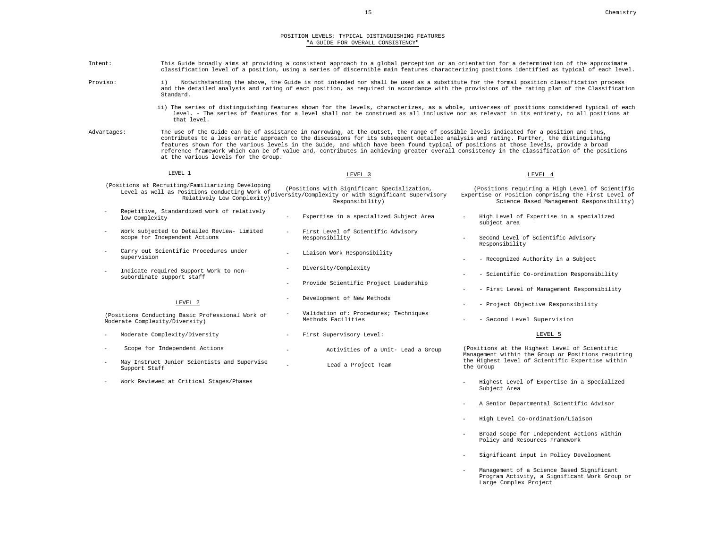#### POSITION LEVELS: TYPICAL DISTINGUISHING FEATURES "A GUIDE FOR OVERALL CONSISTENCY"

| Intent:             |                                                                                    |                                                                                                                                                         | This Guide broadly aims at providing a consistent approach to a global perception or an orientation for a determination of the approximate<br>classification level of a position, using a series of discernible main features characterizing positions identified as typical of each level.                                                                                                                                 |
|---------------------|------------------------------------------------------------------------------------|---------------------------------------------------------------------------------------------------------------------------------------------------------|-----------------------------------------------------------------------------------------------------------------------------------------------------------------------------------------------------------------------------------------------------------------------------------------------------------------------------------------------------------------------------------------------------------------------------|
| Proviso:            | i)<br>Standard.                                                                    |                                                                                                                                                         | Notwithstanding the above, the Guide is not intended nor shall be used as a substitute for the formal position classification process<br>and the detailed analysis and rating of each position, as required in accordance with the provisions of the rating plan of the Classification                                                                                                                                      |
|                     | that level.                                                                        |                                                                                                                                                         | ii) The series of distinguishing features shown for the levels, characterizes, as a whole, universes of positions considered typical of each<br>level. - The series of features for a level shall not be construed as all inclusive nor as relevant in its entirety, to all positions at                                                                                                                                    |
| Advantages:         | at the various levels for the Group.                                               | The use of the Guide can be of assistance in narrowing, at the outset, the range of possible levels indicated for a position and thus,                  | contributes to a less erratic approach to the discussions for its subsequent detailed analysis and rating. Further, the distinguishing<br>features shown for the various levels in the Guide, and which have been found typical of positions at those levels, provide a broad<br>reference framework which can be of value and, contributes in achieving greater overall consistency in the classification of the positions |
|                     | LEVEL 1                                                                            | LEVEL 3                                                                                                                                                 | LEVEL 4                                                                                                                                                                                                                                                                                                                                                                                                                     |
|                     | (Positions at Recruiting/Familiarizing Developing                                  | (Positions with Significant Specialization,<br>Level as well as Positions conducting Work of (FUSILIUMS WILM Significant Supervisory<br>Responsibility) | (Positions requiring a High Level of Scientific<br>Expertise or Position comprising the First Level of<br>Science Based Management Responsibility)                                                                                                                                                                                                                                                                          |
| low Complexity      | Repetitive, Standardized work of relatively                                        | Expertise in a specialized Subject Area                                                                                                                 | High Level of Expertise in a specialized<br>subject area                                                                                                                                                                                                                                                                                                                                                                    |
|                     | Work subjected to Detailed Review- Limited<br>scope for Independent Actions        | First Level of Scientific Advisory<br>Responsibility                                                                                                    | Second Level of Scientific Advisory<br>Responsibility                                                                                                                                                                                                                                                                                                                                                                       |
| supervision         | Carry out Scientific Procedures under                                              | Liaison Work Responsibility                                                                                                                             | - Recognized Authority in a Subject                                                                                                                                                                                                                                                                                                                                                                                         |
| ÷.                  | Indicate required Support Work to non-<br>subordinate support staff                | Diversity/Complexity                                                                                                                                    | - Scientific Co-ordination Responsibility                                                                                                                                                                                                                                                                                                                                                                                   |
|                     |                                                                                    | Provide Scientific Project Leadership                                                                                                                   | - First Level of Management Responsibility                                                                                                                                                                                                                                                                                                                                                                                  |
|                     | LEVEL 2                                                                            | Development of New Methods                                                                                                                              | - Project Objective Responsibility                                                                                                                                                                                                                                                                                                                                                                                          |
|                     | (Positions Conducting Basic Professional Work of<br>Moderate Complexity/Diversity) | Validation of: Procedures; Techniques<br>Methods Facilities                                                                                             | - Second Level Supervision                                                                                                                                                                                                                                                                                                                                                                                                  |
| L.                  | Moderate Complexity/Diversity                                                      | First Supervisory Level:                                                                                                                                | LEVEL 5                                                                                                                                                                                                                                                                                                                                                                                                                     |
| $\sim$              | Scope for Independent Actions                                                      | Activities of a Unit- Lead a Group                                                                                                                      | (Positions at the Highest Level of Scientific<br>Management within the Group or Positions requiring                                                                                                                                                                                                                                                                                                                         |
| ÷.<br>Support Staff | May Instruct Junior Scientists and Supervise                                       | Lead a Project Team                                                                                                                                     | the Highest level of Scientific Expertise within<br>the Group                                                                                                                                                                                                                                                                                                                                                               |
|                     | Work Reviewed at Critical Stages/Phases                                            |                                                                                                                                                         | Highest Level of Expertise in a Specialized<br>Subject Area                                                                                                                                                                                                                                                                                                                                                                 |

- A Senior Departmental Scientific Advisor
- High Level Co-ordination/Liaison
- Broad scope for Independent Actions within Policy and Resources Framework
- Significant input in Policy Development
- Management of a Science Based Significant Program Activity, a Significant Work Group or Large Complex Project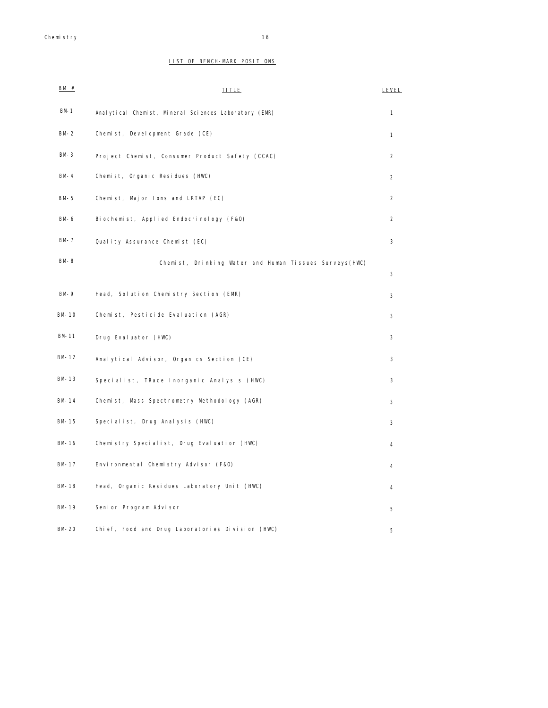# LIST OF BENCH-MARK POSITIONS

| BM#      | <b>TITLE</b>                                           | <b>LEVEL</b>   |
|----------|--------------------------------------------------------|----------------|
| $BM-1$   | Anal ytical Chemist, Mineral Sciences Laboratory (EMR) | $\mathbf{1}$   |
| $BM-2$   | Chemist, Development Grade (CE)                        | $\mathbf{1}$   |
| $BM-3$   | Project Chemist, Consumer Product Safety (CCAC)        | $\overline{2}$ |
| $BM - 4$ | Chemist, Organic Residues (HWC)                        | $\overline{2}$ |
| $BM-5$   | Chemist, Major lons and LRTAP (EC)                     | $\overline{2}$ |
| BM-6     | Biochemist, Applied Endocrinology (F&O)                | $\overline{2}$ |
| BM-7     | Quality Assurance Chemist (EC)                         | 3              |
| BM-8     | Chemist, Drinking Water and Human Tissues Surveys(HWC) | 3              |
| $BM-9$   | Head, Solution Chemistry Section (EMR)                 | 3              |
| BM-10    | Chemist, Pesticide Evaluation (AGR)                    | 3              |
| BM-11    | Drug Evaluator (HWC)                                   | 3              |
| BM-12    | Analytical Advisor, Organics Section (CE)              | 3              |
| BM-13    | Specialist, TRace Inorganic Analysis (HWC)             | 3              |
| BM-14    | Chemist, Mass Spectrometry Methodology (AGR)           | 3              |
| BM-15    | Specialist, Drug Analysis (HWC)                        | 3              |
| BM-16    | Chemistry Specialist, Drug Evaluation (HWC)            | 4              |
| BM-17    | Environmental Chemistry Advisor (F&O)                  | 4              |
| BM-18    | Head, Organic Residues Laboratory Unit (HWC)           | 4              |
| BM-19    | Senior Program Advisor                                 | 5              |
| BM-20    | Chief, Food and Drug Laboratories Division (HWC)       | 5              |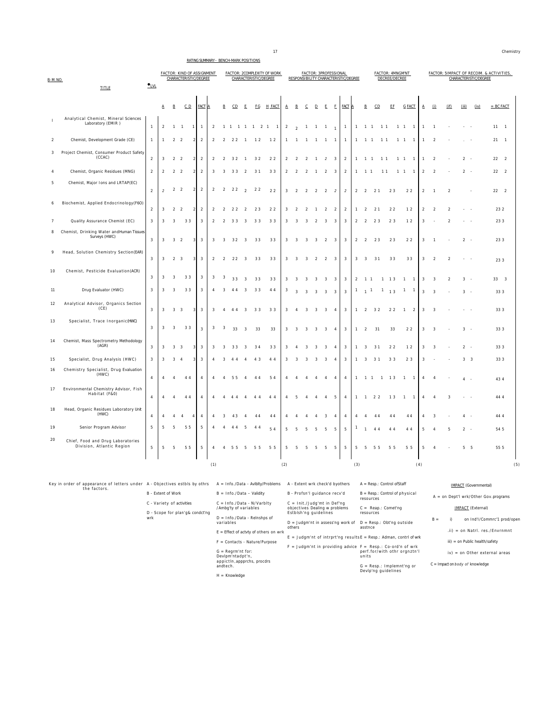#### RATING SUMMARY - BENCH-MARK POSITIONS

| B-M.NO.        | <b>TITLE</b>                                                               | $_{\text{LVL}}$         |                |                         | <b>FACTOR: KIND OF ASSIGNMENT</b><br>CHARACTERISTIC/DEGREE |                          |                |                |                         |                       |                         |                             | <b>FACTOR: 2COMPLEXITY OF WORK</b><br>CHARACTERISTIC/DEGREE |                |                                                                |                         |                | <b>FACTOR: 3PROFESSIONAL</b> |                         | RESPONSIBILITY CHARACTERISTIC/DEGREE |                |                          |                | DECREE/DECREE                |                | FACTOR: 4MNGM'NT               |                |                |                |                | CHARACTERISTIC/DEGREE        | FACTOR: 5IMPACT OF RECOIM. & ACTIVITIES, |
|----------------|----------------------------------------------------------------------------|-------------------------|----------------|-------------------------|------------------------------------------------------------|--------------------------|----------------|----------------|-------------------------|-----------------------|-------------------------|-----------------------------|-------------------------------------------------------------|----------------|----------------------------------------------------------------|-------------------------|----------------|------------------------------|-------------------------|--------------------------------------|----------------|--------------------------|----------------|------------------------------|----------------|--------------------------------|----------------|----------------|----------------|----------------|------------------------------|------------------------------------------|
|                |                                                                            |                         | Α              | B                       | CD                                                         |                          | <b>FACT</b>    |                |                         | CD                    | Ε                       | EG                          | <b>H_FACT</b>                                               | A              | B                                                              | C                       | D              | E                            | F                       | <b>FACT</b>                          |                | B                        | CD             |                              | ΕE             | <b>G FACT</b>                  | А              | (i)            | (if)           |                | (iv)                         | $= BC$ FACT                              |
|                | Analytical Chemist, Mineral Sciences<br>Laboratory (EMIR)                  | $\mathbf{1}$            | $\overline{2}$ | 1 1                     |                                                            | $\overline{1}$           | $\mathbf{1}$   | $\overline{2}$ |                         |                       |                         |                             | 1 1 1 1 1 2 1 1                                             | $\overline{2}$ | $\mathcal{L}$                                                  |                         |                | $1 \t1 \t1 \t1$              |                         | $\overline{1}$                       |                |                          | 1 1 1 1 1 1    |                              |                | 1 1 1                          | $\mathbf{1}$   | $\mathbf{1}$   |                |                |                              | $11 \quad 1$                             |
| $\overline{2}$ | Chemist, Development Grade (CE)                                            | $\overline{1}$          | $\mathbf{1}$   | 2                       | $\overline{\phantom{a}}$                                   | $\overline{2}$           | $\overline{2}$ | $\mathcal{P}$  | $\overline{2}$          | 22                    | $\overline{1}$          | 12                          | 12                                                          | $\mathbf{1}$   | $\overline{1}$                                                 | $\overline{1}$          |                | $1 \t1 \t1$                  |                         | $\overline{1}$                       | $\mathbf{1}$   | $1 \quad 1$              |                | 11                           |                | $1\quad1$<br>$\overline{1}$    | $\mathbf{1}$   | $\mathcal{P}$  |                |                |                              | $21 \quad 1$                             |
| 3              | Project Chemist, Consumer Product Safety<br>(CCAC)                         | $\sqrt{2}$              | 3              | $\overline{2}$          | $\overline{2}$                                             | $\overline{2}$           | $\overline{a}$ | $\mathcal{P}$  | $\sqrt{2}$              | 3 2                   | $\overline{1}$          | 32                          | 2 <sub>2</sub>                                              | $\mathfrak{D}$ | $\overline{2}$                                                 | $\overline{2}$          | $\overline{1}$ | $\overline{2}$               | $\overline{\mathbf{3}}$ | $\overline{2}$                       | $\mathbf{1}$   | 1 1                      |                | 1 <sub>1</sub>               |                | $1\quad1$<br>$\mathbf{1}$      | 1              | $\mathfrak{p}$ |                | $\mathfrak{D}$ |                              | 22<br>$\overline{\phantom{0}}$           |
| $\overline{4}$ | Chemist, Organic Residues (MNG)                                            | $\overline{2}$          | $\overline{2}$ | 2 <sub>2</sub>          |                                                            | $\overline{2}$           | $\overline{2}$ | 3              | -3                      | 33                    | $\overline{2}$          | 31                          | 33                                                          | $\overline{2}$ | $\overline{2}$                                                 | 2                       | $\overline{1}$ | $\overline{2}$               | $\overline{\mathbf{3}}$ | $\overline{2}$                       | $\mathbf{1}$   | $1\quad1$                |                | 11                           | $1\quad1$      | $\overline{1}$                 | $\overline{2}$ | $\overline{2}$ |                | $2 -$          |                              | 22<br>$\overline{2}$                     |
| 5              | Chemist, Major Ions and LRTAP(EC)                                          | $\sqrt{2}$              | $\mathcal{P}$  | $\overline{2}$          | $\overline{2}$                                             | $\overline{2}$           | $\overline{2}$ | $\overline{2}$ | $\overline{2}$          | 22                    | $\mathfrak{D}$          | 22                          | 22                                                          | $\sqrt{3}$     | $\overline{2}$                                                 | $\overline{2}$          | $\overline{2}$ | $\overline{2}$               | $\overline{2}$          | $\overline{2}$                       | $\overline{2}$ | $\overline{2}$           | 2 <sub>1</sub> |                              | 23             | 22                             | $\overline{a}$ | $\overline{1}$ | $\overline{2}$ |                |                              | $22 \quad 2$                             |
| 6              | Biochemist, Applied Endocrinology (F6O)                                    | $\sqrt{2}$              | 3              | $\mathfrak{D}$          | $\overline{2}$                                             | $\overline{\phantom{a}}$ | $\overline{2}$ | $\mathcal{P}$  | $\mathcal{P}$           | 22                    | $\mathcal{P}$           | 23                          | 22                                                          | 3              | $\overline{\phantom{a}}$                                       | $\mathcal{P}$           |                | $\mathcal{L}$                | $\mathcal{L}$           | $\mathcal{L}$                        | $\mathbf{1}$   | $\overline{2}$           | 21             | 22                           |                | 12                             | $\mathfrak{D}$ | 2              | $\mathcal{D}$  |                |                              | 232                                      |
| 7              | Quality Assurance Chemist (EC)                                             | $\mathbf{3}$            | 3              | $\overline{3}$          | 33                                                         |                          | $\mathbf{3}$   | $\overline{2}$ | 2                       | 33                    | 3                       | 33                          | 33                                                          | 3              | 3                                                              | $\overline{\mathbf{3}}$ | $\overline{2}$ | 3                            | 3                       | $\overline{\mathbf{3}}$              | $\overline{2}$ | $\overline{2}$           | 23             | 23                           |                | 12                             | 3              |                | $\mathcal{P}$  |                |                              | 23 3                                     |
| 8              | Chemist, Drinking Water and Human Tissues<br>Surveys (HWC)                 | $\sqrt{3}$              | 3              | $\overline{3}$          | $\overline{2}$                                             | 3                        | $\mathbf{3}$   | 3              | 3                       | 32                    | $\overline{\mathbf{3}}$ | 33                          | 33                                                          | 3              | 3                                                              | 3                       | 3              | $\overline{2}$               | 3                       | 3                                    | $\overline{2}$ | $\overline{2}$           | 23             |                              | 23             | 22                             | 3              |                |                | $\overline{a}$ |                              | 23 3                                     |
| 9              | Head, Solution Chemistry Section(EAR)                                      | $\sqrt{3}$              | 3              | $\overline{2}$          | $\overline{\mathbf{3}}$                                    | 3                        | $\mathbf{3}$   | $\overline{2}$ | $\overline{2}$          | 22                    | $\overline{\mathbf{3}}$ | 33                          | 33                                                          | 3              | 3                                                              | $\overline{\mathbf{3}}$ | $\overline{2}$ | $\overline{2}$               | 3                       | $\overline{\mathbf{3}}$              | $\overline{3}$ | 3                        | 31             |                              | 33             | 33                             | 3              | $\overline{2}$ | $\overline{2}$ |                |                              | 23 3                                     |
| 10             | Chemist, Pesticide Evaluation (ACR)                                        | $\overline{\mathbf{3}}$ | 3              | $\overline{3}$          | 33                                                         |                          | 3              | 3              | -3                      | 33                    | 3                       | 33                          | 33                                                          |                |                                                                |                         |                | 3                            | 3                       | 3                                    | 2              | 1 1                      |                | $\mathbf{1}$<br>13           |                | $\mathbf{1}$<br>$\overline{1}$ | 3              | 3              | $\mathcal{P}$  | 3              |                              | 33 3                                     |
| 11             | Drug Evaluator (HWC)                                                       | $\sqrt{3}$              | 3              | $\overline{3}$          | 33                                                         |                          | $\mathbf{3}$   | $\overline{4}$ | 3                       | 44                    | $\overline{\mathbf{3}}$ | 33                          | 44                                                          | 3              | $\sqrt{3}$                                                     | $\overline{\mathbf{3}}$ | $\overline{3}$ | $\overline{\mathbf{3}}$      | $\overline{3}$          | $\overline{\mathbf{3}}$              | $\overline{1}$ | 1 <sup>1</sup>           |                | $\overline{1}$               | 1 <sub>3</sub> | $\mathbf{1}$<br>$\overline{1}$ | 3              | $\mathbf{3}$   |                | 3 <sup>1</sup> |                              | 33 3                                     |
| 12             | Analytical Advisor, Organics Section<br>(CE)                               | $\overline{\mathbf{3}}$ | $\mathcal{R}$  | 3 <sup>3</sup>          |                                                            | $\overline{\mathbf{3}}$  | 3              | $\mathbf{3}$   | $\overline{4}$          | 44                    | $\mathbf{3}$            | 33                          | 3 <sup>3</sup>                                              | 3              | $\overline{4}$                                                 | $\mathbf{3}$            | $\mathbf{3}$   | $\overline{3}$               | $\overline{4}$          | 3                                    | $\overline{1}$ | $\overline{\phantom{a}}$ | 32             | 22                           |                | $\mathbf{1}$<br>$\overline{2}$ | $\mathbf{3}$   | 3              |                |                |                              | 333                                      |
| 13             | Specialist, Trace Inorganic (HMC)                                          | $\overline{\mathbf{3}}$ | 3              | $\overline{\mathbf{3}}$ | 33                                                         |                          | $\sqrt{3}$     | 3              | $\overline{\mathbf{3}}$ | 33                    | $\overline{\mathbf{3}}$ | 33                          | 33                                                          | 3              | $\overline{\mathbf{3}}$                                        | $\overline{\mathbf{3}}$ | 3              | 3                            | $\overline{4}$          | $\overline{\mathbf{3}}$              | $\overline{1}$ | $\overline{2}$           | 31             |                              | 33             | 22                             | 3              | 3              |                | 3              |                              | 333                                      |
| 14             | Chemist, Mass Spectrometry Methodology<br>(AGR)                            | $\mathbf{3}$            | 3              | 3                       | 3                                                          | 3                        | 3              | 3              | 3                       | 33                    | 3                       | 34                          | 33                                                          | 3              | 4                                                              | 3                       | 3              | 3                            | $\overline{4}$          | $\overline{\mathbf{3}}$              | $\mathbf{1}$   | 3                        | 31             | 22                           |                | 12                             | 3              | 3              |                | $\overline{2}$ |                              | 33 3                                     |
| 15             | Specialist, Drug Analysis (HWC)                                            | $\overline{\mathbf{3}}$ | 3              | 3                       | $\overline{4}$                                             | 3                        | 3              | $\overline{4}$ | 3                       | 44                    | $\overline{4}$          | 4 3                         | 44                                                          | 3              | 3                                                              | 3                       | 3              | 3                            | $\overline{4}$          | $\overline{\mathbf{3}}$              | $\mathbf{1}$   | $\overline{\mathbf{3}}$  | 3 1            | 3 3                          |                | 2 3                            | 3              |                |                | 3 <sup>3</sup> |                              | 33 3                                     |
| 16             | Chemistry Specialist, Drug Evaluation<br>(HWC)                             | $\sqrt{4}$              | $\overline{4}$ | $\overline{4}$          | 44                                                         |                          | $\overline{4}$ | $\overline{4}$ | $\overline{4}$          | 55                    | $\overline{4}$          | 44                          | 54                                                          | $\overline{4}$ | $\overline{4}$                                                 | $\overline{4}$          | $\overline{4}$ | $\overline{4}$               | $\overline{4}$          | $\overline{4}$                       |                | $1 \t1 \t1$              |                | $1 \t 1 \t 3$                |                | $1 \quad 1$                    | $\overline{4}$ | $\overline{4}$ |                | $\overline{4}$ |                              | 43 4                                     |
| 17             | Environmental Chemistry Advisor, Fish<br>Habitat (F&O)                     | $\sqrt{4}$              | $\Delta$       | $\overline{4}$          | 44                                                         |                          | $\overline{4}$ | $\overline{A}$ | $\overline{4}$          | 4 4                   | $\Delta$                | 4 4                         | 4 4                                                         | 4              | -5                                                             | $\overline{4}$          | $\overline{4}$ | $\overline{4}$               | 5                       | $\overline{4}$                       | $\mathbf{1}$   | $\overline{1}$           | 2 2            |                              | 13             | $\mathbf{1}$<br>$\overline{1}$ | 4              | 4              | 3              |                |                              | 44 4                                     |
| 18             | Head, Organic Residues Laboratory Unit<br>(HWC)                            | $\overline{4}$          |                | $\overline{4}$          | $\overline{4}$                                             | $\overline{4}$           | $\sqrt{4}$     | $\overline{4}$ | 3                       | 43                    |                         | 44                          | 44                                                          |                |                                                                |                         | $\overline{4}$ | 3                            | $\overline{4}$          | $\overline{4}$                       | $\overline{4}$ | $\overline{4}$           | 44             |                              | 44             | 44                             |                |                |                | $\overline{4}$ |                              | 44 4                                     |
| 19             | Senior Program Advisor                                                     | $\,$ 5                  | 5              | 5                       | 55                                                         |                          | 5              |                |                         |                       |                         | 44                          | 5.4                                                         | 5              | 5                                                              | 5                       | 5              | 5                            | 5                       | 5                                    | $\mathbf{1}$   |                          | 44             |                              | 44             | 44                             | 5              |                |                | $\overline{a}$ |                              | 54 5                                     |
| 20             | Chief, Food and Drug Laboratories<br>Division, Atlantic Region             | $\mathsf S$             | 5              | 5                       | 55                                                         |                          | 5              | $\overline{4}$ | $\overline{A}$          | 55                    | -5                      | 55                          | 5 5                                                         | 5              | -5                                                             | 5                       | 5              | 5                            | 5                       | 5                                    | 5              | -5                       | 55             | 55                           |                | 5 5                            | 5              | $\Delta$       |                | 5 <sub>5</sub> |                              | 55 5                                     |
|                |                                                                            |                         |                |                         |                                                            |                          |                | (1)            |                         |                       |                         |                             |                                                             | (2)            |                                                                |                         |                |                              |                         |                                      | (3)            |                          |                |                              |                |                                | (4)            |                |                |                |                              | (5)                                      |
|                | Key in order of appearance of letters under A - Objectives estbls by othrs |                         |                |                         |                                                            |                          |                |                |                         |                       |                         |                             | A = Info./Data - Avlblty/Problems                           |                | A - Extent wrk check'd byothers                                |                         |                |                              |                         |                                      |                |                          |                | A = Resp.: Control ofStaff   |                |                                |                |                |                |                | <b>IMPACT</b> (Governmental) |                                          |
|                | the factors.                                                               | B - Extent of Work      |                |                         |                                                            |                          |                |                |                         |                       |                         | $B = Info./Data - Validity$ |                                                             |                | B - Profsn'l guidance recv'd                                   |                         |                |                              |                         |                                      |                | resources                |                |                              |                | B = Resp.: Control of physical |                |                |                |                |                              | A = on Dept'l wrk/Other Gov.programs     |
|                |                                                                            |                         |                |                         | C - Variety of activities                                  |                          |                |                |                         | /Ambq'ty of variables |                         | C = Info./Data - N/Varbity  |                                                             |                | $C = Init./Judg'mt in Def'ng$<br>objectives Dealing w problems |                         |                |                              |                         |                                      |                |                          |                | $C = \text{Reap}$ : Comet'ng |                |                                |                |                |                |                | IMPACT (External)            |                                          |

D - Scope for plan'g& condct'ng wrk

D = Info./Data - Relnshps of variables  $E =$  Effect of actvty of others on wrk

H = Knowledge

G = Regrm'nt for: Devlpm'ntadpt'n, appictln,appprchs, procdrs andtech.

F = Contacts - Nature/Purpose E = Judgm'nt of intrprt'ng results E = Resp.: Adman, contrl of wrk objectives Dealing w problems Estblsh'ng guidelines D = Judgm'nt in assess'ng work of others D = Resp.: Obt'ng outside asstnce F = Judgm'nt in providing advice F = Resp.: Co-ord'n of wrk perf.for/with othr orgnztn'l units C = Reap.: Comet'ng resources

G = Resp.: Implemnt'ng or Devlp'ng guidelines

B = i) on Ind'I/Commrc'1 prod/open .ii) = on Natrl. res./Envrnmnt

# iii) = on Public health/safety

iv) = on Other external areas

C = Impact on *body of* knowledge

17 Chemistry **Chemistry Chemistry**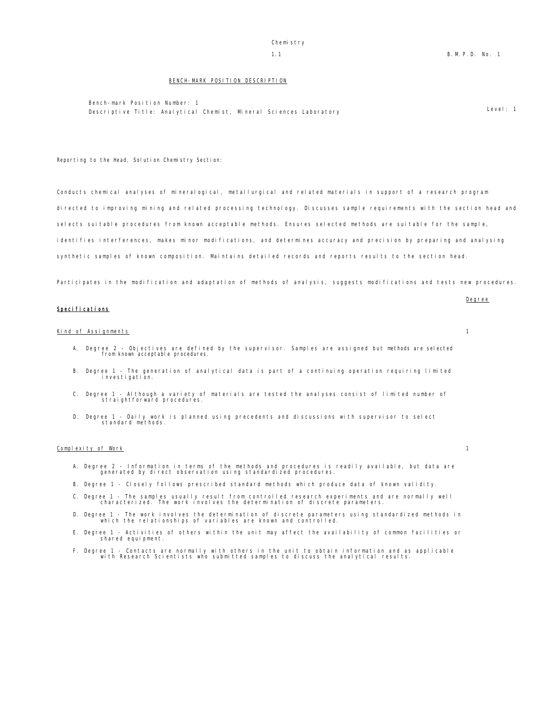# Chemistry

#### BENCH-MARK POSITION DESCRIPTION

Bench-mark Position Number: 1 Descriptive Title: Analytical Chemist, Mineral Sciences Laboratory Level: 1

Reporting to the Head, Solution Chemistry Section:

Conducts chemical analyses of mineralogical, metallurgical and related materials in support of a research program directed to improving mining and related processing technology. Discusses sample requirements with the section head and selects suitable procedures from known acceptable methods. Ensures selected methods are suitable for the sample, identifies interferences, makes minor modifications, and determines accuracy and precision by preparing and analysing synthetic samples of known composition. Maintains detailed records and reports results to the section head.

Participates in the modification and adaptation of methods of analysis, suggests modifications and tests new procedures.

|                |  | <u>Degree</u> |
|----------------|--|---------------|
| Specifications |  |               |

#### Kind of Assignments 1

- A. Degree 2 Objectives are defined by the supervisor. Samples are assigned but methods are selected from known acceptable procedures.
- B. Degree 1 The generation of analytical data is part of a continuing operation requiring limited investigation.
- C. Degree 1 Although a variety of materials are tested the analyses consist of limited number of straightforward procedures.
- D. Degree 1 Daily work is planned using precedents and discussions with supervisor to select standard methods.

#### Complexity of Work 1

- A. Degree 2 Information in terms of the methods and procedures is readily available, but data are generated by direct observation using standardized procedures.
- B. Degree 1 Closely follows prescribed standard methods which produce data of known validity.
- C. Degree 1 The samples usually result from controlled research experiments and are normally well characterized. The work involves the determination of discrete parameters.
- D. Degree 1 The work involves the determination of discrete parameters using standardized methods in which the relationships of variables are known and controlled.
- E. Degree 1 Activities of others within the unit may affect the availability of common facilities or shared equipment.
- F. Degree 1 Contacts are normally with others in the unit to obtain information and as applicable with Research Scientists who submitted samples to discuss the analytical results.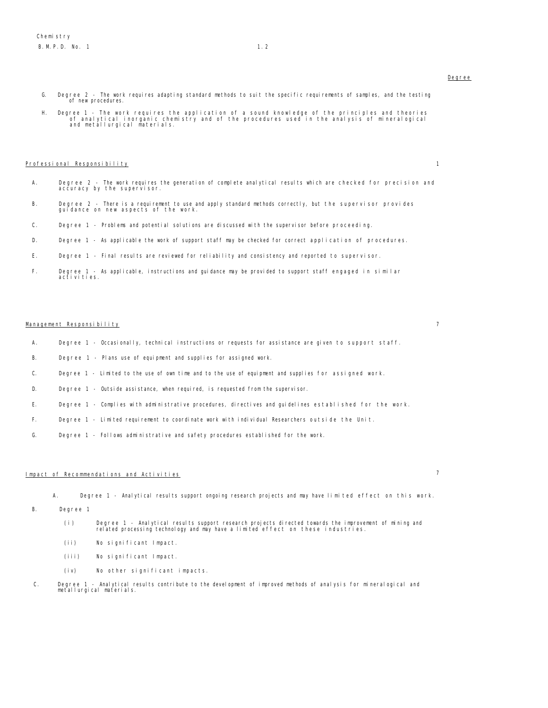- Degree
- G. Degree 2 The work requires adapting standard methods to suit the specific requirements of samples, and the testing of new procedures.
- H. Degree 1 The work requires the application of a sound knowledge of the principles and theories of analytical inorganic chemistry and of the procedures used in the analysis of mineralogical and metallurgical materials.

#### Professional Responsibility 1

- A. Degree 2 The work requires the generation of complete analytical results which are checked for precision and accuracy by the supervisor.
- B. Degree 2 There is a requirement to use and apply standard methods correctly, but the supervisor provides guidance on new aspects of the work.
- C. Degree 1 Problems and potential solutions are discussed with the supervisor before proceeding.
- D. Degree 1 As applicable the work of support staff may be checked for correct application of procedures.
- E. Degree 1 Final results are reviewed for reliability and consistency and reported to supervisor.
- F. Degree 1 As applicable, instructions and guidance may be provided to support staff engaged in similar activities.

# Management Res<u>ponsibility</u> 7

- A. Degree 1 Occasionally, technical instructions or requests for assistance are given to support staff.
- B. Degree 1 Plans use of equipment and supplies for assigned work.
- C. Degree 1 Limited to the use of own time and to the use of equipment and supplies for assigned work.
- D. Degree 1 Outside assistance, when required, is requested from the supervisor.
- E. Degree 1 Complies with administrative procedures, directives and guidelines established for the work.
- F. Degree 1 Limited requirement to coordinate work with individual Researchers outside the Unit.
- G. Degree 1 Follows administrative and safety procedures established for the work.

# Impact of Recommendations and Activities 7

A. Degree 1 - Analytical results support ongoing research projects and may have limited effect on this work.

- B. Degree 1
	- (i) Degree 1 Analytical results support research projects directed towards the improvement of mining and related processing technology and may have a limited effect on these industries.
	- (ii) No significant Impact.
	- (iii) No significant Impact.
	- (iv) No other significant impacts.
- C. Degree 1 Analytical results contribute to the development of improved methods of analysis for mineralogical and metallurgical materials.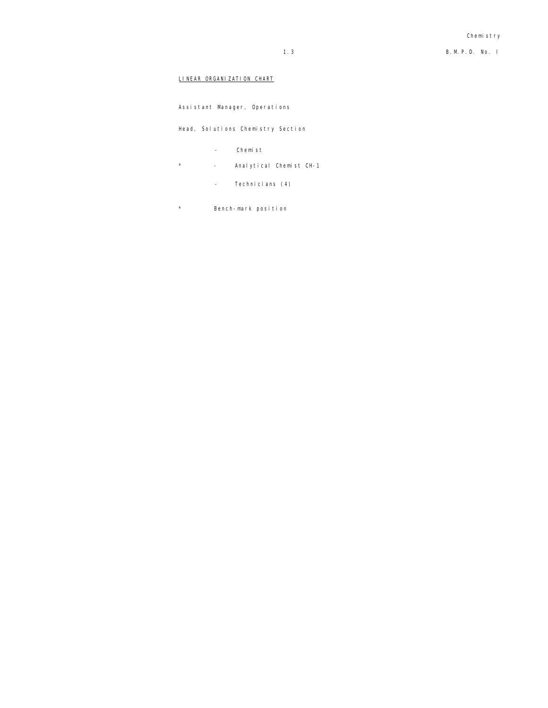# LINEAR ORGANIZATION CHART

Assistant Manager, Operations

Head, Solutions Chemistry Section

- Chemist
- \* Analytical Chemist CH-1
	- Technicians (4)
- \* Bench-mark position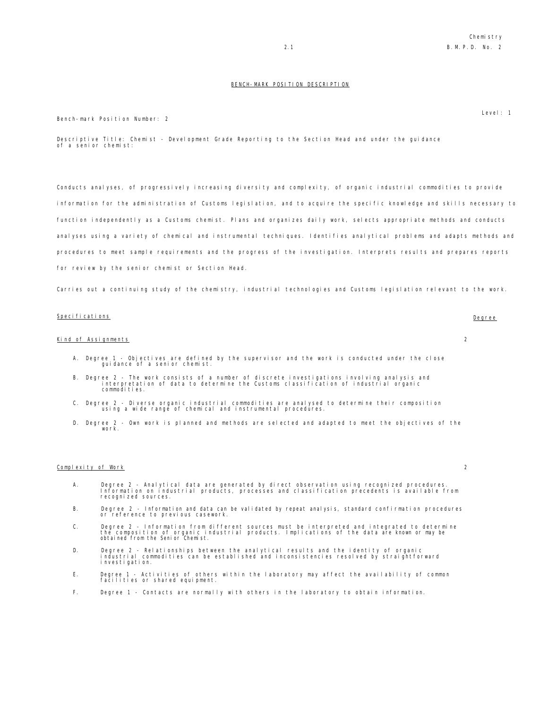Level: 1

#### BENCH-MARK POSITION DESCRIPTION

Bench-mark Position Number: 2

Descriptive Title: Chemist - Development Grade Reporting to the Section Head and under the guidance of a senior chemist:

Conducts analyses, of progressively increasing diversity and complexity, of organic industrial commodities to provide information for the administration of Customs legislation, and to acquire the specific knowledge and skills necessary to function independently as a Customs chemist. Plans and organizes daily work, selects appropriate methods and conducts analyses using a variety of chemical and instrumental techniques. Identifies analytical problems and adapts methods and procedures to meet sample requirements and the progress of the investigation. Interprets results and prepares reports for review by the senior chemist or Section Head.

Carries out a continuing study of the chemistry, industrial technologies and Customs legislation relevant to the work.

#### Specifications Degree

#### Kind of Assignments 2

- A. Degree 1 Objectives are defined by the supervisor and the work is conducted under the close guidance of a senior chemist.
- B. Degree 2 The work consists of a number of discrete investigations involving analysis and interpretation of data to determine the Customs classification of industrial organic commodities.
- C. Degree 2 Diverse organic industrial commodities are analysed to determine their composition using a wide range of chemical and instrumental procedures.
- D. Degree 2 Own work is planned and methods are selected and adapted to meet the objectives of the work.

#### Complexity of Work 2

- A. Degree 2 Analytical data are generated by direct observation using recognized procedures. Information on industrial products, processes and classification precedents is available from recognized sources.
- B. Degree 2 Information and data can be validated by repeat analysis, standard confirmation procedures or reference to previous casework.
- C. Degree 2 Information from different sources must be interpreted and integrated to determine<br>the composition of organic industrial products. Implications of the data are known or may be<br>obtained from the Senior Che
- D. Degree 2 Relationships between the analytical results and the identity of organic industrial commodities can be established and inconsistencies resolved by straightforward investigation.
- E. Degree 1 Activities of others within the laboratory may affect the availability of common facilities or shared equipment.
- F. Degree 1 Contacts are normally with others in the laboratory to obtain information.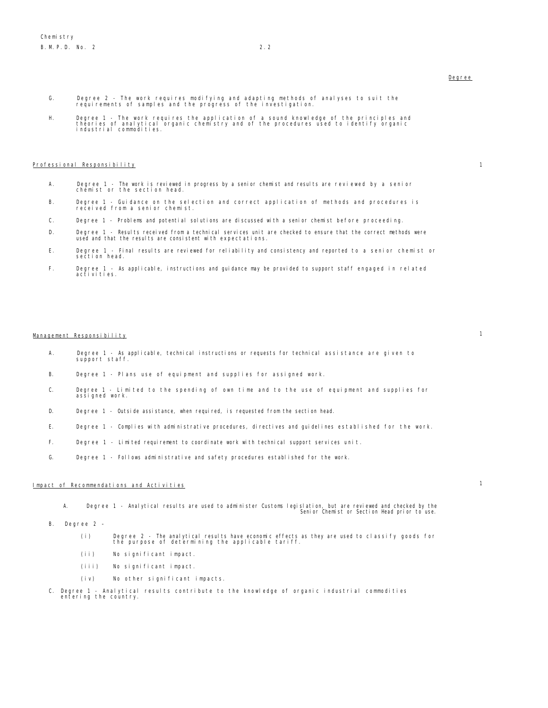### Degree

- G. Degree 2 The work requires modifying and adapting methods of analyses to suit the requirements of samples and the progress of the investigation.
- H. Degree 1 The work requires the application of a sound knowledge of the principles and<br>theories of analytical organic chemistry and of the procedures used to identify organic<br>industrial commodities.

#### Professional Responsibility 1

- 
- A. Degree 1 The work is reviewed in progress by a senior chemist and results are reviewed by a senior chemist or the section head.
- B. Degree 1 Guidance on the selection and correct application of methods and procedures is received from a senior chemist.
- C. Degree 1 Problems and potential solutions are discussed with a senior chemist before proceeding.
- D. Degree 1 Results received from a technical services unit are checked to ensure that the correct methods were used and that the results are consistent with expectations.
- E. Degree 1 Final results are reviewed for reliability and consistency and reported to a senior chemist or section head.
- F. Degree 1 As applicable, instructions and guidance may be provided to support staff engaged in related activities.

# Management Responsibility 1

- A. Degree 1 As applicable, technical instructions or requests for technical assistance are given to support staff.
- B. Degree 1 Plans use of equipment and supplies for assigned work.
- C. Degree 1 Limited to the spending of own time and to the use of equipment and supplies for assigned work.
- D. Degree 1 Outside assistance, when required, is requested from the section head.
- E. Degree 1 Complies with administrative procedures, directives and guidelines established for the work.
- F. Degree 1 Limited requirement to coordinate work with technical support services unit.
- G. Degree 1 Follows administrative and safety procedures established for the work.

# Impact of Recommendations and Activities 1

A. Degree 1 - Analytical results are used to administer Customs legislation, but are reviewed and checked by the Senior Chemist or Section Head prior to use.

- B. Degree 2
	- (i) Degree 2 The analytical results have economic effects as they are used to classify goods for the purpose of determining the applicable tariff.
	- (ii) No significant impact.
	- (iii) No significant impact.
	- (iv) No other significant impacts.
- C. Degree 1 Analytical results contribute to the knowledge of organic industrial commodities entering the country.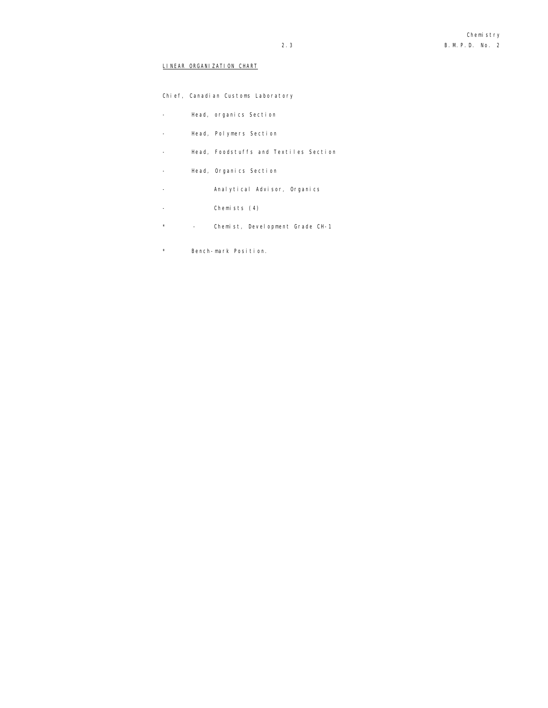# LINEAR ORGANIZATION CHART

|          | Chief, Canadian Customs Laboratory    |
|----------|---------------------------------------|
|          | Head, organics Section                |
|          | Head, Polymers Section                |
|          | Head, Foodstuffs and Textiles Section |
|          | Head, Organics Section                |
|          | Analytical Advisor, Organics          |
|          | Chemists (4)                          |
| $^\star$ | Chemist, Development Grade CH-1       |
|          |                                       |

\* Bench-mark Position.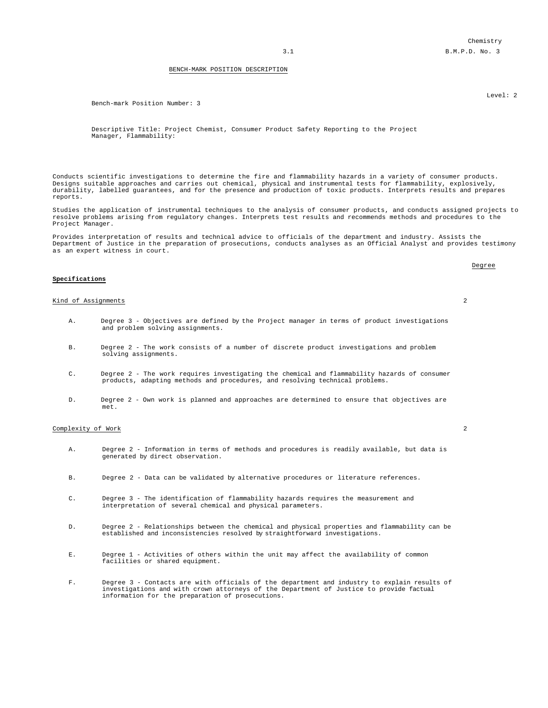Chemistry 3.1 B.M.P.D. No. 3

#### BENCH-MARK POSITION DESCRIPTION

Bench-mark Position Number: 3

Descriptive Title: Project Chemist, Consumer Product Safety Reporting to the Project Manager, Flammability:

Conducts scientific investigations to determine the fire and flammability hazards in a variety of consumer products. Designs suitable approaches and carries out chemical, physical and instrumental tests for flammability, explosively, durability, labelled guarantees, and for the presence and production of toxic products. Interprets results and prepares reports.

Studies the application of instrumental techniques to the analysis of consumer products, and conducts assigned projects to resolve problems arising from regulatory changes. Interprets test results and recommends methods and procedures to the Project Manager.

Provides interpretation of results and technical advice to officials of the department and industry. Assists the Department of Justice in the preparation of prosecutions, conducts analyses as an Official Analyst and provides testimony as an expert witness in court.

### **Specifications**

#### Kind of Assignments 2

- A. Degree 3 Objectives are defined by the Project manager in terms of product investigations and problem solving assignments.
- B. Degree 2 The work consists of a number of discrete product investigations and problem solving assignments.
- C. Degree 2 The work requires investigating the chemical and flammability hazards of consumer products, adapting methods and procedures, and resolving technical problems.
- D. Degree 2 Own work is planned and approaches are determined to ensure that objectives are met.

# Complexity of Work 2

- A. Degree 2 Information in terms of methods and procedures is readily available, but data is generated by direct observation.
- B. Degree 2 Data can be validated by alternative procedures or literature references.
- C. Degree 3 The identification of flammability hazards requires the measurement and interpretation of several chemical and physical parameters.
- D. Degree 2 Relationships between the chemical and physical properties and flammability can be established and inconsistencies resolved by straightforward investigations.
- E. Degree 1 Activities of others within the unit may affect the availability of common facilities or shared equipment.
- F. Degree 3 Contacts are with officials of the department and industry to explain results of investigations and with crown attorneys of the Department of Justice to provide factual information for the preparation of prosecutions.

Level: 2

Degree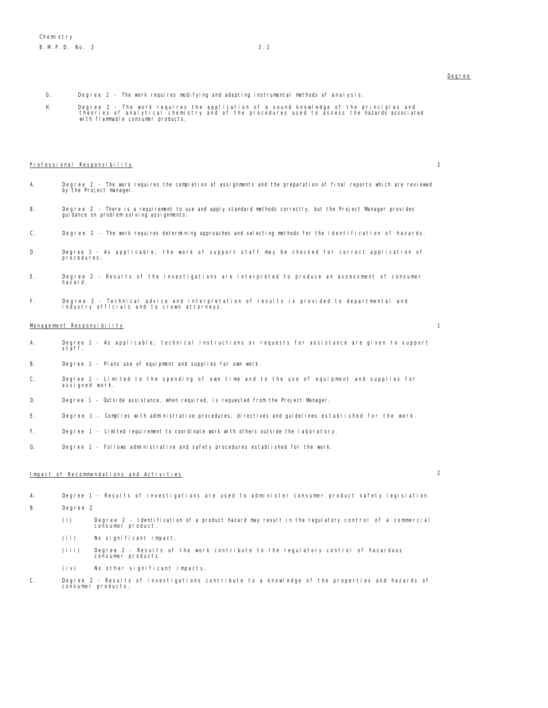- G. Degree 2 The work requires modifying and adapting instrumental methods of analysis.
- H. Degree 2 The work requires the application of a sound knowledge of the principles and theories of analytical chemistry and of the procedures used to assess the hazards associated with flammable consumer products.

#### Professional Responsibility 2

- 
- A. Degree 2 The work requires the completion of assignments and the preparation of final reports which are reviewed by the Project manager.
- B. Degree 2 There is a requirement to use and apply standard methods correctly, but the Project Manager provides guidance on problem solving assignments.
- C. Degree 2 The work requires determining approaches and selecting methods for the identification of hazards.
- D. Degree 1 As applicable, the work of support staff may be checked for correct application of procedures.
- E. Degree 2 Results of the investigations are interpreted to produce an assessment of consumer<br>hazard
- F. Degree 3 Technical advice and interpretation of results is provided to departmental and industry officials and to crown attorneys.

### Management Responsibility 1

- A. Degree 1 As applicable, technical instructions or requests for assistance are given to support staff.
- B. Degree 1 Plans use of equipment and supplies for own work.
- C. Degree 1 Limited to the spending of own time and to the use of equipment and supplies for assigned work.
- D. Degree 1 Outside assistance, when required, is requested from the Project Manager.
- E. Degree 1 Complies with administrative procedures, directives and guidelines established for the work.
- F. Degree 1 Limited requirement to coordinate work with others outside the laboratory.
- G. Degree 1 Follows administrative and safety procedures established for the work.

# Impact of Recommendations and Activities 2

- A. Degree 1 Results of investigations are used to administer consumer product safety legislation.
- B. Degree 2
	- (i) Degree 2 Identification of a product hazard may result in the regulatory control of a commercial consumer product.
	- (ii) No significant impact.
	- (iii) Degree 2 Results of the work contribute to the regulatory control of hazardous consumer products.
	- (iv) No other significant impacts.
- C. Degree 2 Results of investigations contribute to a knowledge of the properties and hazards of consumer products.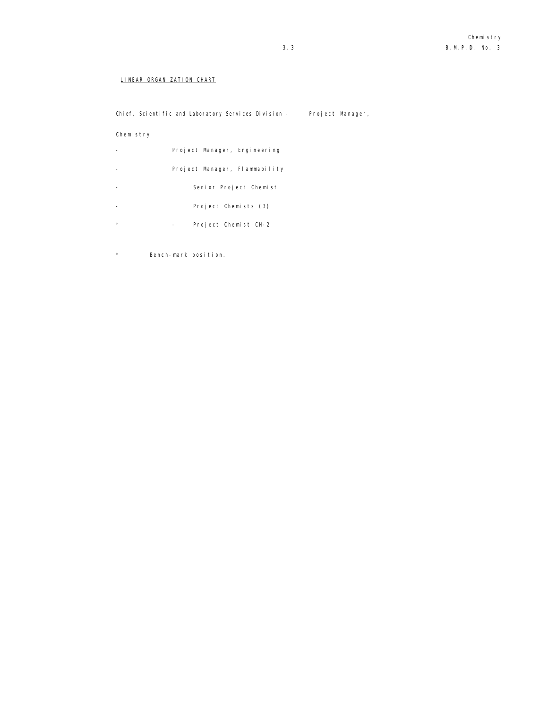# LINEAR ORGANIZATION CHART

Chief, Scientific and Laboratory Services Division - Project Manager,

# Chemistry

|         | Project Manager, Engineering  |
|---------|-------------------------------|
|         | Project Manager, Flammability |
|         | Senior Project Chemist        |
|         | Project Chemists (3)          |
| $\star$ | Project Chemist CH-2          |
|         |                               |

\* Bench-mark position.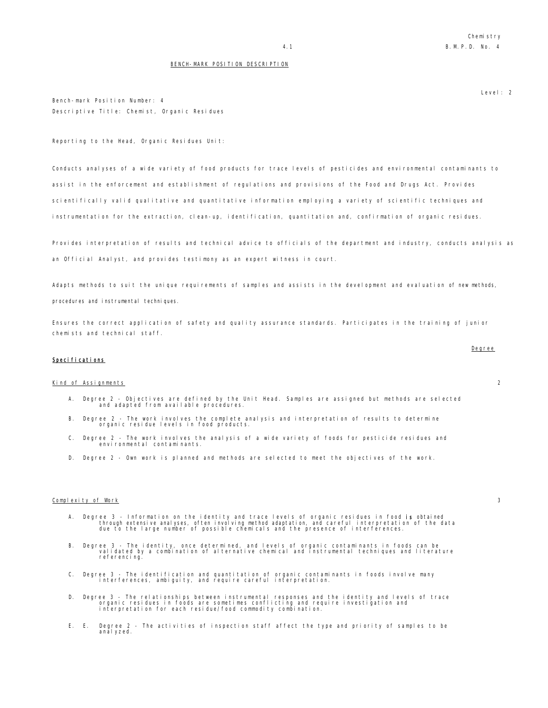#### BENCH-MARK POSITION DESCRIPTION

Bench-mark Position Number: 4 Descriptive Title: Chemist, Organic Residues

Reporting to the Head, Organic Residues Unit:

Conducts analyses of a wide variety of food products for trace levels of pesticides and environmental contaminants to assist in the enforcement and establishment of regulations and provisions of the Food and Drugs Act. Provides scientifically valid qualitative and quantitative information employing a variety of scientific techniques and instrumentation for the extraction, clean-up, identification, quantitation and, confirmation of organic residues.

Provides interpretation of results and technical advice to officials of the department and industry, conducts analysis as an Official Analyst, and provides testimony as an expert witness in court.

Adapts methods to suit the unique requirements of samples and assists in the development and evaluation of new methods,

procedures and instrumental techniques.

Ensures the correct application of safety and quality assurance standards. Participates in the training of junior chemists and technical staff.

### Specifications

#### Kind of Assignments 2

- A. Degree 2 Objectives are defined by the Unit Head. Samples are assigned but methods are selected and adapted from available procedures.
- B. Degree 2 The work involves the complete analysis and interpretation of results to determine organic residue levels in food products.
- C. Degree 2 The work involves the analysis of a wide variety of foods for pesticide residues and environmental contaminants.
- D. Degree 2 Own work is planned and methods are selected to meet the objectives of the work.

#### Complexity of Work 3

- A. Degree 3 Information on the identity and trace levels of organic residues in food **is** obtained<br>through extensive analyses, often involving method adaptation, and careful interpretation of the data<br>due to the large nu
- B. Degree 3 The identity, once determined, and levels of organic contaminants in foods can be<br>validated by a combination of alternative chemical and instrumental techniques and literature<br>referencing.
- C. Degree 3 The identification and quantitation of organic contaminants in foods involve many interferences, ambiguity, and require careful interpretation.
- D. Degree 3 The relationships between instrumental responses and the identity and levels of trace<br>organic residues in foods are sometimes conflicting and require investigation and<br>interpretation for each residue/food com
- E. E. Degree 2 The activities of inspection staff affect the type and priority of samples to be anal yzed.

Degree

# Level: 2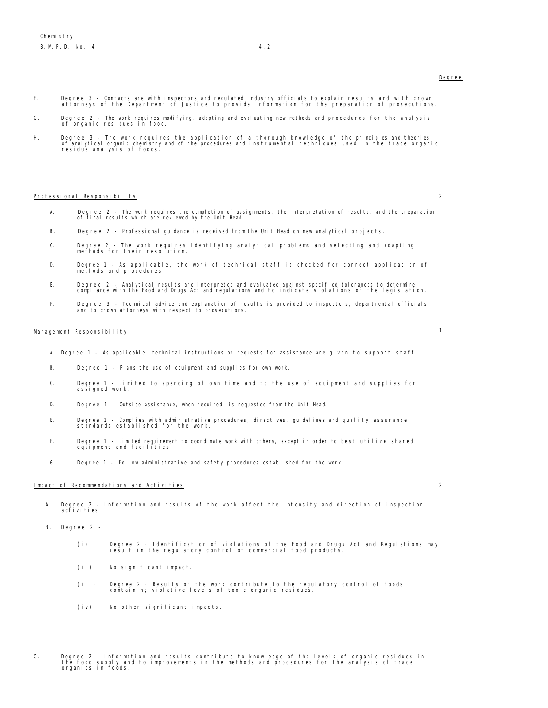#### Degree

- F. Degree 3 Contacts are with inspectors and regulated industry officials to explain results and with crown attorneys of the Department of Justice to provide information for the preparation of prosecutions.
- G. Degree 2 The work requires modifying, adapting and evaluating new methods and procedures for the analysis of organic residues in food.
- H. Degree 3 The work requires the application of a thorough knowledge of the principles and theories<br>In the strail of the procedures and instrumental techniques used in the trace organic<br>residue analysis of foods.

#### Professional Responsibility 2

- 
- A. Degree 2 The work requires the completion of assignments, the interpretation of results, and the preparation of final results which are reviewed by the Unit Head.
- B. Degree 2 Professional guidance is received from the Unit Head on new analytical projects.
- C. Degree 2 The work requires identifying analytical problems and selecting and adapting methods for their resolution.
- D. Degree 1 As applicable, the work of technical staff is checked for correct application of methods and procedures.
- E. Degree 2 Analytical results are interpreted and evaluated against specified tolerances to determine compliance with the Food and Drugs Act and regulations and to indicate violations of the legislation.
- F. Degree 3 Technical advice and explanation of results is provided to inspectors, departmental officials, and to crown attorneys with respect to prosecutions.

# Management Responsibility 1

- A. Degree 1 As applicable, technical instructions or requests for assistance are given to support staff.
- B. Degree 1 Plans the use of equipment and supplies for own work.
- C. Degree 1 Limited to spending of own time and to the use of equipment and supplies for assigned work.
- D. Degree 1 Outside assistance, when required, is requested from the Unit Head.
- E. Degree 1 Complies with administrative procedures, directives, guidelines and quality assurance standards established for the work.
- F. Degree 1 Limited requirement to coordinate work with others, except in order to best utilize shared equipment and facilities.
- G. Degree 1 Follow administrative and safety procedures established for the work.

#### Impact of Recommendations and Activities 2

A. Degree 2 - Information and results of the work affect the intensity and direction of inspection activities.

- B. Degree 2
	- (i) Degree 2 Identification of violations of the Food and Drugs Act and Regulations may result in the regulatory control of commercial food products.
	- (ii) No significant impact.
	- (iii) Degree 2 Results of the work contribute to the regulatory control of foods containing violative levels of toxic organic residues.
	- (iv) No other significant impacts.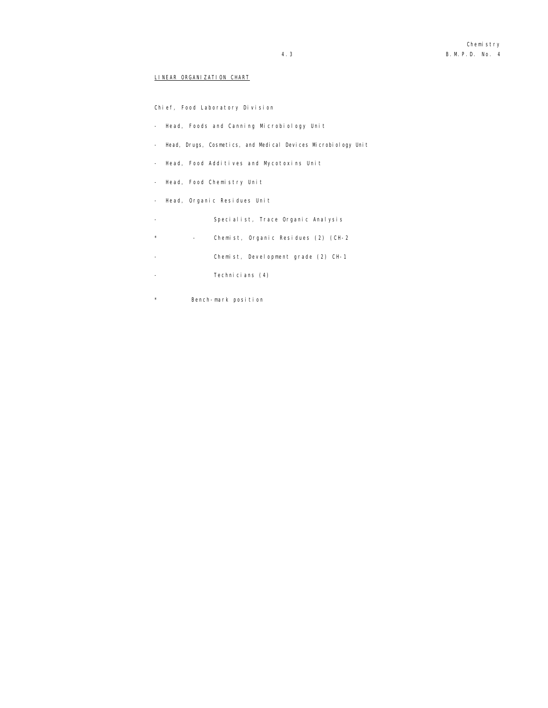### LINEAR ORGANIZATION CHART

Chief, Food Laboratory Division

- Head, Foods and Canning Microbiology Unit
- Head, Drugs, Cosmetics, and Medical Devices Microbiology Unit
- Head, Food Additives and Mycotoxins Unit
- Head, Food Chemistry Unit
- Head, Organic Residues Unit
- Specialist, Trace Organic Analysis
- \* Chemist, Organic Residues (2) (CH-2
- Chemist, Development grade (2) CH-1
- Technicians (4)
- \* Bench-mark position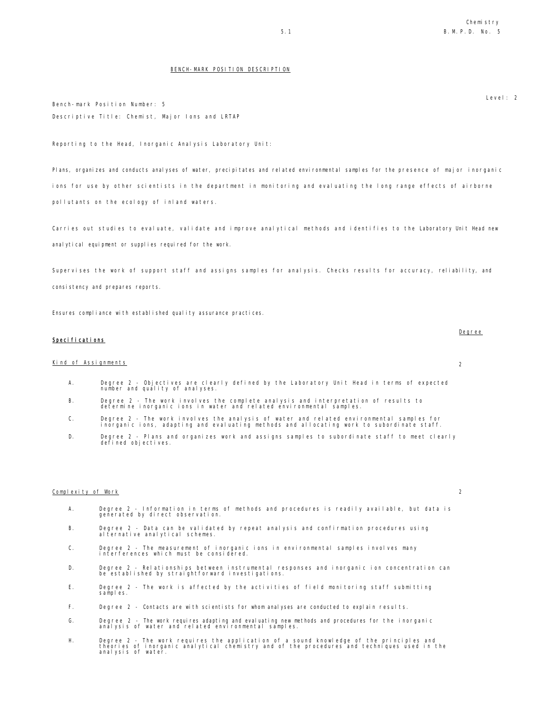Level: 2

#### BENCH-MARK POSITION DESCRIPTION

Bench-mark Position Number: 5 Descriptive Title: Chemist, Major Ions and LRTAP

Reporting to the Head, Inorganic Analysis Laboratory Unit:

Plans, organizes and conducts analyses of water, precipitates and related environmental samples for the presence of major inorganic ions for use by other scientists in the department in monitoring and evaluating the long range effects of airborne pollutants on the ecology of inland waters.

Carries out studies to evaluate, validate and improve analytical methods and identifies to the Laboratory Unit Head new anal ytical equipment or supplies required for the work.

Supervises the work of support staff and assigns samples for analysis. Checks results for accuracy, reliability, and consistency and prepares reports.

Ensures compliance with established quality assurance practices.

### Specifications

# Kind of Assignments 2

- A. Degree 2 Objectives are clearly defined by the Laboratory Unit Head in terms of expected number and quality of analyses.
- B. Degree 2 The work involves the complete analysis and interpretation of results to determine inorganic ions in water and related environmental samples.
- C. Degree 2 The work involves the analysis of water and related environmental samples for inorganic ions, adapting and evaluating methods and allocating work to subordinate staff.
- D. Degree 2 Plans and organizes work and assigns samples to subordinate staff to meet clearly Degree 2 - Plans a<br>defined objectives

#### Complexity of Work 2

- A. Degree 2 Information in terms of methods and procedures is readily available, but data is generated by direct observation.
- B. Degree 2 Data can be validated by repeat analysis and confirmation procedures using al ternative analytical schemes.
- C. Degree 2 The measurement of inorganic ions in environmental samples involves many interferences which must be considered.
- D. Degree 2 Relationships between instrumental responses and inorganic ion concentration can be established by straightforward investigations.
- E. Degree 2 The work is affected by the activities of field monitoring staff submitting samples.
- F. Degree 2 Contacts are with scientists for whom analyses are conducted to explain results.
- G. Degree 2 The work requires adapting and evaluating new methods and procedures for the inorganic analysis of water and related environmental samples.
- H. Degree 2 The work requires the application of a sound knowledge of the principles and theories of inorganic analytical chemistry and of the procedures and techniques used in the analysis of water.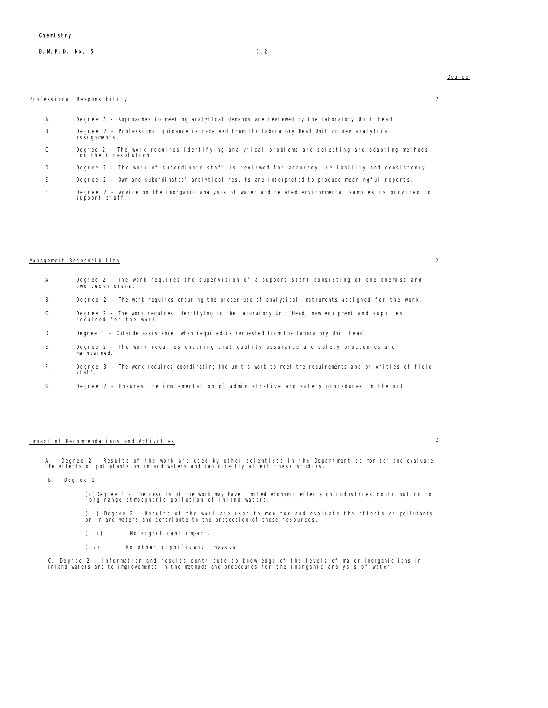### B. M. P. D. No. 5 5.2

#### Professional Responsibility 2

- A. Degree 3 Approaches to meeting analytical demands are reviewed by the Laboratory Unit Head.
- B. Degree 2 Professional guidance is received from the Laboratory Head Unit on new analytical assignments.
- C. Degree 2 The work requires identifying analytical problems and selecting and adapting methods for their resolution.
- D. Degree 2 The work of subordinate staff is reviewed for accuracy, reliability and consistency.
- E. Degree 2 Own and subordinates' analytical results are interpreted to produce meaningful reports.
- F. Degree 2 Advice on the inorganic analysis of water and related environmental samples is provided to support staff.

#### $M$ anagement Responsibility 2

- A. Degree 2 The work requires the supervision of a support staff consisting of one chemist and two technicians.
- B. Degree 2 The work requires ensuring the proper use of analytical instruments assigned for the work.
- C. Degree 2 The work requires identifying to the Laboratory Unit Head, new equipment and supplies required for the work.
- D. Degree 1 Outside assistance, when required is requested from the Laboratory Unit Head.
- E. Degree 2 The work requires ensuring that quality assurance and safety procedures are maintained.
- F. Degree 3 The work requires coordinating the unit's work to meet the requirements and priorities of field staff.
- G. Degree 2 Ensures the implementation of administrative and safety procedures in the nit.

# Impact of Recommendations and Activities 2

A. Degree 2 - Results of the work are used by other scientists in the Department to monitor and evaluate the effects of pollutants on inland waters and can directly affect these studies.

B. Degree 2

(i)Degree 1 - The results of the work may have limited economic effects on industries contributing to long range atmospheric pollution of inland waters.

(ii) Degree 2 - Results of the work are used to monitor and evaluate the effects of pollutants on inland waters and contribute to the protection of these resources.

- (iii) No significant impact.
- (iv) No other significant impacts.

C. Degree 2 - Information and results contribute to knowledge of the levels of major inorganic ions in inland waters and to improvements in the methods and procedures for the inorganic analysis of water.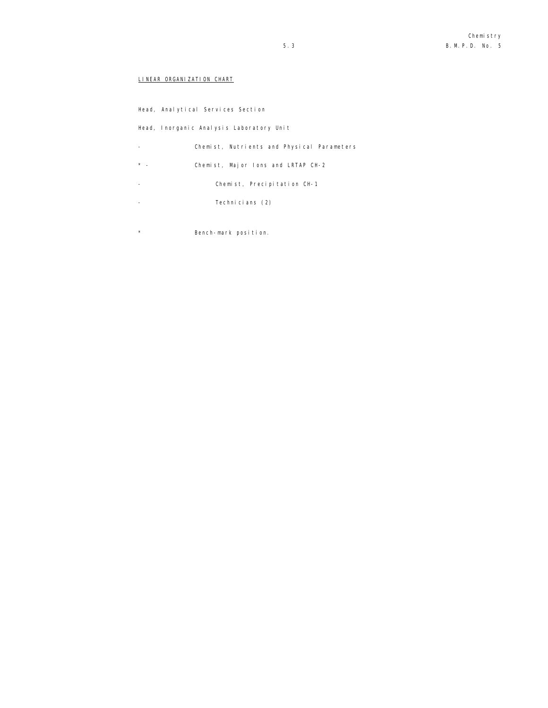# LINEAR ORGANIZATION CHART

Head, Analytical Services Section

Head, Inorganic Analysis Laboratory Unit

- Chemist, Nutrients and Physical Parameters
- \* Chemist, Major Ions and LRTAP CH-2
- Chemist, Precipitation CH-1
- Technicians (2)
- \* Bench-mark position.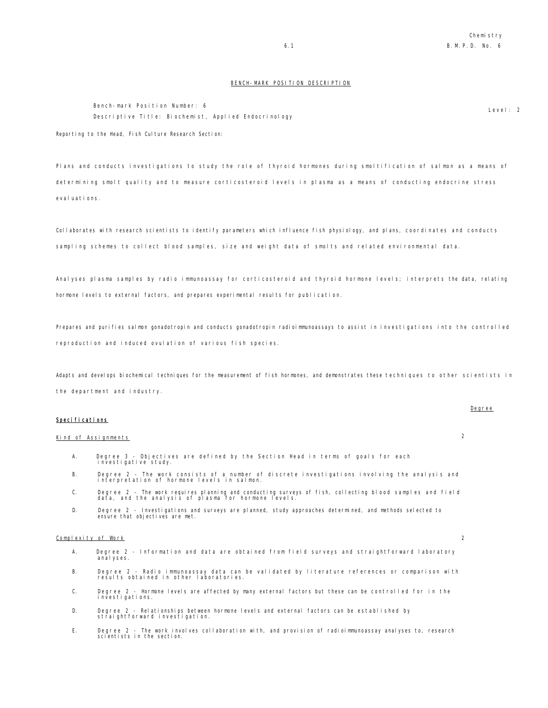### BENCH-MARK POSITION DESCRIPTION

Bench-mark Position Number: 6 Descriptive Title: Biochemist, Applied Endocrinology

Level: 2

Reporting to the Head, Fish Culture Research Section:

Plans and conducts investigations to study the role of thyroid hormones during smoltification of salmon as a means of determining smolt quality and to measure corticosteroid levels in plasma as a means of conducting endocrine stress eval uations.

Collaborates with research scientists to identify parameters which influence fish physiology, and plans, coordinates and conducts sampling schemes to collect blood samples, size and weight data of smolts and related environmental data.

Analyses plasma samples by radio immunoassay for corticosteroid and thyroid hormone levels; interprets the data, relating hormone levels to external factors, and prepares experimental results for publication.

Prepares and purifies salmon gonadotropin and conducts gonadotropin radioimmunoassays to assist in investigations into the controlled reproduction and induced ovulation of various fish species.

Adapts and develops biochemical techniques for the measurement of fish hormones, and demonstrates these techniques to other scientists in the department and industry.

#### Specifications

## Kind of Assignments 2

- A. Degree 3 Objectives are defined by the Section Head in terms of goals for each investigative study.
- B. Degree 2 The work consists of a number of discrete investigations involving the analysis and interpretation of hormone levels in salmon.
- C. Degree 2 The work requires planning and conducting surveys of fish, collecting blood samples and field data, and the analysis of plasma for hormone levels.
- D. Degree 2 Investigations and surveys are planned, study approaches determined, and methods selected to ensure that objectives are met.

#### Complexity of Work 2

- A. Degree 2 Information and data are obtained from field surveys and straightforward laboratory anal yses.
- B. Degree 2 Radio immunoassay data can be validated by literature references or comparison with results obtained in other laboratories.
- C. Degree 2 Hormone levels are affected by many external factors but these can be controlled for in the investigations.
- D. Degree 2 Relationships between hormone levels and external factors can be established by straightforward investigation.
- E. Degree 2 The work involves collaboration with, and provision of radioimmunoassay analyses to, research scientists in the section.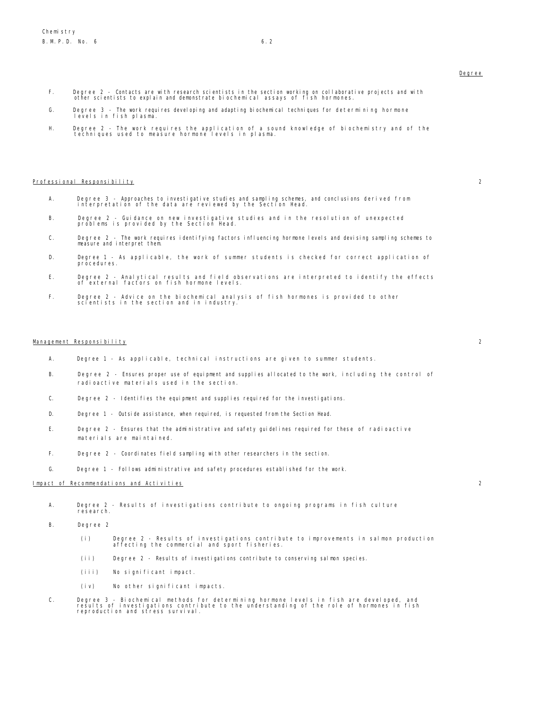- F. Degree 2 Contacts are with research scientists in the section working on collaborative projects and with other scientists to explain and demonstrate biochemical assays of fish hormones.
	- G. Degree 3 The work requires developing and adapting biochemical techniques for determining hormone levels in fish plasma.
	- H. Degree 2 The work requires the application of a sound knowledge of biochemistry and of the techniques used to measure hormone levels in plasma.

### Professional Responsibility 2

- A. Degree 3 Approaches to investigative studies and sampling schemes, and conclusions derived from interpretation of the data are reviewed by the Section Head.
- B. Degree 2 Guidance on new investigative studies and in the resolution of unexpected problems is provided by the Section Head.
- C. Degree 2 The work requires identifying factors influencing hormone levels and devising sampling schemes to<br>measure and interpret them.
- D. Degree 1 As applicable, the work of summer students is checked for correct application of procedures.
- E. Degree 2 Analytical results and field observations are interpreted to identify the effects of external factors on fish hormone levels.
- F. Degree 2 Advice on the biochemical analysis of fish hormones is provided to other scientists in the section and in industry.

#### Management Responsibility 2

- A. Degree 1 As applicable, technical instructions are given to summer students.
- B. Degree 2 Ensures proper use of equipment and supplies allocated to the work, including the control of radioactive materials used in the section.
- C. Degree 2 Identifies the equipment and supplies required for the investigations.
- D. Degree 1 Outside assistance, when required, is requested from the Section Head.
- E. Degree 2 Ensures that the administrative and safety guidelines required for these of radioactive materials are maintained.
- F. Degree 2 Coordinates field sampling with other researchers in the section.
- G. Degree 1 Follows administrative and safety procedures established for the work.

#### Impact of Recommendations and Activities 2

- A. Degree 2 Results of investigations contribute to ongoing programs in fish culture research.
- B. Degree 2
	- (i) Degree 2 Results of investigations contribute to improvements in salmon production affecting the commercial and sport fisheries.
	- (ii) Degree 2 Results of investigations contribute to conserving salmon species.
	- (iii) No significant impact.
	- (iv) No other significant impacts.
- C. Degree 3 Biochemical methods for determining hormone levels in fish are developed, and results of investigations contribute to the understanding of the role of hormones in fish reproduction and stress survival.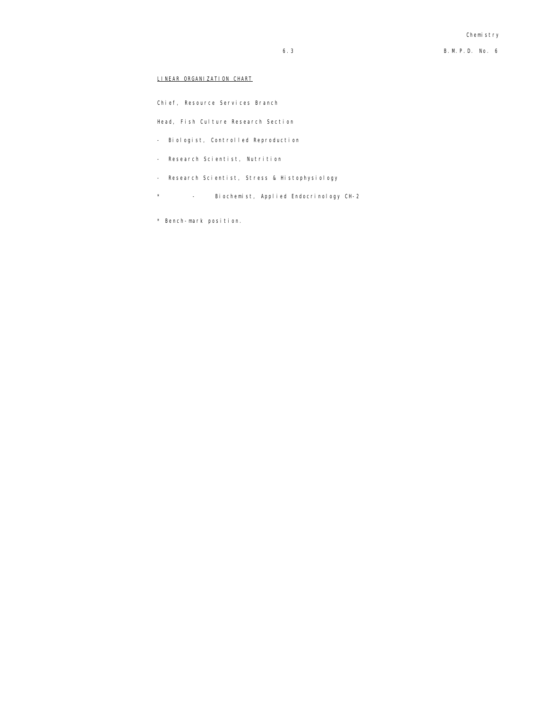## LINEAR ORGANIZATION CHART

Chief, Resource Services Branch

Head, Fish Culture Research Section

- Biologist, Controlled Reproduction
- Research Scientist, Nutrition
- Research Scientist, Stress & Histophysiology
- \* Biochemist, Applied Endocrinology CH-2
- \* Bench-mark position.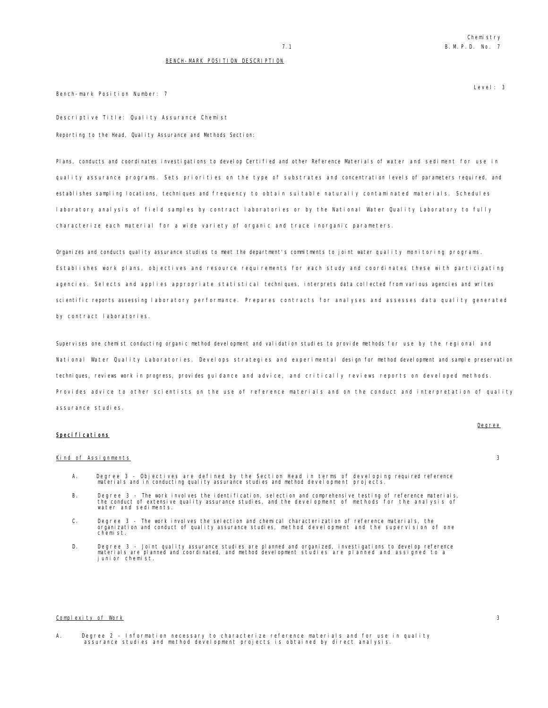Level: 3

#### BENCH-MARK POSITION DESCRIPTION

Bench-mark Position Number: 7

Descriptive Title: Quality Assurance Chemist Reporting to the Head, Quality Assurance and Methods Section:

Plans, conducts and coordinates investigations to develop Certified and other Reference Materials of water and sediment for use in quality assurance programs. Sets priorities on the type of substrates and concentration levels of parameters required, and establishes sampling locations, techniques and frequency to obtain suitable naturally contaminated materials. Schedules laboratory analysis of field samples by contract laboratories or by the National Water Quality Laboratory to fully characterize each material for a wide variety of organic and trace inorganic parameters.

Organizes and conducts quality assurance studies to meet the department's commitments to joint water quality monitoring programs. Establishes work plans, objectives and resource requirements for each study and coordinates these with participating agencies. Selects and applies appropriate statistical techniques, interprets data collected from various agencies and writes scientific reports assessing laboratory performance. Prepares contracts for analyses and assesses data quality generated by contract laboratories.

Supervises one chemist conducting organic method development and validation studies to provide methods for use by the regional and National Water Quality Laboratories. Develops strategies and experimental design for method development and sample preservation techniques, reviews work in progress, provides guidance and advice, and critically reviews reports on developed methods. Provides advice to other scientists on the use of reference materials and on the conduct and interpretation of quality assurance studies.

#### Specifications

### Kind of Assignments 3

Degree

- A. Degree 3 Objectives are defined by the Section Head in terms of developing required reference materials and in conducting quality assurance studies and method development projects.
- B. Degree 3 The work involves the identification, selection and comprehensive testing of reference materials, the conduct of extensive quality assurance studies, and the development of methods for the analysis of water and sediments.
- C. Degree 3 The work involves the selection and chemical characterization of reference materials, the organization and conduct of quality assurance studies, method development and the supervision of one chemist.
- D. Degree 3 Joint quality assurance studies are planned and organized, investigations to develop reference materials are planned and coordinated, and method development studies are planned and assigned to a junior chemist.

#### Complexity of Work 3

A. Degree 2 - Information necessary to characterize reference materials and for use in quality assurance studies and method development projects is obtained by direct analysis.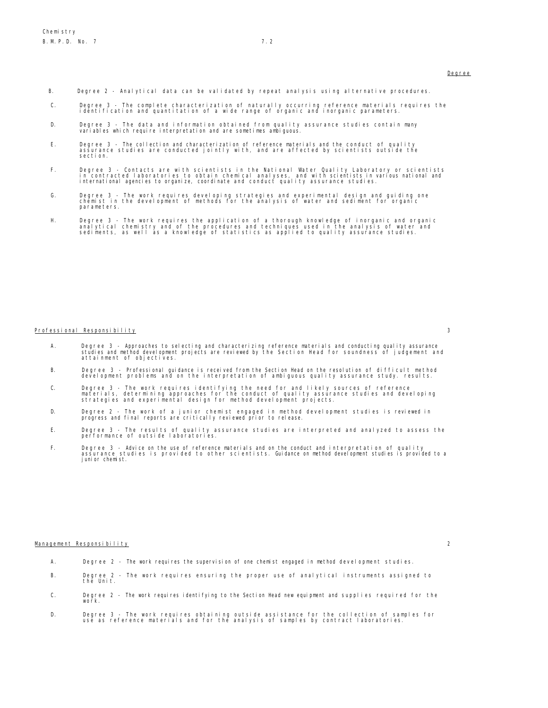- B. Degree 2 Analytical data can be validated by repeat analysis using alternative procedures.
- C. Degree 3 The complete characterization of naturally occurring reference materials requires the identification and quantitation of a wide range of organic and inorganic parameters.
- D. Degree 3 The data and information obtained from quality assurance studies contain many variables which require interpretation and are sometimes ambiguous.
- E. Degree 3 The collection and characterization of reference materials and the conduct of quality assurance studies are conducted jointly with, and are affected by scientists outside the section.
- F. Degree 3 Contacts are with scientists in the National Water Quality Laboratory or scientists<br>in contracted laboratories to obtain chemical analyses, and with scientists in various national and<br>international agenci
- G. Degree 3 The work requires developing strategies and experimental design and guiding one chemist in the development of methods for the analysis of water and sediment for organic parameters.
- H. Degree 3 The work requires the application of a thorough knowledge of inorganic and organic<br>analytical chemistry and of the procedures and techniques used in the analysis of water and<br>sediments, as well as a knowl

#### Professional Responsibility 3

- 
- A. Degree 3 Approaches to selecting and characterizing reference materials and conducting quality assurance studies and method development projects are reviewed by the Section Head for soundness of judgement and attainment of objectives.
- B. Degree 3 Professional guidance is received from the Section Head on the resolution of difficult method development problems and on the interpretation of ambiguous quality assurance study. results.
- C. Degree 3 The work requires identifying the need for and likely sources of reference<br>materials, determining approaches for the conduct of quality assurance studies and developing<br>strategies and experimental design
- D. Degree 2 The work of a junior chemist engaged in method development studies is reviewed in progress and final reports are critically reviewed prior to release.
- E. Degree 3 The results of quality assurance studies are interpreted and analyzed to assess the performance of outside laboratories.
- F. Degree 3 Advice on the use of reference materials and on the conduct and interpretation of quality assurance studies is provided to other scientists. Guidance on method development studies is provided to a junior chemist.

#### Management Responsibility 2

- A. Degree 2 The work requires the supervision of one chemist engaged in method development studies.
- B. Degree 2 The work requires ensuring the proper use of analytical instruments assigned to the Unit.
- C. Degree 2 The work requires identifying to the Section Head new equipment and supplies required for the work.
- D. Degree 3 The work requires obtaining outside assistance for the collection of samples for use as reference materials and for the analysis of samples by contract laboratories.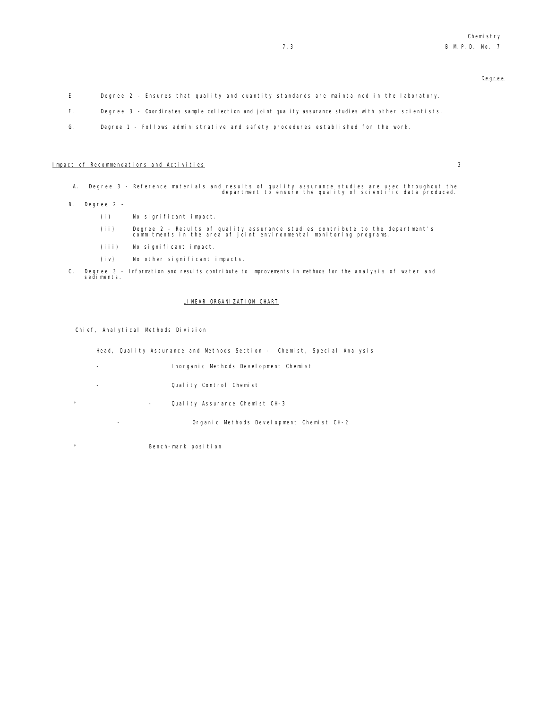- E. Degree 2 Ensures that quality and quantity standards are maintained in the laboratory.
- F. Degree 3 Coordinates sample collection and joint quality assurance studies with other scientists.
- G. Degree 1 Follows administrative and safety procedures established for the work.

## Impact of Recommendations and Activities 3

- A. Degree 3 Reference materials and results of quality assurance studies are used throughout the department to ensure the quality of scientific data produced.
- B. Degree 2
	- (i) No significant impact.
	- (ii) Degree 2 Results of quality assurance studies contribute to the department's commitments in the area of joint environmental monitoring programs.
	- (iii) No significant impact.
	- (iv) No other significant impacts.
- C. Degree 3 Information and results contribute to improvements in methods for the analysis of water and sediments.

#### LINEAR ORGANIZATION CHART

Chief, Analytical Methods Division

Head, Quality Assurance and Methods Section - Chemist, Special Analysis

- Inorganic Methods Development Chemist
- Quality Control Chemist
- \* Quality Assurance Chemist CH-3

- Organic Methods Development Chemist CH-2

\* Bench-mark position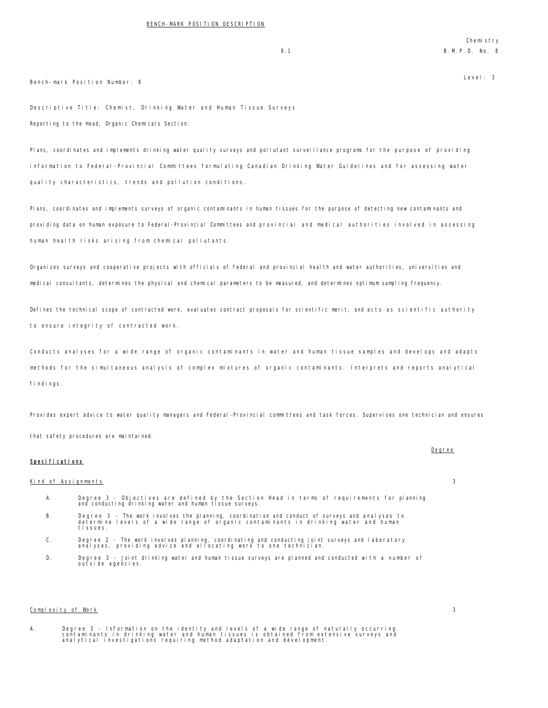### Bench-mark Position Number: 8

Descriptive Title: Chemist, Drinking Water and Human Tissue Surveys Reporting to the Head, Organic Chemicals Section:

Plans, coordinates and implements drinking water quality surveys and pollutant surveillance programs for the purpose of providing information to Federal-Provincial Committees formulating Canadian Drinking Water Guidelines and for assessing water quality characteristics, trends and pollution conditions.

Plans, coordinates and implements surveys of organic contaminants in human tissues for the purpose of detecting new contaminants and providing data on human exposure to Federal-Provincial Committees and provincial and medical authorities involved in assessing human health risks arising from chemical pollutants.

Organizes surveys and cooperative projects with officials of federal and provincial health and water authorities, universities and medical consultants, determines the physical and chemical parameters to be measured, and determines optimum sampling frequency.

Defines the technical scope of contracted work, evaluates contract proposals for scientific merit, and acts as scientific authority to ensure integrity of contracted work.

Conducts analyses for a wide range of organic contaminants in water and human tissue samples and develops and adapts methods for the simultaneous analysis of complex mixtures of organic contaminants. Interprets and reports analytical findings.

Provides expert advice to water quality managers and Federal-Provincial committees and task forces. Supervises one technician and ensures that safety procedures are maintained.

## Specifications

#### Kind of Assignments 3

- A. Degree 3 Objectives are defined by the Section Head in terms of requirements for planning and conducting drinking water and human tissue surveys.
- B. Degree 3 The work involves the planning, coordination and conduct of surveys and analyses to determine levels of a wide range of organic contaminants in drinking water and human tissues.
- C. Degree 2 The work involves planning, coordinating and conducting joint surveys and laboratory analyses, providing advice and allocating work to one technician.
- D. Degree 3 Joint drinking water and human tissue surveys are planned and conducted with a number of outside agencies.

#### Complexity of Work 3

A. Degree 3 - Information on the identity and levels of a wide range of naturally occurring<br>contaminants in drinking water and human tissues is obtained from extensive surveys and<br>analytical investigations requiring me

# Degree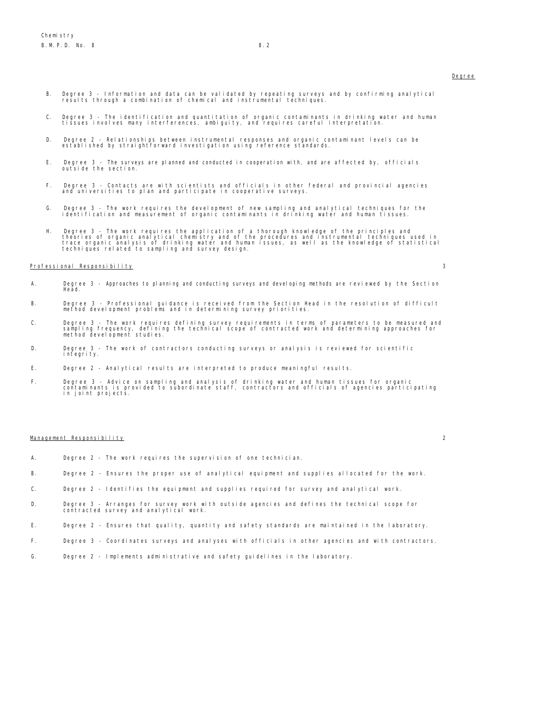- B. Degree 3 Information and data can be validated by repeating surveys and by confirming analytical results through a combination of chemical and instrumental techniques.
- C. Degree 3 The identification and quantitation of organic contaminants in drinking water and human tissues involves many interferences, ambiguity, and requires careful interpretation.
- D. Degree 2 Relationships between instrumental responses and organic contaminant levels can be established by straightforward investigation using reference standards.
- E. Degree 3 The surveys are planned and conducted in cooperation with, and are affected by, officials outside the section.
- F. Degree 3 Contacts are with scientists and officials in other federal and provincial agencies and universities to plan and participate in cooperative surveys.
- G. Degree 3 The work requires the development of new sampling and analytical techniques for the identification and measurement of organic contaminants in drinking water and human tissues.
- H. Degree 3 The work requires the application of a thorough knowledge of the principles and<br>theories of organic analytical chemistry and of the procedures and instrumental techniques used in<br>trace organic analysis of dri

#### Professional Responsibility 3

- A. Degree 3 Approaches to planning and conducting surveys and developing methods are reviewed by the Section Head.
- B. Degree 3 Professional guidance is received from the Section Head in the resolution of difficult method development problems and in determining survey priorities.
- C. Degree 3 The work requires defining survey requirements in terms of parameters to be measured and<br>sampling frequency, defining the technical scope of contracted work and determining approaches for<br>method developme
- D. Degree 3 The work of contractors conducting surveys or analysis is reviewed for scientific integrity.
- E. Degree 2 Analytical results are interpreted to produce meaningful results.
- F. Degree 3 Advice on sampling and analysis of drinking water and human tissues for organic contaminants is provided to subordinate staff, contractors and officials of agencies participating in joint projects.

#### Management Responsibility 2

- A. Degree 2 The work requires the supervision of one technician.
- B. Degree 2 Ensures the proper use of analytical equipment and supplies allocated for the work.
- C. Degree 2 Identifies the equipment and supplies required for survey and analytical work.
- D. Degree 3 Arranges for survey work with outside agencies and defines the technical scope for contracted survey and analytical work.
- E. Degree 2 Ensures that quality, quantity and safety standards are maintained in the laboratory.
- F. Degree 3 Coordinates surveys and analyses with officials in other agencies and with contractors.
- G. Degree 2 Implements administrative and safety guidelines in the laboratory.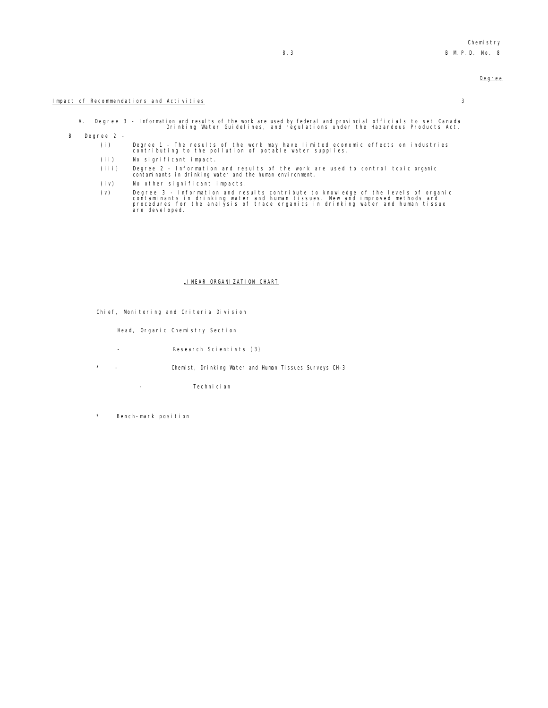#### Impact of Recommendations and Activities 3

A. Degree 3 - Information and results of the work are used by federal and provincial officials to set Canada Drinking Water Guidelines, and regulations under the Hazardous Products Act.

- B. Degree 2
	- (i) Degree 1 The results of the work may have limited economic effects on industries contributing to the pollution of potable water supplies.
	- (ii) No significant impact.
	- (iii) Degree 2 Information and results of the work are used to control toxic organic contaminants in drinking water and the human environment.
	- (iv) No other significant impacts.
	- (v) Degree 3 Information and results contribute to knowledge of the levels of organic<br>contaminants in drinking water and human tissues. New and improved methods and<br>procedures for the analysis of trace organics in drinki

#### LINEAR ORGANIZATION CHART

Chief, Monitoring and Criteria Division

Head, Organic Chemistry Section

- Research Scientists (3)
- \* Chemist, Drinking Water and Human Tissues Surveys CH-3
	- Technician
- Bench-mark position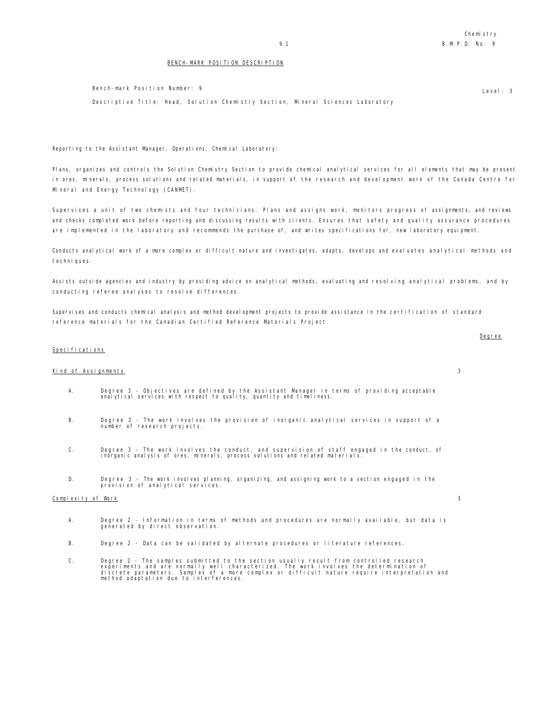Level: 3

#### BENCH-MARK POSITION DESCRIPTION

Bench-mark Position Number: 9

Descriptive Title: Head, Solution Chemistry Section, Mineral Sciences Laboratory

Reporting to the Assistant Manager, Operations, Chemical Laboratory:

Plans, organizes and controls the Solution Chemistry Section to provide chemical analytical services for all elements that may be present in ores, minerals, process solutions and related materials, in support of the research and development work of the Canada Centre for Mineral and Energy Technology (CANMET).

Supervises a unit of two chemists and four technicians. Plans and assigns work, monitors progress of assignments, and reviews and checks completed work before reporting and discussing results with clients. Ensures that safety and quality assurance procedures are implemented in the laboratory and recommends the purchase of, and writes specifications for, new laboratory equipment.

Conducts analytical work of a more complex or difficult nature and investigates, adapts, develops and evaluates analytical methods and techniques.

Assists outside agencies and industry by providing advice on analytical methods, evaluating and resolving analytical problems, and by conducting referee analyses to resolve differences.

Supervises and conducts chemical analysis and method development projects to provide assistance in the certification of standard reference materials for the Canadian Certified Reference Materials Project.

### Specifications

#### Kind of Assignments 3

- A. Degree 3 Objectives are defined by the Assistant Manager in terms of providing acceptable analytical services with respect to quality, quantity and timeliness.
- B. Degree 2 The work involves the provision of inorganic analytical services in support of a number of research projects.
- C. Degree 3 The work involves the conduct, and supervision of staff engaged in the conduct, of inorganic analysis of ores, minerals, process solutions and related materials.
- D. Degree 3 The work involves planning, organizing, and assigning work to a section engaged in the provision of analytical services.

#### Complexity of Work 3

- A. Degree 2 Information in terms of methods and procedures are normally available, but data is generated by direct observation.
- B. Degree 2 Data can be validated by alternate procedures or literature references.
- C. Degree 2 The samples submitted to the section usually result from controlled research<br>experiments and are normally well characterized. The work involves the determination of<br>discrete parameters. Samples of a more comp

#### Degree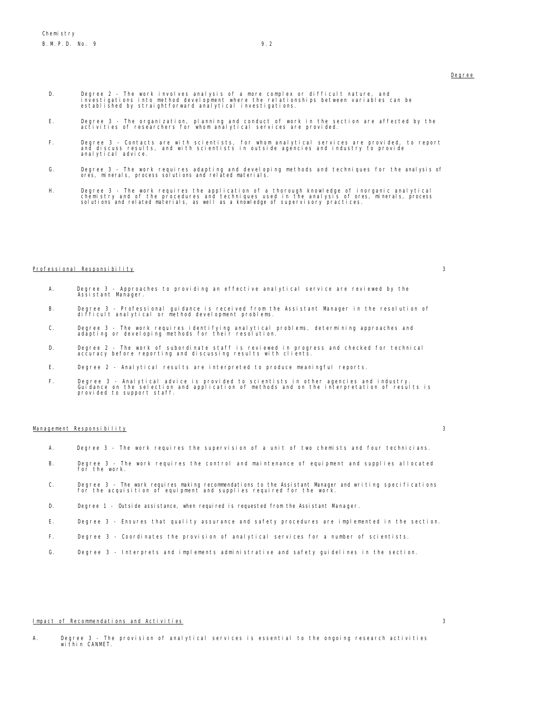- D. Degree 2 The work involves analysis of a more complex or difficult nature, and<br>investigations into method development where the relationships between variables can be<br>established by straightforward analytical inve
- E. Degree 3 The organization, planning and conduct of work in the section are affected by the activities of researchers for whom analytical services are provided.
- F. Degree 3 Contacts are with scientists, for whom analytical services are provided, to report and discuss results, and with scientists in outside agencies and industry to provide analytical advice.
- G. Degree 3 The work requires adapting and developing methods and techniques for the analysis of ores, minerals, process solutions and related materials.
- H. Degree 3 The work requires the application of a thorough knowledge of inorganic analytical<br>chemistry and of the procedures and techniques used in the analysis of ores, minerals, process<br>solutions and related mater

#### Professional Responsibility 3

- A. Degree 3 Approaches to providing an effective analytical service are reviewed by the Assistant Manager.
- B. Degree 3 Professional guidance is received from the Assistant Manager in the resolution of difficult analytical or method development problems.
- C. Degree 3 The work requires identifying analytical problems, determining approaches and adapting or developing methods for their resolution.
- D. Degree 2 The work of subordinate staff is reviewed in progress and checked for technical accuracy before reporting and discussing results with clients.
- E. Degree 2 Analytical results are interpreted to produce meaningful reports.
- F. Degree 3 Analytical advice is provided to scientists in other agencies and industry. Guidance on the selection and application of methods and on the interpretation of results is provided to support staff.

#### Management Responsibility 3

- A. Degree 3 The work requires the supervision of a unit of two chemists and four technicians.
- B. Degree 3 The work requires the control and maintenance of equipment and supplies allocated for the work.
- C. Degree 3 The work requires making recommendations to the Assistant Manager and writing specifications for the acquisition of equipment and supplies required for the work.
- D. Degree 1 Outside assistance, when required is requested from the Assistant Manager.
- E. Degree 3 Ensures that quality assurance and safety procedures are implemented in the section.
- F. Degree 3 Coordinates the provision of analytical services for a number of scientists.
- G. Degree 3 Interprets and implements administrative and safety guidelines in the section.

#### Impact of Recommendations and Activities 3

A. Degree 3 - The provision of analytical services is essential to the ongoing research activities within CANMET.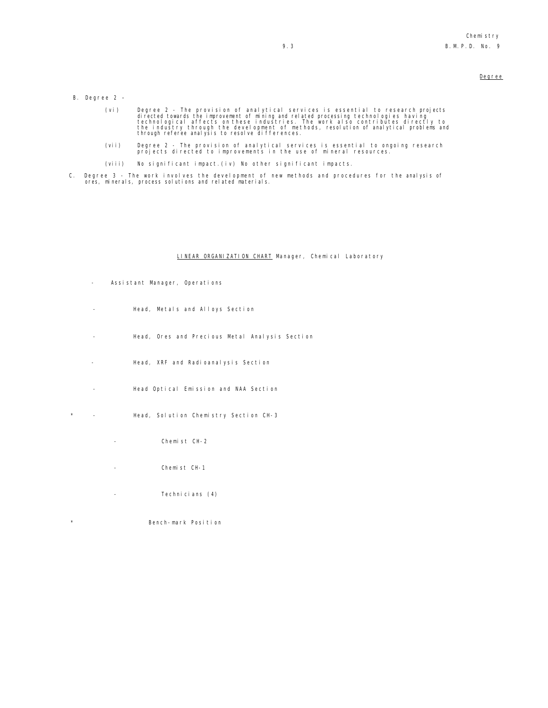- B. Degree 2
	- (vi) Degree 2 The provision of analytical services is essential to research projects<br>directed towards the improvement of mining and related processing technologies having<br>technological affects on these industries. The wo
	- (vii) Degree 2 The provision of analytical services is essential to ongoing research projects directed to improvements in the use of mineral resources.
	- (viii) No significant impact.(iv) No other significant impacts.
- C. Degree 3 The work involves the development of new methods and procedures for the analysis of ores, minerals, process solutions and related materials.

#### LINEAR ORGANIZATION CHART Manager, Chemical Laboratory

- Assistant Manager, Operations
- Head, Metals and Alloys Section
- Head, Ores and Precious Metal Analysis Section
- Head, XRF and Radioanalysis Section
- Head Optical Emission and NAA Section
- \* Head, Solution Chemistry Section CH-3
	- Chemist CH-2
	- Chemist CH-1
	- Technicians (4)
- \* Bench-mark Position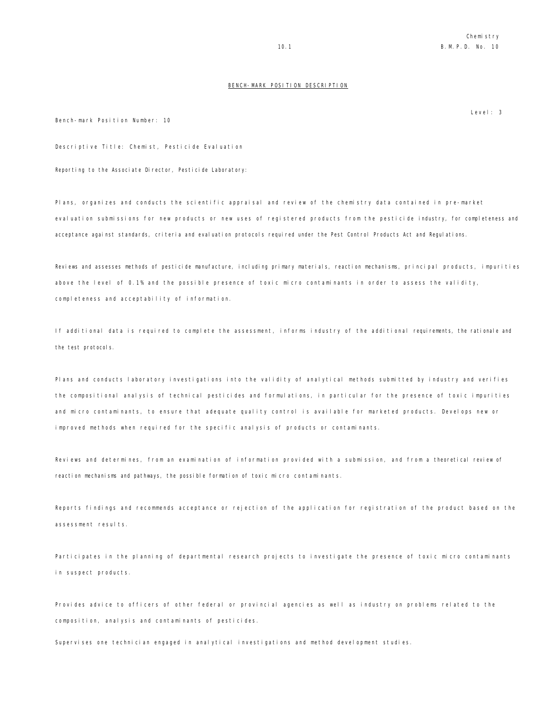### BENCH-MARK POSITION DESCRIPTION

Bench-mark Position Number: 10

Descriptive Title: Chemist, Pesticide Evaluation

Reporting to the Associate Director, Pesticide Laboratory:

Plans, organizes and conducts the scientific appraisal and review of the chemistry data contained in pre-market evaluation submissions for new products or new uses of registered products from the pesticide industry, for completeness and acceptance against standards, criteria and evaluation protocols required under the Pest Control Products Act and Regulations.

Reviews and assesses methods of pesticide manufacture, including primary materials, reaction mechanisms, principal products, impurities above the level of 0.1% and the possible presence of toxic micro contaminants in order to assess the validity, completeness and acceptability of information.

If additional data is required to complete the assessment, informs industry of the additional requirements, the rationale and the test protocols.

Plans and conducts laboratory investigations into the validity of analytical methods submitted by industry and verifies the compositional analysis of technical pesticides and formulations, in particular for the presence of toxic impurities and micro contaminants, to ensure that adequate quality control is available for marketed products. Develops new or improved methods when required for the specific analysis of products or contaminants.

Reviews and determines, from an examination of information provided with a submission, and from a theoretical review of reaction mechanisms and pathways, the possible formation of toxic micro contaminants.

Reports findings and recommends acceptance or rejection of the application for registration of the product based on the assessment results.

Participates in the planning of departmental research projects to investigate the presence of toxic micro contaminants in suspect products.

Provides advice to officers of other federal or provincial agencies as well as industry on problems related to the composition, analysis and contaminants of pesticides.

Supervises one technician engaged in analytical investigations and method development studies.

Level: 3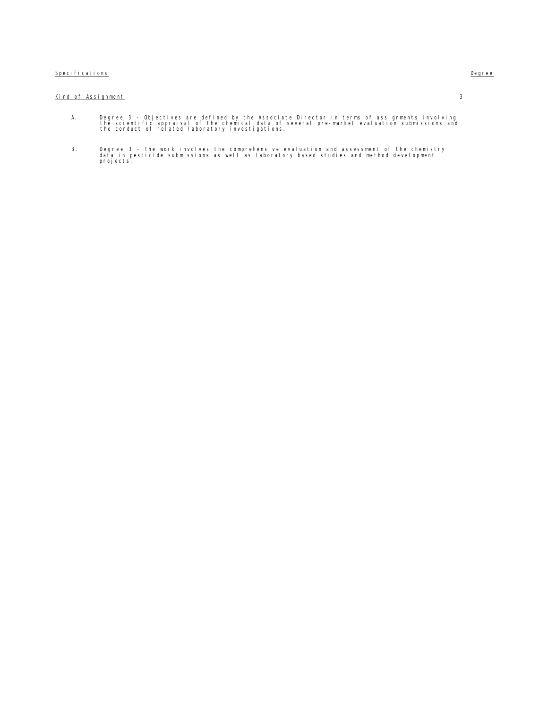## Specifications **Degree**

## Kind of Assignment 3

- A. Degree 3 Objectives are defined by the Associate Director in terms of assignments involving<br>the scientific appraisal of the chemical data of several pre-market evaluation submissions and<br>the conduct of related lab
- B. Degree 3 The work involves the comprehensive evaluation and assessment of the chemistry data in pesticide submissions as well as laboratory based studies and method development projects.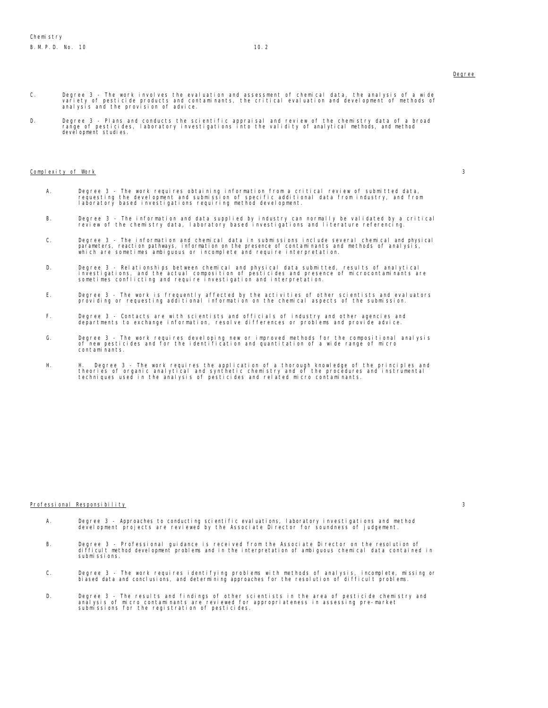- C. Degree 3 The work involves the evaluation and assessment of chemical data, the analysis of a wide<br>variety of pesticide products and contaminants, the critical evaluation and development of methods of<br>analysis and
- D. Degree 3 Plans and conducts the scientific appraisal and review of the chemistry data of a broad range of<br>range of pesticides, laboratory investigations into the validity of analytical methods, and method<br>development

#### $\mathsf{Compl}\text{ exit } \mathsf{y}$  of Work 3

- A. Degree 3 The work requires obtaining information from a critical review of submitted data,<br>requesting the development and submission of specific additional data from industry, and from<br>laboratory based investigati
- B. Degree 3 The information and data supplied by industry can normally be validated by a critical review of the chemistry data, laboratory based investigations and literature referencing.
- C. Degree 3 The information and chemical data in submissions include several chemical and physical<br>parameters, reaction pathways, information on the presence of contaminants and methods of analysis,<br>which are sometim
- D. Degree 3 Relationships between chemical and physical data submitted, results of analytical<br>investigations, and the actual composition of pesticides and presence of microcontaminants are<br>sometimes conflicting and
- E. Degree 3 The work is frequently affected by the activities of other scientists and evaluators providing or requesting additional information on the chemical aspects of the submission.
- F. Degree 3 Contacts are with scientists and officials of industry and other agencies and departments to exchange information, resolve differences or problems and provide advice.
- G. Degree 3 The work requires developing new or improved methods for the compositional analysis<br>of new pesticides and for the identification and quantitation of a wide range of micro<br>contaminants.
- H. H. Degree 3 The work requires the application of a thorough knowledge of the principles and theories of organic analytical and synthetic chemistry and of the procedures and instrumental techniques used in the analysis of pesticides and related micro contaminants.

#### Professional Responsibility 3

- A. Degree 3 Approaches to conducting scientific evaluations, laboratory investigations and method development projects are reviewed by the Associate Director for soundness of judgement.
- B. Degree 3 Professional guidance is received from the Associate Director on the resolution of difficult method development problems and in the interpretation of ambiguous chemical data contained in submissions.
- C. Degree 3 The work requires identifying problems with methods of analysis, incomplete, missing or biased data and conclusions, and determining approaches for the resolution of difficult problems.
- D. Degree 3 The results and findings of other scientists in the area of pesticide chemistry and<br>analysis of micro contaminants are reviewed for appropriateness in assessing pre-market<br>submissions for the registration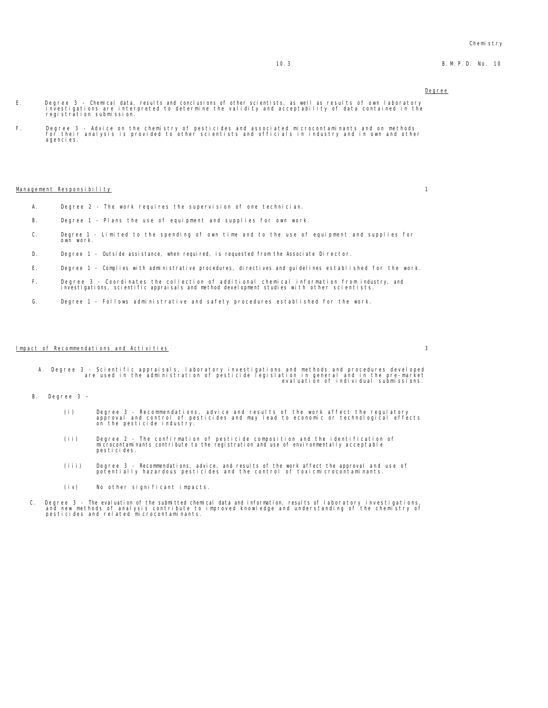#### Chemistry

### 10.3 B.M.P.D. No. 10

#### Degree

- E. Degree 3 Chemical data, results and conclusions of other scientists, as well as results of own laboratory investigations are interpreted to determine the validity and acceptability of data contained in the registration submission.
- F. Degree 3 Advice on the chemistry of pesticides and associated microcontaminants and on methods for their analysis is provided to other scientists and officials in industry and in own and other agencies.

#### Management Responsibility 1

- A. Degree 2 The work requires the supervision of one technician.
- B. Degree 1 Plans the use of equipment and supplies for own work.
- C. Degree 1 Limited to the spending of own time and to the use of equipment and supplies for own work.
- D. Degree 1 Outside assistance, when required, is requested from the Associate Director.
- E. Degree 1 Complies with administrative procedures, directives and guidelines established for the work.
- F. Degree 3 Coordinates the collection of additional chemical information from industry, and investigations, scientific appraisals and method development studies with other scientists.
- G. Degree 1 Follows administrative and safety procedures established for the work.

#### Impact of Recommendations and Activities 3

- A. Degree 3 Scientific appraisals, laboratory investigations and methods and procedures developed<br>are used in the administration of pesticide legislation and uation in the pre-market<br>.evaluation of individual submissions
- B. Degree 3
	- (i) Degree 3 Recommendations, advice and results of the work affect the regulatory approval and control of pesticides and may lead to economic or technological effects on the pesticide industry.
	- (ii) Degree 2 The confirmation of pesticide composition and the identification of microcontaminants contribute to the registration and use of environmentally acceptable pesticides.
	- (iii) Degree 3 Recommendations, advice, and results of the work affect the approval and use of potentially hazardous pesticides and the control of toxicmicrocontaminants.
	- (iv) No other significant impacts.
- C. Degree 3 The evaluation of the submitted chemical data and information, results of laboratory investigations,<br>and new methods of analysis contribute to improved knowledge and understanding of the chemistry of<br>pestici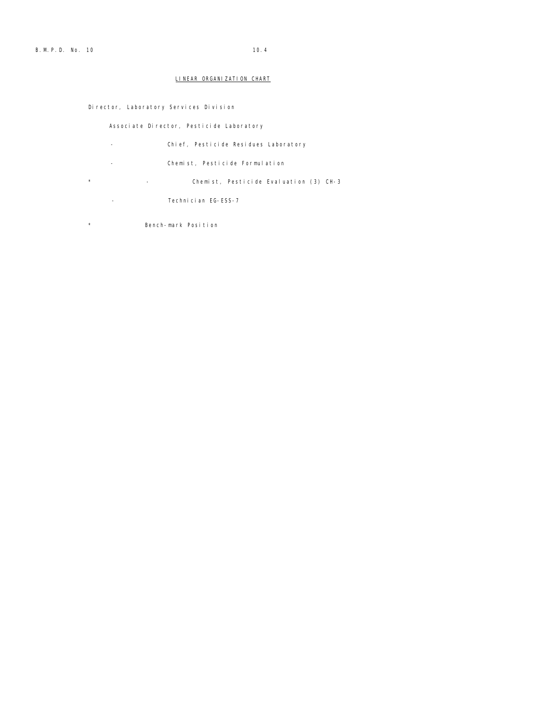## LINEAR ORGANIZATION CHART

Director, Laboratory Services Division

Associate Director, Pesticide Laboratory

- Chief, Pesticide Residues Laboratory
- Chemist, Pesticide Formulation
- \* Chemist, Pesticide Evaluation (3) CH-3
- Technician EG-ESS-7
- \* Bench-mark Position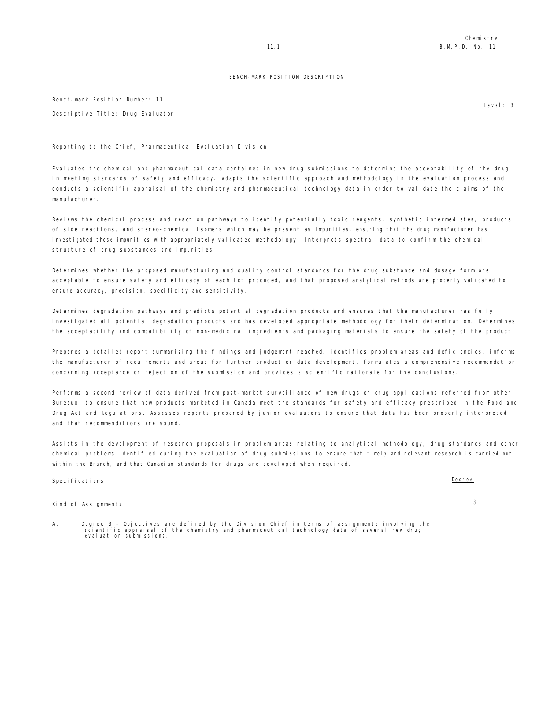#### BENCH-MARK POSITION DESCRIPTION

Bench-mark Position Number: 11 Descriptive Title: Drug Evaluator

Reporting to the Chief, Pharmaceutical Evaluation Division:

Evaluates the chemical and pharmaceutical data contained in new drug submissions to determine the acceptability of the drug in meeting standards of safety and efficacy. Adapts the scientific approach and methodology in the evaluation process and conducts a scientific appraisal of the chemistry and pharmaceutical technology data in order to validate the claims of the manufacturer.

Reviews the chemical process and reaction pathways to identify potentially toxic reagents, synthetic intermediates, products of side reactions, and stereo-chemical isomers which may be present as impurities, ensuring that the drug manufacturer has investigated these impurities with appropriately validated methodology. Interprets spectral data to confirm the chemical structure of drug substances and impurities.

Determines whether the proposed manufacturing and quality control standards for the drug substance and dosage form are acceptable to ensure safety and efficacy of each lot produced, and that proposed analytical methods are properly validated to ensure accuracy, precision, specificity and sensitivity.

Determines degradation pathways and predicts potential degradation products and ensures that the manufacturer has fully investigated all potential degradation products and has developed appropriate methodology for their determination. Determines the acceptability and compatibility of non-medicinal ingredients and packaging materials to ensure the safety of the product.

Prepares a detailed report summarizing the findings and judgement reached, identifies problem areas and deficiencies, informs the manufacturer of requirements and areas for further product or data development, formulates a comprehensive recommendation concerning acceptance or rejection of the submission and provides a scientific rationale for the conclusions.

Performs a second review of data derived from post-market surveillance of new drugs or drug applications referred from other Bureaux, to ensure that new products marketed in Canada meet the standards for safety and efficacy prescribed in the Food and Drug Act and Regulations. Assesses reports prepared by junior evaluators to ensure that data has been properly interpreted and that recommendations are sound.

Assists in the development of research proposals in problem areas relating to analytical methodology, drug standards and other chemical problems identified during the evaluation of drug submissions to ensure that timely and relevant research is carried out within the Branch, and that Canadian standards for drugs are developed when required.

## Specifications **Degree**

## Kind of Assignments 3

A. Degree 3 - Objectives are defined by the Division Chief in terms of assignments involving the scientific appraisal of several new drug<br>scientific appraisal of the chemistry and pharmaceutical technology data of se

Level: 3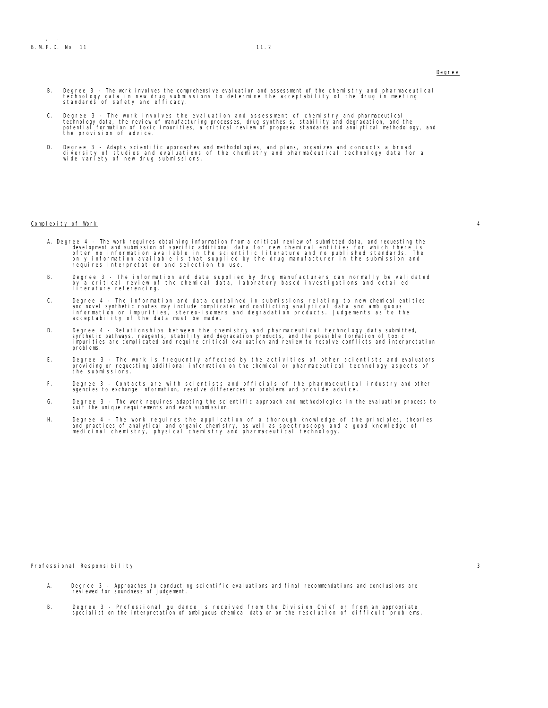- B. Degree 3 The work involves the comprehensive evaluation and assessment of the chemistry and pharmaceutical<br>technology data in new drug submissions to determine the acceptability of the drug in meeting<br>standards of s
- C. Degree 3 The work involves the evaluation and assessment of chemistry and pharmaceutical<br>technology data, the review of manufacturing processes, drug synthesis, stability and degradation, and the<br>potential formation the provision of advice.
- D. Degree 3 Adapts scientific approaches and methodologies, and plans, organizes and conducts a broad<br>I versity of studies and evaluations of the chemistry and pharmaceutical technology data for a<br>wide variety of new dr

#### Complexity of Work 4

- A. Degree 4 The work requires obtaining information from a critical review of submitted data, and requesting the development and submission of specific additional data for new chemical entities for which there is often n
- B. Degree 3 The information and data supplied by drug manufacturers can normally be validated by a critical review of the chemical data, laboratory based investigations and detailed literature referencing.<br>Iiterature
- C. Degree 4 The information and data contained in submissions relating to new chemical entities<br>and novel synthetic routes may include complicated and conflicting analytical data and ambiguous<br>information on impurities,
- D. Degree 4 Relationships between the chemistry and pharmaceutical technology data submitted,<br>synthetic pathways, reagents, stability and degradation products, and the possible formation of toxic<br>impurities are comp problems.
- E. Degree 3 The work is frequently affected by the activities of other scientists and evaluators providing or requesting additional information on the chemical or pharmaceutical technology aspects of the submissions.
- F. Degree 3 Contacts are with scientists and officials of the pharmaceutical industry and other agencies to exchange information, resolve differences or problems and provide advice.
- G. Degree 3 The work requires adapting the scientific approach and methodologies in the evaluation process to suit the unique requirements and each submission.
- H. Degree 4 The work requires the application of a thorough knowledge of the principles, theories and practices of analytical and organic chemistry, as well as spectroscopy and a good knowledge of medicinal chemistry, physical chemistry and pharmaceutical technology.

#### Professional Responsibility 3

- A. Degree 3 Approaches to conducting scientific evaluations and final recommendations and conclusions are reviewed for soundness of judgement.
- B. Degree 3 Professional guidance is received from the Division Chief or from an appropriate specialist on the interpretation of ambiguous chemical data or on the resolution of difficult problems.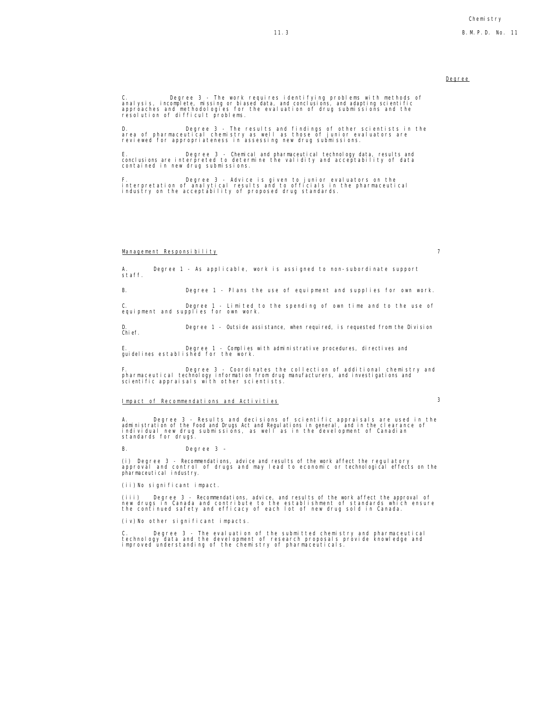C. Degree 3 - The work requires identifying problems with methods of analysis, incomplete, missing or biased data, and conclusions, and adapting scientific approaches and methodologies for the evaluation of drug submissions and the resolution of difficult problems.

D. Degree 3 - The results and findings of other scientists in the area of pharmaceutical chemistry as well as those of junior evaluators are reviewed for appropriateness in assessing new drug submissions.

E. Degree 3 - Chemical and pharmaceutical technology data, results and conclusions are interpreted to determine the validity and acceptability of data contained in new drug submissions.

F. Degree 3 - Advice is given to junior evaluators on the interpretation of analytical results and to officials in the pharmaceutical industry on the acceptability of proposed drug standards.

#### Management Responsibility 7

Degree 1 - As applicable, work is assigned to non-subordinate support A.<br>staff.

B. Degree 1 - Plans the use of equipment and supplies for own work.

C. Degree 1 - Limited to the spending of own time and to the use of equipment and supplies for own work.

D. Degree 1 - Outside assistance, when required, is requested from the Division Chief.

E. Degree 1 - Complies with administrative procedures, directives and guidelines established for the work.

F. Degree 3 - Coordinates the collection of additional chemistry and pharmaceutical technology information from drug manufacturers, and investigations and scientific appraisals with other scientists.

## Impact of Recommendations and Activities 3

A. Degree 3 - Results and decisions of scientific appraisals are used in the<br>administration of the Food and Drugs Act and Regulations in general, and in the clearance of<br>individual new drug submissions, as well as in

B. Degree 3 –

(i) Degree 3 - Recommendations, advice and results of the work affect the regulatory approval and control of drugs and may lead to economic or technological effects on the pharmaceutical industry.

(ii)No significant impact.

(iii) Degree 3 - Recommendations, advice, and results of the work affect the approval of<br>new drugs in Canada and contribute to the establishment of standards which ensure<br>the continued safety and efficacy of each lot of n

(iv)No other significant impacts.

C. Degree 3 - The evaluation of the submitted chemistry and pharmaceutical<br>technology data and the development of research proposals provide knowledge and<br>improved understanding of the chemistry of pharmaceuticals.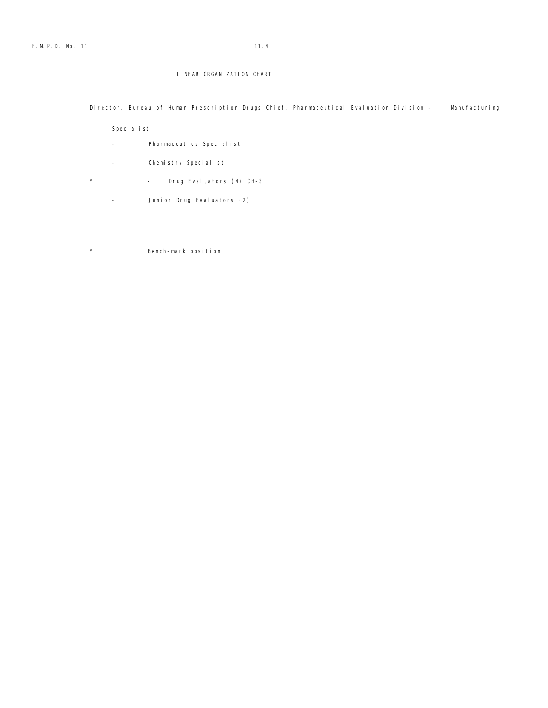Director, Bureau of Human Prescription Drugs Chief, Pharmaceutical Evaluation Division - Manufacturing

Specialist

- Pharmaceutics Specialist
- Chemistry Specialist
- \* Drug Evaluators (4) CH-3
	- Junior Drug Evaluators (2)

\* Bench-mark position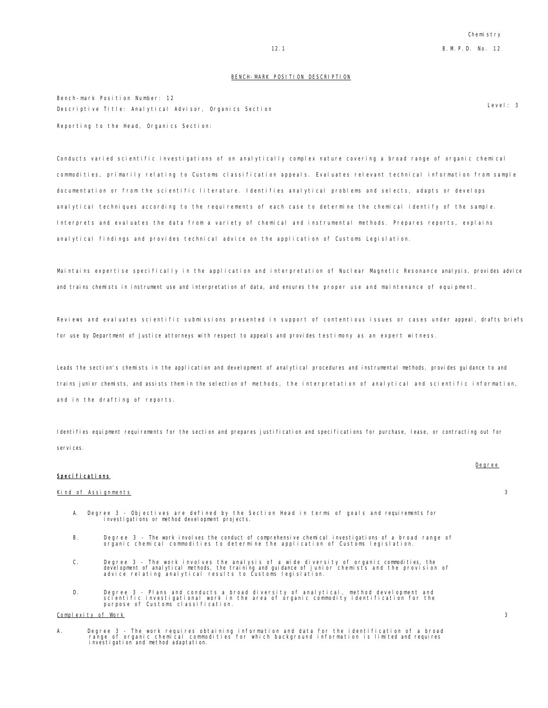#### BENCH-MARK POSITION DESCRIPTION

Bench-mark Position Number: 12 Descriptive Title: Analytical Advisor, Organics Section Level: 3 Reporting to the Head, Organics Section:

Conducts varied scientific investigations of on analytically complex nature covering a broad range of organic chemical commodities, primarily relating to Customs classification appeals. Evaluates relevant technical information from sample documentation or from the scientific literature. Identifies analytical problems and selects, adapts or develops analytical techniques according to the requirements of each case to determine the chemical identify of the sample. Interprets and evaluates the data from a variety of chemical and instrumental methods. Prepares reports, explains analytical findings and provides technical advice on the application of Customs Legislation.

Maintains expertise specifically in the application and interpretation of Nuclear Magnetic Resonance analysis, provides advice and trains chemists in instrument use and interpretation of data, and ensures the proper use and maintenance of equipment.

Reviews and evaluates scientific submissions presented in support of contentious issues or cases under appeal, drafts briefs for use by Department of Justice attorneys with respect to appeals and provides testimony as an expert witness.

Leads the section's chemists in the application and development of analytical procedures and instrumental methods, provides guidance to and trains junior chemists, and assists them in the selection of methods, the interpretation of analytical and scientific information, and in the drafting of reports.

Identifies equipment requirements for the section and prepares justification and specifications for purchase, lease, or contracting out for services.

#### Specifications

#### Kind of Assignments 3

- A. Degree 3 Objectives are defined by the Section Head in terms of goals and requirements for investigations or method development projects.
- B. Degree 3 The work involves the conduct of comprehensive chemical investigations of a broad range of organic chemical commodities to determine the application of Customs legislation.
- C. Degree 3 The work involves the analysis of a wide diversity of organic commodities, the<br>development of analytical methods, the training and guidance of junior chemists and the provision of<br>advice relating analytical r
- D. Degree 3 Plans and conducts a broad diversity of analytical, method development and<br>scientific investigational work in the area of organic commodity identification for the<br>purpose of Customs classification.

### Complexity of Work 3

A. Degree 3 - The work requires obtaining information and data for the identification of a broad<br>range of organic chemical commodities for which background information is limited and requires<br>investigation and method a

Degree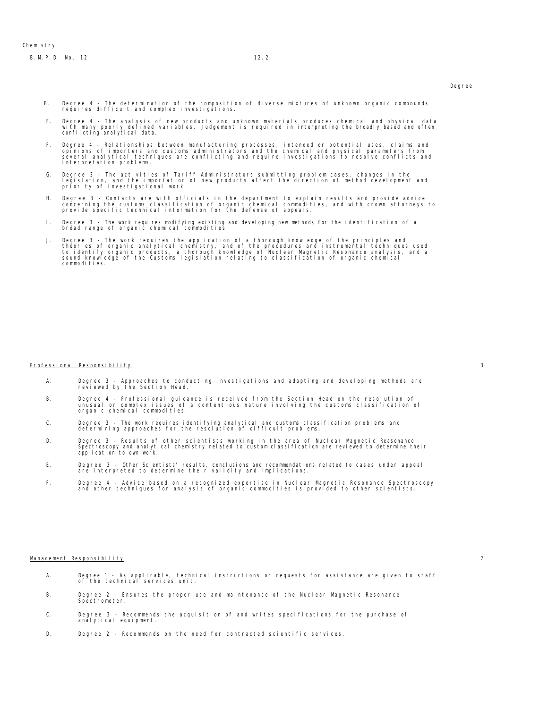- B. Degree 4 The determination of the composition of diverse mixtures of unknown organic compounds requires difficult and complex investigations.
	- E. Degree 4 The analysis of new products and unknown materials produces chemical and physical data<br>with many poorly defined variables. Judgement is required in interpreting the broadly based and often<br>conflicting analyt
	- F. Degree 4 Relationships between manufacturing processes, intended or potential uses, claims and<br>opinions of importers and customs administrators and the chemical and physical parameters from<br>several analytical techniqu
	- G. Degree 3 The activities of Tariff Administrators submitting problem cases, changes in the<br>Iegislation, and the importation of new products affect the direction of method development and<br>priority of investigational wo
	- H. Degree 3 Contacts are with officials in the department to explain results and provide advice<br>concerning the customs classification of organic chemical commodities, and with crown attorneys to<br>provide specific technic
	- I. Degree 3 The work requires modifying existing and developing new methods for the identification of a broad range of organic chemical commodities.
	- J. Degree 3 The work requires the application of a thorough knowledge of the principles and<br>theories of organic analytical chemistry, and of the procedures and instrumental techniques used<br>to identify organic products, a commodities.

#### Professional Responsibility 3

- A. Degree 3 Approaches to conducting investigations and adapting and developing methods are reviewed by the Section Head.
- B. Degree 4 Professional guidance is received from the Section Head on the resolution of unusual or complex issues of a contentious nature involving the customs classification of organic chemical commodities.
- C. Degree 3 The work requires identifying analytical and customs classification problems and determining approaches for the resolution of difficult problems.
- D. Degree 3 Results of other scientists working in the area of Nuclear Magnetic Reasonance Spectroscopy and analytical chemistry related to custom classification are reviewed to determine their application to own work.
- E. Degree 3 Other Scientists' results, conclusions and recommendations related to cases under appeal are interpreted to determine their validity and implications.
- F. Degree 4 Advice based on a recognized expertise in Nuclear Magnetic Resonance Spectroscopy and other techniques for analysis of organic commodities is provided to other scientists.

#### Management Responsibility 2

- A. Degree 1 As applicable, technical instructions or requests for assistance are given to staff of the technical services unit.
- B. Degree 2 Ensures the proper use and maintenance of the Nuclear Magnetic Resonance Spectrometer.
- C. Degree 3 Recommends the acquisition of and writes specifications for the purchase of analytical equipment.
- D. Degree 2 Recommends on the need for contracted scientific services.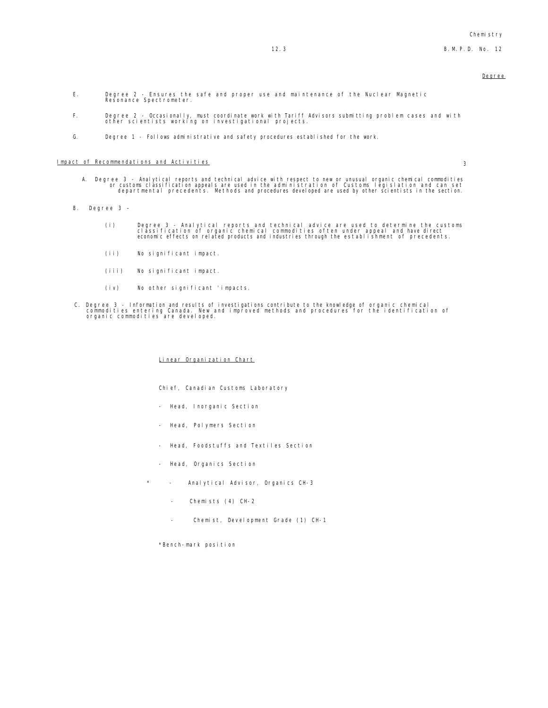- E. Degree 2 Ensures the safe and proper use and maintenance of the Nuclear Magnetic Resonance Spectrometer.
- F. Degree 2 Occasionally, must coordinate work with Tariff Advisors submitting problem cases and with other scientists working on investigational projects.
- G. Degree 1 Follows administrative and safety procedures established for the work.

### Impact of Recommendations and Activities 3

- A. Degree 3 Analytical reports and technical advice with respect to new or unusual organic chemical commodities<br>or customs classification appeals are used in the administration of Customs legislation and can set<br>departme
- B. Degree 3
	- Degree 3 Analytical reports and technical advice are used to determine the customs)<br>classification of organic chemical commodities often under appeal and have direct<br>economic effects on related products and industries th
	- (ii) No significant impact.
	- (iii) No significant impact.
	- (iv) No other significant 'impacts.
- C. Degree 3 Information and results of investigations contribute to the knowledge of organic chemical<br>commodities entering Canada. New and improved methods and procedures for the identification of<br>organic commodities are

#### Linear Organization Chart

Chief, Canadian Customs Laboratory

- Head, Inorganic Section
- Head, Polymers Section
- Head, Foodstuffs and Textiles Section
- Head, Organics Section
- Analytical Advisor, Organics CH-3
	- Chemists (4) CH-2
	- Chemist, Development Grade (1) CH-1

\*Bench-mark position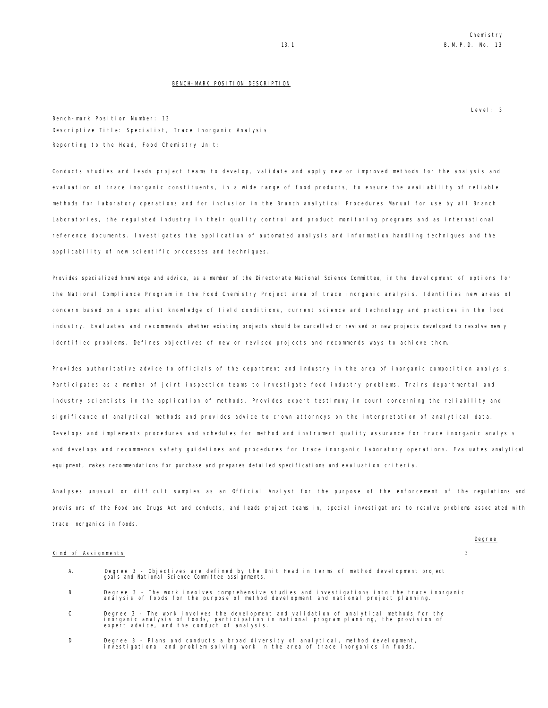#### BENCH-MARK POSITION DESCRIPTION

Level: 3

Bench-mark Position Number: 13 Descriptive Title: Specialist, Trace Inorganic Analysis Reporting to the Head, Food Chemistry Unit:

Conducts studies and leads project teams to develop, validate and apply new or improved methods for the analysis and evaluation of trace inorganic constituents, in a wide range of food products, to ensure the availability of reliable methods for laboratory operations and for inclusion in the Branch analytical Procedures Manual for use by all Branch Laboratories, the regulated industry in their quality control and product monitoring programs and as international reference documents. Investigates the application of automated analysis and information handling techniques and the applicability of new scientific processes and techniques.

Provides specialized knowledge and advice, as a member of the Directorate National Science Committee, in the development of options for the National Compliance Program in the Food Chemistry Project area of trace inorganic analysis. Identifies new areas of concern based on a specialist knowledge of field conditions, current science and technology and practices in the food industry. Evaluates and recommends whether existing projects should be cancelled or revised or new projects developed to resolve newly identified problems. Defines objectives of new or revised projects and recommends ways to achieve them.

Provides authoritative advice to officials of the department and industry in the area of inorganic composition analysis. Participates as a member of joint inspection teams to investigate food industry problems. Trains departmental and industry scientists in the application of methods. Provides expert testimony in court concerning the reliability and significance of analytical methods and provides advice to crown attorneys on the interpretation of analytical data. Develops and implements procedures and schedules for method and instrument quality assurance for trace inorganic analysis and develops and recommends safety guidelines and procedures for trace inorganic laboratory operations. Evaluates analytical equipment, makes recommendations for purchase and prepares detailed specifications and evaluation criteria.

Analyses unusual or difficult samples as an Official Analyst for the purpose of the enforcement of the regulations and provisions of the Food and Drugs Act and conducts, and leads project teams in, special investigations to resolve problems associated with trace inorganics in foods.

#### Kind of Assignments 3

Degree

| А.         | Degree 3 - Objectives are defined by the Unit Head in terms of method development project<br>goals and National Science Committee assignments.                                           |
|------------|------------------------------------------------------------------------------------------------------------------------------------------------------------------------------------------|
| <b>B</b> . | Degree 3 - The work involves comprehensive studies and investigations into the trace inorganic<br>analysis of foods for the purpose of method development and national project planning. |
|            | Degree 3 - The work involves the development and validation of analytical methods for the                                                                                                |

- C. Degree 3 The work involves the development and validation of analytical methods for the<br>inorganic analysis of foods, participation in national program planning, the provision of<br>expert advice, and the conduct of
- D. Degree 3 Plans and conducts a broad diversity of analytical, method development, investigational and problem solving work in the area of trace inorganics in foods.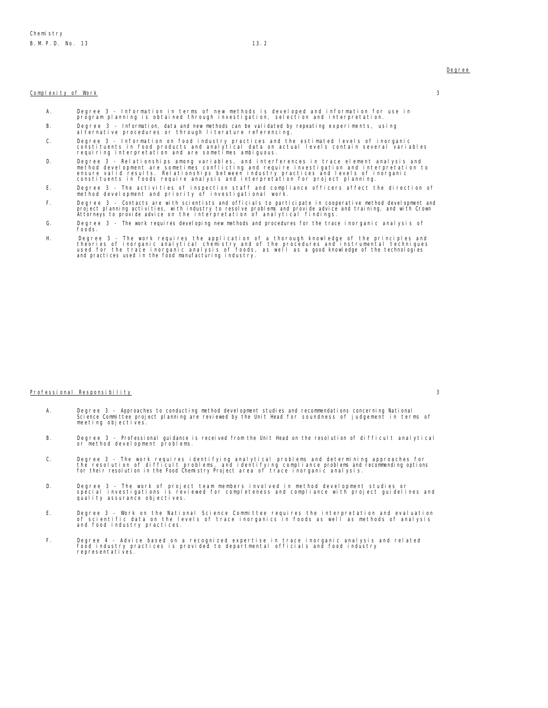#### Complexity of Work 3

- A. Degree 3 Information in terms of new methods is developed and information for use in program planning is obtained through investigation, selection and interpretation. B. Degree 3 - Information, data and new methods can be validated by repeating experiments, using
- alternative procedures or through literature referencing.
- C. Degree 3 Information on food industry practices and the estimated levels of inorganic<br>constituents in food products and analytical data on actual levels contain several variables<br>requiring interpretation and are s
- D. Degree 3 Relationships among variables, and interferences in trace element analysis and<br>method development are sometimes conflicting and require investigation and interpretation to<br>ensure valid results. Relationships
- E. Degree 3 The activities of inspection staff and compliance officers affect the direction of method development and priority of investigational work.
- F. Degree 3 Contacts are with scientists and officials to participate in cooperative method development and<br>project planning activities, with inclustry to resolve problems and provide advice and training, and with Crown<br>
- G. Degree 3 The work requires developing new methods and procedures for the trace inorganic analysis of foods.
- H. Degree 3 The work requires the application of a thorough knowledge of the principles and<br>theories of inorganic analytical chemistry and of the procedures and instrumental techniques<br>used for the trace inorganic analys

## Professional Responsibility 3

- A. Degree 3 Approaches to conducting method development studies and recommendations concerning National Science Committee project planning are reviewed by the Unit Head for soundness of judgement in terms of meeting objectives.
- B. Degree 3 Professional guidance is received from the Unit Head on the resolution of difficult analytical or method development problems.
- C. Degree 3 The work requires identifying analytical problems and determining approaches for<br>the resolution of difficult problems, and identifying compliance problems and recommending options<br>for their resolution in the
- D. Degree 3 The work of project team members involved in method development studies or<br>special investigations is reviewed for completeness and compliance with project guidelines and<br>quality assurance objectives.
- E. Degree 3 Work on the National Science Committee requires the interpretation and evaluation of scientific data on the levels of trace inorganics in foods as well as methods of analysis and food industry practices.<br>
- F. Degree 4 Advice based on a recognized expertise in trace inorganic analysis and related food industry practices is provided to departmental officials and food industry representatives.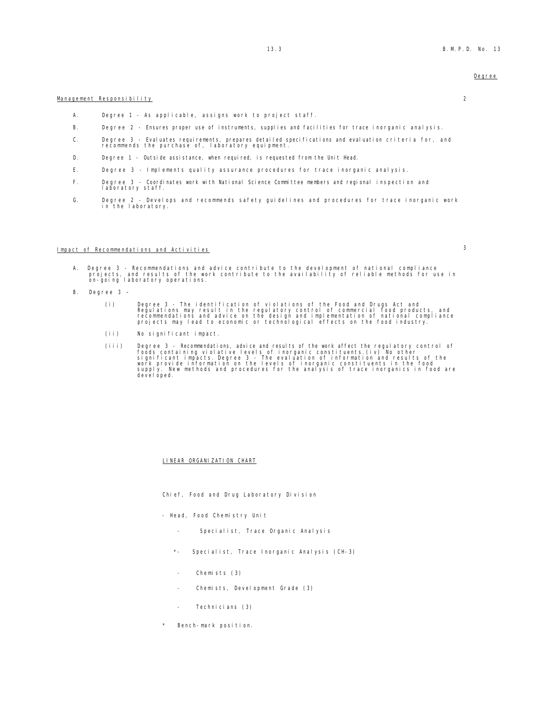### Management Responsibility 2

- A. Degree 1 As applicable, assigns work to project staff.
- B. Degree 2 Ensures proper use of instruments, supplies and facilities for trace inorganic analysis.
- C. Degree 3 Evaluates requirements, prepares detailed specifications and evaluation criteria for, and recommends the purchase of, laboratory equipment.
- D. Degree 1 Outside assistance, when required, is requested from the Unit Head.
- E. Degree 3 Implements quality assurance procedures for trace inorganic analysis.
- F. Degree 3 Coordinates work with National Science Committee members and regional inspection and laboratory staff.
- G. Degree 2 Develops and recommends safety guidelines and procedures for trace inorganic work in the laboratory.

## Impact of Rec<u>ommendations and Activities</u> 3

- A. Degree 3 Recommendations and advice contribute to the development of national compliance<br>projects, and results of the work contribute to the availability of reliable methods for use in<br>on-going laboratory operations.
- B. Degree 3
	- (i) Degree 3 The identification of violations of the Food and Drugs Act and<br>Regulations may result in the regulatory control of commercial food products, and<br>recommendations and advice on the design and implementation of
	- (ii) No significant impact.
	- (iii) Degree 3 Recommendations, advice and results of the work affect the regulatory control of foods containing violative levels of inorganic constituents. (iv) No other significant impacts. Degree 3 The evaluation of

### LINEAR ORGANIZATION CHART

- Chief, Food and Drug Laboratory Division
- Head, Food Chemistry Unit
	- Specialist, Trace Organic Analysis
	- Specialist, Trace Inorganic Analysis (CH-3)
	- Chemists (3)
	- Chemists, Development Grade (3)
	- Technicians (3)
- Bench-mark position.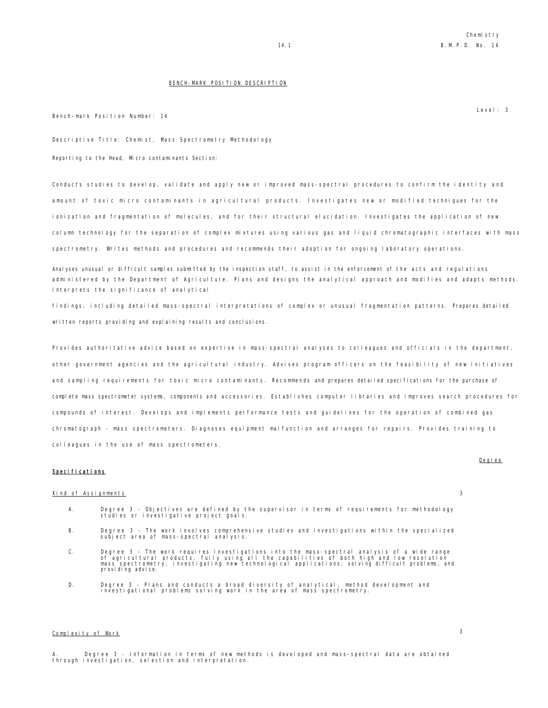#### BENCH-MARK POSITION DESCRIPTION

Bench-mark Position Number: 14

Descriptive Title: Chemist, Mass Spectrometry Methodology

Reporting to the Head, Micro contaminants Section:

Conducts studies to develop, validate and apply new or improved mass-spectral procedures to confirm the identity and amount of toxic micro contaminants in agricultural products. Investigates new or modified techniques for the ionization and fragmentation of molecules, and for their structural elucidation. Investigates the application of new column technology for the separation of complex mixtures using various gas and liquid chromatographic interfaces with mass spectrometry. Writes methods and procedures and recommends their adoption for ongoing laboratory operations.

Analyses unusual or difficult samples submitted by the inspection staff, to assist in the enforcement of the acts and regulations administered by the Department of Agriculture. Plans and designs the analytical approach and modifies and adapts methods. Interprets the significance of analytical

findings, including detailed mass-spectral interpretations of complex or unusual fragmentation patterns. Prepares detailed written reports providing and explaining results and conclusions.

Provides authoritative advice based on expertise in mass-spectral analyses to colleagues and officials in the department, other government agencies and the agricultural industry. Advises program officers on the feasibility of new initiatives and sampling requirements for toxic micro contaminants. Recommends and prepares detailed specifications for the purchase of complete mass spectrometer systems, components and accessories. Establishes computer libraries and improves search procedures for compounds of interest. Develops and implements performance tests and guidelines for the operation of combined gas chromatograph - mass spectrometers. Diagnoses equipment malfunction and arranges for repairs. Provides training to colleagues in the use of mass spectrometers.

#### Specifications

#### Kind of Assignments 3

Degree

- A. Degree 3 Objectives are defined by the supervisor in terms of requirements for methodology studies or investigative project goals.
- B. Degree 3 The work involves comprehensive studies and investigations within the specialized subject area of mass-spectral analysis.
- C. Degree 3 The work requires investigations into the mass-spectral analysis of a wide range<br>of agricultural products, fully using all the capabilities of both high and low resolution<br>mass spectrometry, investigating new
- D. Degree 3 Plans and conducts a broad diversity of analytical, method development and investigational problems solving work in the area of mass spectrometry.

## Complexity of Work 3

Degree 3 - Information in terms of new methods is developed and mass-spectral data are obtained through investigation, selection and interpretation.

Level: 3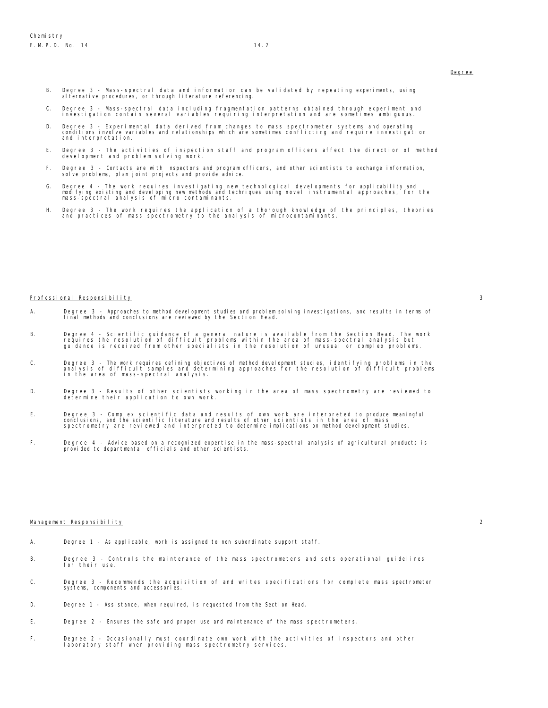- B. Degree 3 Mass-spectral data and information can be validated by repeating experiments, using alternative procedures, or through literature referencing.
- C. Degree 3 Mass-spectral data including fragmentation patterns obtained through experiment and investigation contain several variables requiring interpretation and are sometimes ambiguous.
- D. Degree 3 Experimental data derived from changes to mass spectrometer systems and operating conditions involve variables and relationships which are sometimes conflicting and require investigation and interpretation.
- E. Degree 3 The activities of inspection staff and program officers affect the direction of method development and problem solving work.
- F. Degree 3 Contacts are with inspectors and program officers, and other scientists to exchange information, solve problems, plan joint projects and provide advice.
- G. Degree 4 The work requires investigating new technological developments for applicability and<br>modifying existing and developing new methods and techniques using novel instrumental approaches, for the<br>mass-spectral an
- H. Degree 3 The work requires the application of a thorough knowledge of the principles, theories and practices of mass spectrometry to the analysis of microcontaminants.

#### Professional Responsibility 3

- A. Degree 3 Approaches to method development studies and problem solving investigations, and results in terms of final methods and conclusions are reviewed by the Section Head.
- B. Degree 4 Scientific guidance of a general nature is available from the Section Head. The work<br>requires the resolution of difficult problems within the area of mass-spectral analysis but<br>guidance is received from
- C. Degree 3 The work requires defining objectives of method development studies, identifying problems in the<br>analysis of difficult samples and determining approaches for the resolution of difficult problems<br>in the ar
- D. Degree 3 Results of other scientists working in the area of mass spectrometry are reviewed to determine their application to own work.
- E. Degree 3 Complex scientific data and results of own work are interpreted to produce meaningful<br>conclusions, and the scientific literature and results of other scientists in the area of mass<br>spectrometry are review
- F. Degree 4 Advice based on a recognized expertise in the mass-spectral analysis of agricultural products is provided to departmental officials and other scientists.

#### Management Responsibility 2

- A. Degree 1 As applicable, work is assigned to non subordinate support staff.
- B. Degree 3 Controls the maintenance of the mass spectrometers and sets operational guidelines for their use.
- C. Degree 3 Recommends the acquisition of and writes specifications for complete mass spectrometer systems, components and accessories.
- D. Degree 1 Assistance, when required, is requested from the Section Head.
- E. Degree 2 Ensures the safe and proper use and maintenance of the mass spectrometers.
- F. Degree 2 Occasionally must coordinate own work with the activities of inspectors and other laboratory staff when providing mass spectrometry services.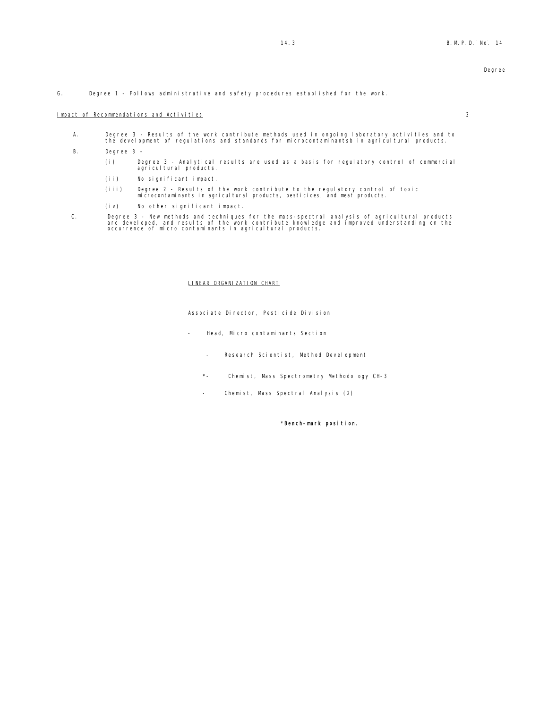G. Degree 1 - Follows administrative and safety procedures established for the work.

#### **Impact of Recommendations and Activities 3**

- A. Degree 3 Results of the work contribute methods used in ongoing laboratory activities and to the development of regulations and standards for microcontaminantsb in agricultural products.
- B. Degree 3
	- (i) Degree 3 Analytical results are used as a basis for regulatory control of commercial agricultural products.
	- (ii) No significant impact.
	- (iii) Degree 2 Results of the work contribute to the regulatory control of toxic microcontaminants in agricultural products, pesticides, and meat products.
	- (iv) No other significant impact.
- C. Degree 3 New methods and techniques for the mass-spectral analysis of agricultural products<br>are developed, and results of the work contribute knowledge and improved understanding on the<br>occurrence of micro contami

#### LINEAR ORGANIZATION CHART

Associate Director, Pesticide Division

- Head, Micro contaminants Section
	- Research Scientist, Method Development
	- \*- Chemist, Mass Spectrometry Methodology CH-3
	- Chemist, Mass Spectral Analysis (2)

\*Bench-mark position.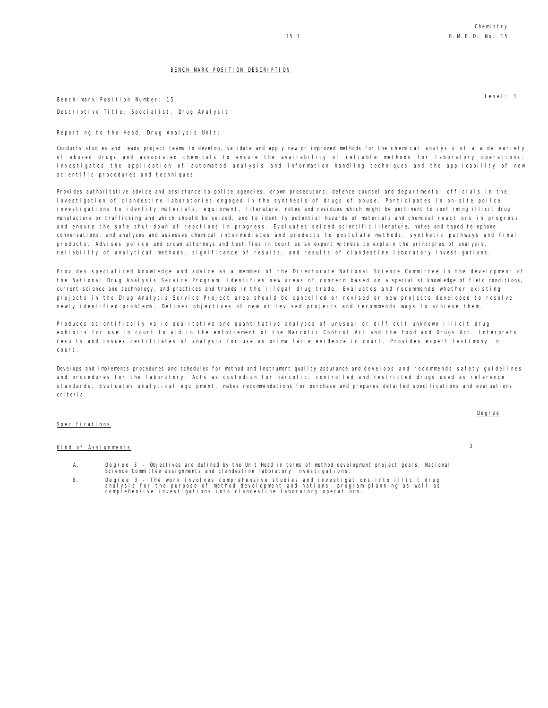## BENCH-MARK POSITION DESCRIPTION

Bench-mark Position Number: 15 Descriptive Title: Specialist, Drug Analysis

Reporting to the Head, Drug Analysis Unit:

Conducts studies and leads project teams to develop, validate and apply new or improved methods for the chemical analysis of a wide variety of abused drugs and associated chemicals to ensure the availability of reliable methods for laboratory operations. Investigates the application of automated analysis and information handling techniques and the applicability of new scientific procedures and techniques.

Provides authoritative advice and assistance to police agencies, crown prosecutors, defence counsel and departmental officials in the investigation of clandestine laboratories engaged in the synthesis of drugs of abuse. Participates in on-site police investigations to identify materials, equipment, literature, notes and residues which might be pertinent to confirming illicit drug manufacture or trafficking and which should be seized, and to identify potential hazards of materials and chemical reactions in progress and ensure the safe shut-down of reactions in progress. Evaluates seized scientific literature, notes and taped telephone conversations, and analyses and assesses chemical intermediates and products to postulate methods, synthetic pathways and final products. Advises police and crown attorneys and testifies in court as an expert witness to explain the principles of analysis, reliability of analytical methods, significance of results, and results of clandestine laboratory investigations.

Provides specialized knowledge and advice as a member of the Directorate National Science Committee in the development of the National Drug Analysis Service Program. Identifies new areas of concern based on a specialist knowledge of field conditions, current science and technology, and practices and trends in the illegal drug trade. Evaluates and recommends whether existing projects in the Drug Analysis Service Project area should be cancelled or revised or new projects developed to resolve newly identified problems. Defines objectives of new or revised projects and recommends ways to achieve them.

Produces scientifically valid qualitative and quantitative analyses of unusual or difficult unknown illicit drug exhibits for use in court to aid in the enforcement of the Narcotic Control Act and the Food and Drugs Act. Interprets results and issues certificates of analysis for use as prima facie evidence in court. Provides expert testimony in court.

Develops and implements procedures and schedules for method and instrument quality assurance and develops and recommends safety guidelines and procedures for the laboratory. Acts as custodian for narcotic, controlled and restricted drugs used as reference standards. Evaluates analytical equipment, makes recommendations for purchase and prepares detailed specifications and evaluations criteria.

#### Specifications

## Kind of Assignments 3

- A. Degree 3 Objectives are defined by the Unit Head in terms of method development project goals, National Science Committee assignments and clandestine laboratory investigations.
- B. Degree 3 The work involves comprehensive studies and investigations into illicit drug analysis for the purpose of method development and national program planning as well as comprehensive investigations into clandestine laboratory operations.

Level: 3

Degree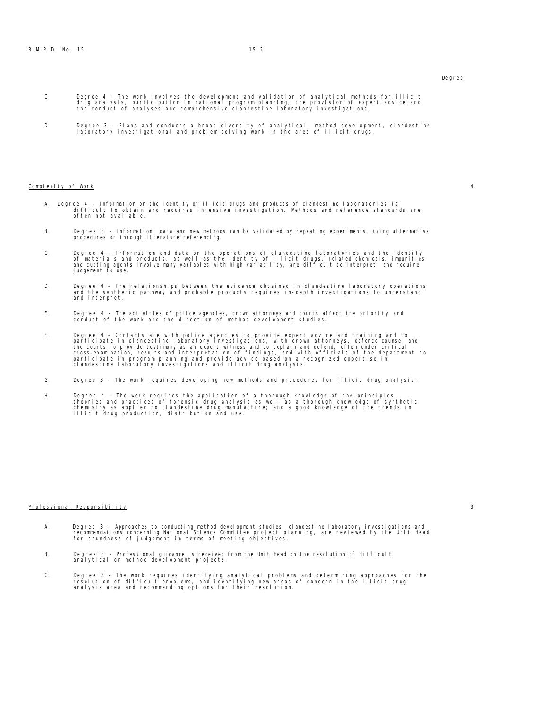- C. Degree 4 The work involves the development and validation of analytical methods for illicit<br>drug analysis, participation in national program planning, the provision of expert advice and<br>the conduct of analyses and
- D. Degree 3 Plans and conducts a broad diversity of analytical, method development, clandestine laboratory investigational and problem solving work in the area of illicit drugs.

#### $\mathsf{Compl}\text{ exit } \mathsf{y}$  of Work  $4$

- A. Degree 4 Information on the identity of illicit drugs and products of clandestine laboratories is difficult to obtain and requires intensive investigation. Methods and reference standards are often not available.
- B. Degree 3 Information, data and new methods can be validated by repeating experiments, using alternative procedures or through literature referencing.
- C. Degree 4 Information and data on the operations of clandestine laboratories and the identity<br>of materials and products, as well as the identity of illicit drugs, related chemicals, impurities<br>and cutting agents involv judgement to use.
- D. Degree 4 The relationships between the evidence obtained in clandestine laboratory operations and the synthetic pathway and probable products requires in-depth investigations to understand and interpret.
- E. Degree 4 The activities of police agencies, crown attorneys and courts affect the priority and conduct of the work and the direction of method development studies.
- F. Degree 4 Contacts are with police agencies to provide expert advice and training and to<br>participate in clandestine laboratory investigations, with crown attorneys, defence counsel and<br>the courts to provide testimony a
- G. Degree 3 The work requires developing new methods and procedures for illicit drug analysis.
- H. Degree 4 The work requires the application of a thorough knowledge of the principles,<br>theories and practices of forensic drug analysis as well as a thorough knowledge of synthetic<br>chemistry as applied to clandestine d

#### Professional Responsibility 3

- A. Degree 3 Approaches to conducting method development studies, clandestine laboratory investigations and<br>recommendations concerning National Science Committee project planning, are reviewed by the Unit Head<br>for soundne
- B. Degree 3 Professional guidance is received from the Unit Head on the resolution of difficult analytical or method development projects.
- C. Degree 3 The work requires identifying analytical problems and determining approaches for the<br>resolution of difficult problems, and identifying new areas of concern in the illicit drug<br>analysis area and recommendi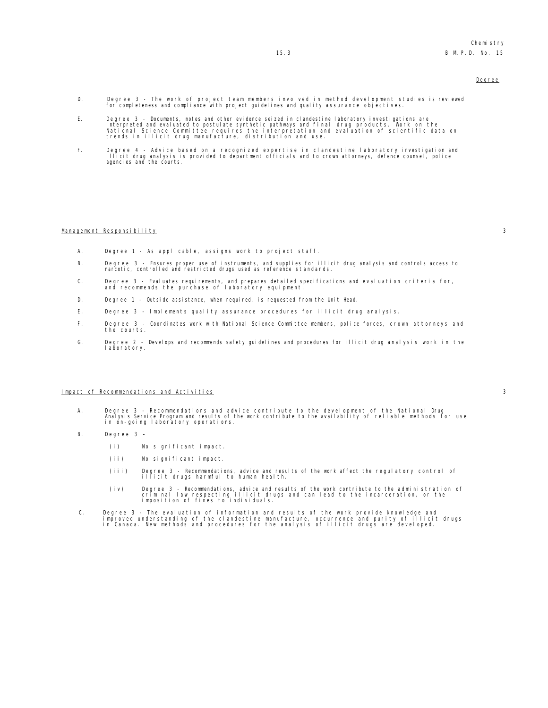- D. Degree 3 The work of project team members involved in method development studies is reviewed for completeness and compliance with project guidelines and quality assurance objectives.
- E. Degree 3 Documents, notes and other evidence seized in clandestine laboratory investigations are<br>interpreted and evaluated to postulate synthetic pathways and final drug products. Work on the<br>National Science Committe
- F. Degree 4 Advice based on a recognized expertise in clandestine laboratory investigation and<br>illicit drug analysis is provided to department officials and to crown attorneys, defence counsel, police<br>agencies and t

#### Management Responsibility 3

- A. Degree 1 As applicable, assigns work to project staff.
- B. Degree 3 Ensures proper use of instruments, and supplies for illicit drug analysis and controls access to narcotic, controlled and restricted drugs used as reference standards.
- C. Degree 3 Evaluates requirements, and prepares detailed specifications and evaluation criteria for, and recommends the purchase of laboratory equipment.
- D. Degree 1 Outside assistance, when required, is requested from the Unit Head.
- E. Degree 3 Implements quality assurance procedures for illicit drug analysis.
- F. Degree 3 Coordinates work with National Science Committee members, police forces, crown attorneys and the courts.
- G. Degree 2 Develops and recommends safety guidelines and procedures for illicit drug analysis work in the laboratory.

#### Impact of Recommendations and Activities 3

- A. Degree 3 Recommendations and advice contribute to the development of the National Drug Analysis Service Program and results of the work contribute to the availability of reliable methods for use in on-going laboratory operations.
- B. Degree 3
	- (i) No significant impact.
	- (ii) No significant impact.
	- (iii) Degree 3 Recommendations, advice and results of the work affect the regulatory control of illicit drugs harmful to human health.
	- (iv) Degree 3 Recommendations, advice and results of the work contribute to the administration of criminal law respecting illicit drugs and can lead to the incarceration, or the imposition of fines to individuals.
- C. Degree 3 The evaluation of information and results of the work provide knowledge and<br>improved understanding of the clandestine manufacture, occurrence and purity of illicit drugs<br>in Canada. New methods and procedur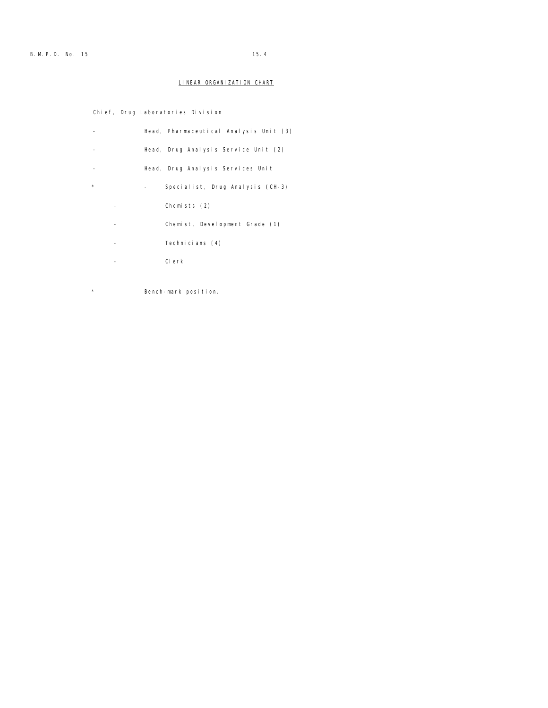## LINEAR ORGANIZATION CHART

Chief, Drug Laboratories Division

|         | Head, Pharmaceutical Analysis Unit (3) |
|---------|----------------------------------------|
|         | Head, Drug Analysis Service Unit (2)   |
|         | Head, Drug Analysis Services Unit      |
| $\star$ | Specialist, Drug Analysis (CH-3)       |
|         | Chemists (2)                           |
|         | Chemist, Development Grade (1)         |
|         | Technicians (4)                        |
|         | Clerk                                  |

\* Bench-mark position.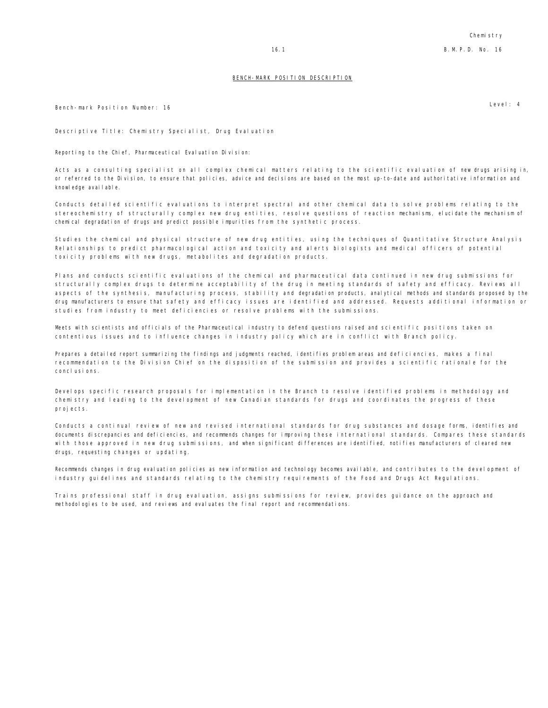#### BENCH-MARK POSITION DESCRIPTION

Bench-mark Position Number: 16

Descriptive Title: Chemistry Specialist, Drug Evaluation

Reporting to the Chief, Pharmaceutical Evaluation Division:

Acts as a consulting specialist on all complex chemical matters relating to the scientific evaluation of new drugs arising in, or referred to the Division, to ensure that policies, advice and decisions are based on the most up-to-date and authoritative information and knowledge available.

Conducts detailed scientific evaluations to interpret spectral and other chemical data to solve problems relating to the stereochemistry of structurally complex new drug entities, resolve questions of reaction mechanisms, elucidate the mechanism of chemical degradation of drugs and predict possible impurities from the synthetic process.

Studies the chemical and physical structure of new drug entities, using the techniques of Quantitative Structure Analysis Relationships to predict pharmacological action and toxicity and alerts biologists and medical officers of potential toxicity problems with new drugs, metabolites and degradation products.

Plans and conducts scientific evaluations of the chemical and pharmaceutical data continued in new drug submissions for structurally complex drugs to determine acceptability of the drug in meeting standards of safety and efficacy. Reviews all aspects of the synthesis, manufacturing process, stability and degradation products, analytical methods and standards proposed by the drug manufacturers to ensure that safety and efficacy issues are identified and addressed. Requests additional information or studies from industry to meet deficiencies or resolve problems with the submissions.

Meets with scientists and officials of the Pharmaceutical industry to defend questions raised and scientific positions taken on contentious issues and to influence changes in industry policy which are in conflict with Branch policy.

Prepares a detailed report summarizing the findings and judgments reached, identifies problem areas and deficiencies, makes a final recommendation to the Division Chief on the disposition of the submission and provides a scientific rationale for the conclusions.

Develops specific research proposals for implementation in the Branch to resolve identified problems in methodology and chemistry and leading to the development of new Canadian standards for drugs and coordinates the progress of these projects.

Conducts a continual review of new and revised international standards for drug substances and dosage forms, identifies and documents discrepancies and deficiencies, and recommends changes for improving these international standards. Compares these standards with those approved in new drug submissions, and when significant differences are identified, notifies manufacturers of cleared new drugs, requesting changes or updating.

Recommends changes in drug evaluation policies as new information and technology becomes available, and contributes to the development of industry guidelines and standards relating to the chemistry requirements of the Food and Drugs Act Regulations.

Trains professional staff in drug evaluation, assigns submissions for review, provides guidance on the approach and methodologies to be used, and reviews and evaluates the final report and recommendations.

Level: 4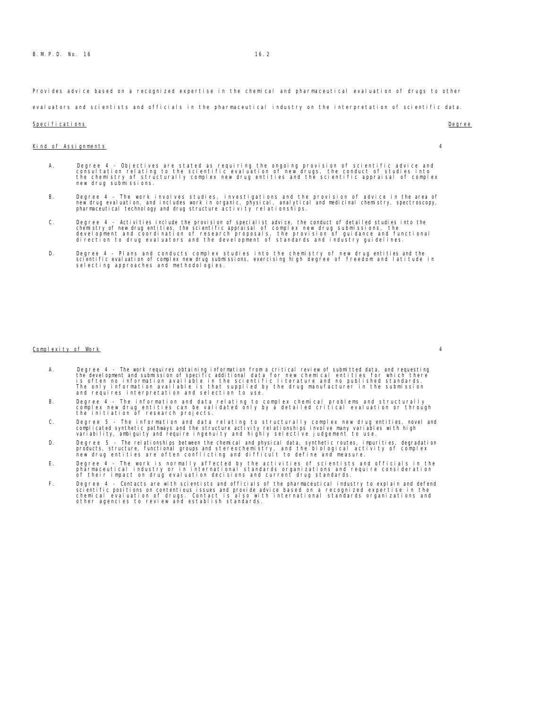Provides advice based on a recognized expertise in the chemical and pharmaceutical evaluation of drugs to other

evaluators and scientists and officials in the pharmaceutical industry on the interpretation of scientific data.

#### Specifications **Degree**

- Kind of Assignments 4
- - A. Degree 4 Objectives are stated as requiring the ongoing provision of scientific advice and<br>consultation relating to the scientific evaluation of new drugs, the conduct of studies into<br>the chemistry of structurally com new drug submissions.
	- B. Degree 4 The work involves studies, investigations and the provision of advice in the area of<br>Investigation, and includes work in organic, physical, analytical and medicinal chemistry, spectroscopy,<br>pharmaceutica
	- C. Degree 4 Activities include the provision of specialist advice, the conduct of detailed studies into the<br>chemistry of new drug entities, the scientific appraisal of complex new drug submissions, the<br>development and co
	- D. Degree 4 Plans and conducts complex studies into the chemistry of new drug entities and the<br>scientific evaluation of complex new drug submissions, exercising high degree of freedom and latitude in<br>selecting approaches

#### Complexity of Work 4

- A. Degree 4 The work requires obtaining information from a critical review of submitted data, and requesting<br>the development and submission of specific additional data for new chemical entities for which there<br>is often n
- B. Degree 4 The information and data relating to complex chemical problems and structurally<br>complex new drug entities can be validated only by a detailed critical evaluation or through<br>the initiation of research proj
- C. Degree 5 The information and data relating to structurally complex new drug entities, novel and<br>complicated synthetic pathways and the structure activity relationships involve many variables with high<br>variability, amb
- D. Degree 5 The relationships between the chemical and physical data, synthetic routes, impurities, degradation<br>products, structure, functional groups and stereochemistry, and the biological activity of complex<br>new drug
- E. Degree 4 The work is normally affected by the activities of scientists and officials in the<br>pharmaceutical industry or in international standards organizations and require consideration<br>of their impact on drug evaluat
- F. Degree 4 Contacts are with scientists and officials of the pharmaceutical industry to explain and defend<br>scientific positions on contentious issues and provide advice based on a recognized expertise in the<br>chemical ev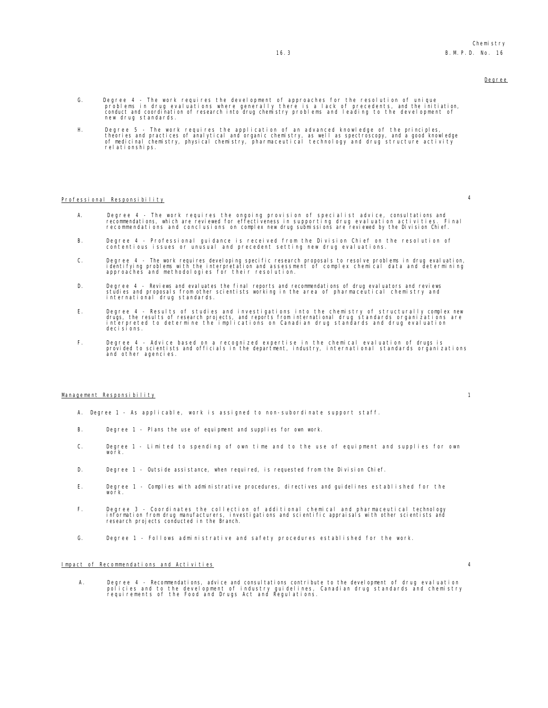- G. Degree 4 The work requires the development of approaches for the resolution of unique<br>problems in drug evaluations where generally there is a lack of precedents, and the initiation,<br>conduct and coordination of rese new drug standards.
- H. Degree 5 The work requires the application of an advanced knowledge of the principles,<br>theories and practices of analytical and organic chemistry, as well as spectroscopy, and a good knowledge<br>of medicinal chemist relationships.

# Professional Responsibility 4

- A. Degree 4 The work requires the ongoing provision of specialist advice, consultations and<br>recommendations, which are reviewed for effectiveness in supporting drug evaluation activities. Final<br>recommendations and conclu
- B. Degree 4 Professional guidance is received from the Division Chief on the resolution of contentious issues or unusual and precedent setting new drug evaluations.
- C. Degree 4 The work requires developing specific research proposals to resolve problems in drug evaluation,<br>identifying problems with the interpretation and assessment of complex chemical data and determining<br>approaches
- D. Degree 4 Reviews and evaluates the final reports and recommendations of drug evaluators and reviews<br>studies and proposals from other scientists working in the area of pharmaceutical chemistry and<br>international drug st
- E. Degree 4 Results of studies and investigations into the chemistry of structurally complex new<br>drugs, the results of research projects, and reports from international drug standards organizations are<br>interpreted to det
- F. Degree 4 Advice based on a recognized expertise in the chemical evaluation of drugs is provided to scientists and officials in the department, industry, international standards organizations and other agencies.

### Management Responsibility 1

- A. Degree 1 As applicable, work is assigned to non-subordinate support staff.
- B. Degree 1 Plans the use of equipment and supplies for own work.
- C. Degree 1 Limited to spending of own time and to the use of equipment and supplies for own work.
- D. Degree 1 Outside assistance, when required, is requested from the Division Chief.
- E. Degree 1 Complies with administrative procedures, directives and guidelines established for the work.
- F. Degree 3 Coordinates the collection of additional chemical and pharmaceutical technology<br>information from drug manufacturers, investigations and scientific appraisals with other scientists and<br>research projects co
- G. Degree 1 Follows administrative and safety procedures established for the work.

# Impact of Recommendations and Activities 4

A. Degree 4 - Recommendations, advice and consultations contribute to the development of drug evaluation policies and to the development of industry guidelines, Canadian drug standards and chemistry requirements of the Food and Drugs Act and Regulations.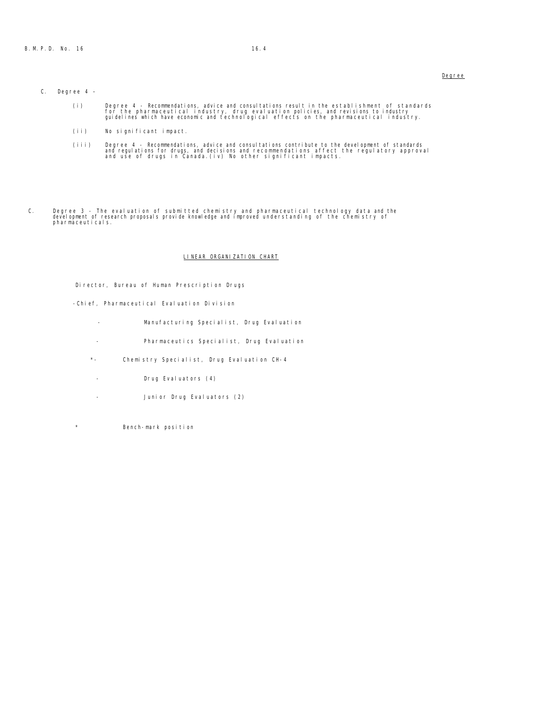# C. Degree 4 –

- i) Degree 4 Recommendations, advice and consultations result in the establishment of standards)<br>for the pharmaceutical industry, drug evaluation policies, and revisions to industry<br>guidelines which have economic and tech
- (ii) No significant impact.
- iii) Degree 4 Recommendations, advice and consultations contribute to the development of standards)<br>and regulations for drugs, and decisions and recommendations affect the regulatory approval<br>and use of drugs in Canada.(
- C. Degree 3 The evaluation of submitted chemistry and pharmaceutical technology data and the development of research proposals provide knowledge and improved understanding of the chemistry of pharmaceuticals.

# LINEAR ORGANIZATION CHART

Director, Bureau of Human Prescription Drugs

- -Chief, Pharmaceutical Evaluation Division
	- Manufacturing Specialist, Drug Evaluation
	- Pharmaceutics Specialist, Drug Evaluation
	- \*- Chemistry Specialist, Drug Evaluation CH-4
	- Drug Evaluators (4)
	- Junior Drug Evaluators (2)
- \* Bench-mark position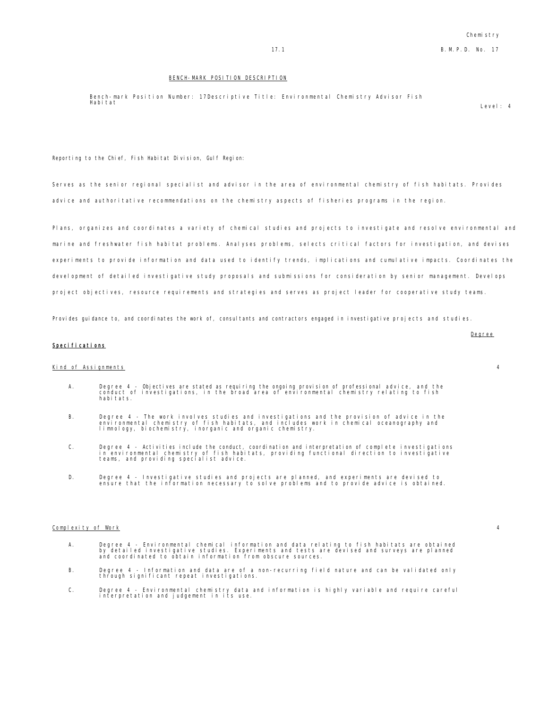### BENCH-MARK POSITION DESCRIPTION

Bench-mark Position Number: 17Descriptive Title: Environmental Chemistry Advisor Fish Habitat Level: 4

Reporting to the Chief, Fish Habitat Division, Gulf Region:

Serves as the senior regional specialist and advisor in the area of environmental chemistry of fish habitats. Provides advice and authoritative recommendations on the chemistry aspects of fisheries programs in the region.

Plans, organizes and coordinates a variety of chemical studies and projects to investigate and resolve environmental and marine and freshwater fish habitat problems. Analyses problems, selects critical factors for investigation, and devises experiments to provide information and data used to identify trends, implications and cumulative impacts. Coordinates the development of detailed investigative study proposals and submissions for consideration by senior management. Develops project objectives, resource requirements and strategies and serves as project leader for cooperative study teams.

Provides guidance to, and coordinates the work of, consultants and contractors engaged in investigative projects and studies.

# Specifications

# Kind of Assignments 4

- A. Degree 4 Objectives are stated as requiring the ongoing provision of professional advice, and the conduct of investigations, in the broad area of environmental chemistry relating to fish habitats.
- B. Degree 4 The work involves studies and investigations and the provision of advice in the<br>environmental chemistry of fish habitats, and includes work in chemical oceanography and<br>limnology, biochemistry, inorganic
- C. Degree 4 Activities include the conduct, coordination and interpretation of complete investigations<br>in environmental chemistry of fish habitats, providing functional direction to investigative<br>teams, and providin
- D. Degree 4 Investigative studies and projects are planned, and experiments are devised to ensure that the information necessary to solve problems and to provide advice is obtained.

#### Complexity of Work 4

- A. Degree 4 Environmental chemical information and data relating to fish habitats are obtained<br>by detailed investigative studies. Experiments and tests are devised and surveys are planned<br>and coordinated to obtain in
- B. Degree 4 Information and data are of a non-recurring field nature and can be validated only through significant repeat investigations.
- C. Degree 4 Environmental chemistry data and information is highly variable and require careful interpretation and judgement in its use.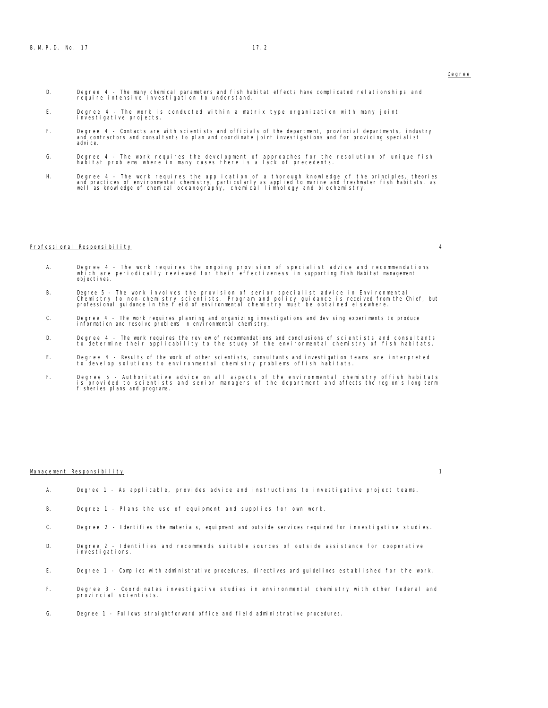- D. Degree 4 The many chemical parameters and fish habitat effects have complicated relationships and require intensive investigation to understand.
- E. Degree 4 The work is conducted within a matrix type organization with many joint investigative projects.
- F. Degree 4 Contacts are with scientists and officials of the department, provincial departments, industry and contractors and consultants to plan and coordinate joint investigations and for providing specialist advice.
- G. Degree 4 The work requires the development of approaches for the resolution of unique fish habitat problems where in many cases there is a lack of precedents.
- H. Degree 4 The work requires the application of a thorough knowledge of the principles, theories<br>and practices of environmental chemistry, particularly as applied to marine and freshwater fish habitats, as<br>well as knowl

### Professional Responsibility 4

- A. Degree 4 The work requires the ongoing provision of specialist advice and recommendations<br>which are periodically reviewed for their effectiveness in supporting Fish Habitat management<br>objectives.
- B. Degree 5 The work involves the provision of senior specialist advice in Environmental<br>Chemistry scientists. Program and policy guidance is received from the Chief, but<br>professional guidance in the field of environ
- C. Degree 4 The work requires planning and organizing investigations and devising experiments to produce information and resolve problems in environmental chemistry.
- D. Degree 4 The work requires the review of recommendations and conclusions of scientists and consultants to determine their applicability to the study of the environmental chemistry of fish habitats.
- E. Degree 4 Results of the work of other scientists, consultants and investigation teams are interpreted to develop solutions to environmental chemistry problems offish habitats.
- F. Degree 5 Authoritative advice on all aspects of the environmental chemistry offish habitats<br>is provided to scientists and senior managers of the department and affects the region's long term<br>fisheries plans and pr

### Management Responsibility 1

- A. Degree 1 As applicable, provides advice and instructions to investigative project teams.
- B. Degree 1 Plans the use of equipment and supplies for own work.
- C. Degree 2 Identifies the materials, equipment and outside services required for investigative studies.
- D. Degree 2 Identifies and recommends suitable sources of outside assistance for cooperative investigations.
- E. Degree 1 Complies with administrative procedures, directives and guidelines established for the work.
- F. Degree 3 Coordinates investigative studies in environmental chemistry with other federal and provincial scientists.
- G. Degree 1 Follows straightforward office and field administrative procedures.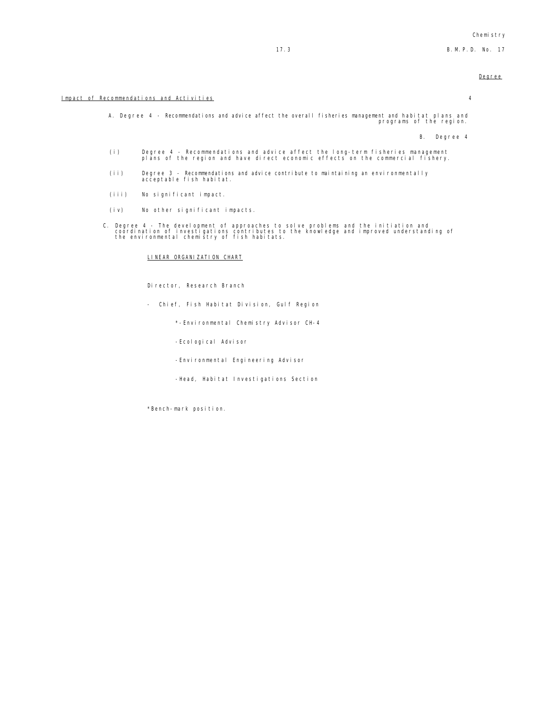A. Degree 4 - Recommendations and advice affect the overall fisheries management and habitat plans and programs of the region.

B. Degree 4

- (i) Degree 4 Recommendations and advice affect the long-term fisheries management plans of the region and have direct economic effects on the commercial fishery.
- (ii) Degree 3 Recommendations and advice contribute to maintaining an environmentally acceptable fish habitat.
- (iii) No significant impact.
- (iv) No other significant impacts.
- C. Degree 4 The development of approaches to solve problems and the initiation and coordination of investigations contributes to the knowledge and improved understanding of the environmental chemistry of fish habitats.

### LINEAR ORGANIZATION CHART

Director, Research Branch

- Chief, Fish Habitat Division, Gulf Region
	- \*-Environmental Chemistry Advisor CH-4
	- -Ecological Advisor
	- -Environmental Engineering Advisor
	- -Head, Habitat Investigations Section

\*Bench-mark position.

# Impact of Recommendations and Activities 4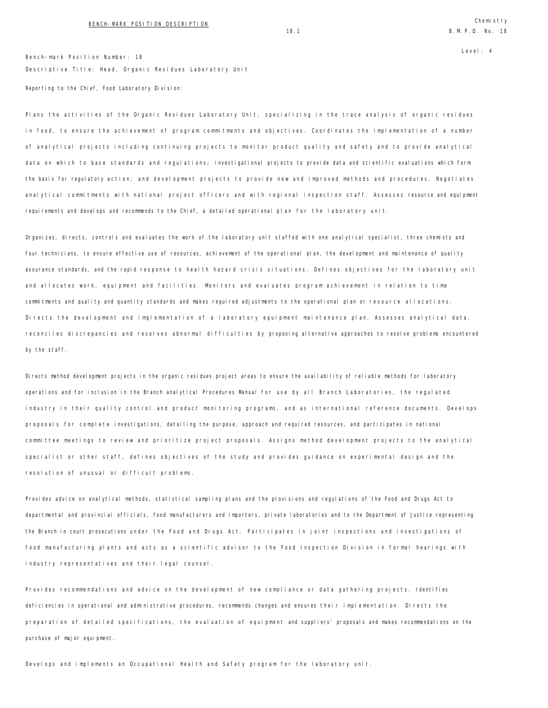Level: 4

Bench-mark Position Number: 18 Descriptive Title: Head, Organic Residues Laboratory Unit Reporting to the Chief, Food Laboratory Division:

Plans the activities of the Organic Residues Laboratory Unit, specializing in the trace analysis of organic residues in food, to ensure the achievement of program commitments and objectives. Coordinates the implementation of a number of analytical projects including continuing projects to monitor product quality and safety and to provide analytical data on which to base standards and regulations; investigational projects to provide data and scientific evaluations which form the basis for regulatory action; and development projects to provide new and improved methods and procedures. Negotiates analytical commitments with national project officers and with regional inspection staff. Assesses resource and equipment requirements and develops and recommends to the Chief, a detailed operational plan for the laboratory unit.

Organizes, directs, controls and evaluates the work of the laboratory unit staffed with one analytical specialist, three chemists and four technicians, to ensure effective use of resources, achievement of the operational plan, the development and maintenance of quality assurance standards, and the rapid response to health hazard crisis situations. Defines objectives for the laboratory unit and allocates work, equipment and facilities. Monitors and evaluates program achievement in relation to time commitments and quality and quantity standards and makes required adjustments to the operational plan or resource allocations. Directs the development and implementation of a laboratory equipment maintenance plan. Assesses analytical data, reconciles discrepancies and resolves abnormal difficulties by proposing alternative approaches to resolve problems encountered by the staff.

Directs method development projects in the organic residues project areas to ensure the availability of reliable methods for laboratory operations and for inclusion in the Branch analytical Procedures Manual for use by all Branch Laboratories, the regulated industry in their quality control and product monitoring programs, and as international reference documents. Develops proposals for complete investigations, detailing the purpose, approach and required resources, and participates in national committee meetings to review and prioritize project proposals. Assigns method development projects to the analytical specialist or other staff, defines objectives of the study and provides guidance on experimental design and the resolution of unusual or difficult problems.

Provides advice on analytical methods, statistical sampling plans and the provisions and regulations of the Food and Drugs Act to departmental and provincial officials, food manufacturers and importers, private laboratories and to the Department of Justice representing the Branch in court prosecutions under the Food and Drugs Act. Participates in joint inspections and investigations of food manufacturing plants and acts as a scientific advisor to the Food Inspection Division in formal hearings with industry representatives and their legal counsel.

Provides recommendations and advice on the development of new compliance or data gathering projects. Identifies deficiencies in operational and administrative procedures, recommends changes and ensures their implementation. Directs the preparation of detailed specifications, the evaluation of equipment and suppliers' proposals and makes recommendations on the purchase of major equipment.

Develops and implements an Occupational Health and Safety program for the laboratory unit.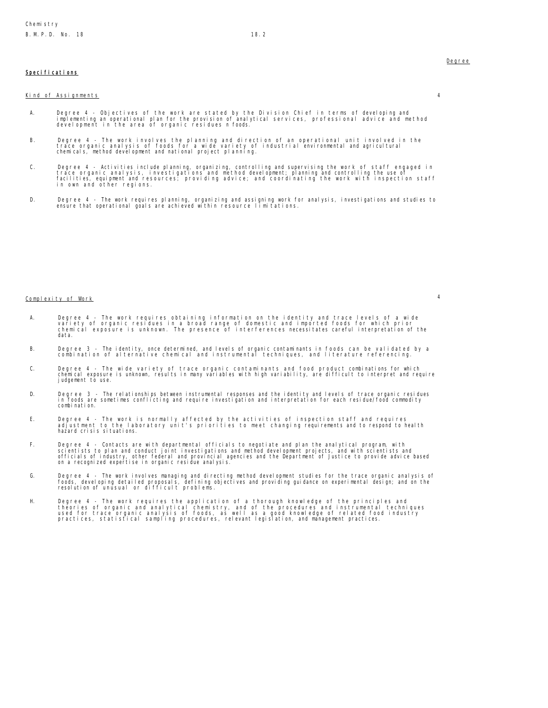# Specifications

### Kind of Assignments 4

A. Degree 4 - Objectives of the work are stated by the Division Chief in terms of developing and<br>implementing an operational plan for the provision of analytical services, professional advice and method<br>development in t

- B. Degree 4 The work involves the planning and direction of an operational unit involved in the<br>trace organic analysis of foods for a wide variety of industrial environmental and agricultural<br>chemicals, method develo
- C. Degree 4 Activities include planning, organizing, controlling and supervising the work of staff engaged in<br>trace organic analysis, investigations and method development; planning and controlling the use of<br>facilities,
- D. Degree 4 The work requires planning, organizing and assigning work for analysis, investigations and studies to ensure that operational goals are achieved within resource limitations.

# Complexity of Work 4

- A. Degree 4 The work requires obtaining information on the identity and trace levels of a wide<br>variety of organic residues in a broad range of domestic and imported foods for which prior<br>chemical exposure is unknown. The
- B. Degree 3 The identity, once determined, and levels of organic contaminants in foods can be validated by a combination of alternative chemical and instrumental techniques, and literature referencing.
- C. Degree 4 The wide variety of trace organic contaminants and food product combinations for which<br>chemical exposure is unknown, results in many variables with high variability, are difficult to interpret and require<br>jud
- D. Degree 3 The relationships between instrumental responses and the identity and levels of trace organic residues<br>In foods are sometimes conflicting and require investigation and interpretation for each residue/food com combination.
- E. Degree 4 The work is normally affected by the activities of inspection staff and requires adjustment to the laboratory unit's priorities to meet changing requirements and to respond to health hazard crisis situations.
- F. Degree 4 Contacts are with departmental officials to negotiate and plan the analytical program, with<br>scientists to plan and conduct joint investigations and method development projects, and with scientists and<br>officia
- G. Degree 4 The work involves managing and directing method development studies for the trace organic analysis of<br>foods, developing detailed proposals, defining objectives and providing guidance on experimental design; a
- H. Degree 4 The work requires the application of a thorough knowledge of the principles and<br>theories of organic and analytical chemistry, and of the procedures and instrumental techniques<br>used for trace organic analysis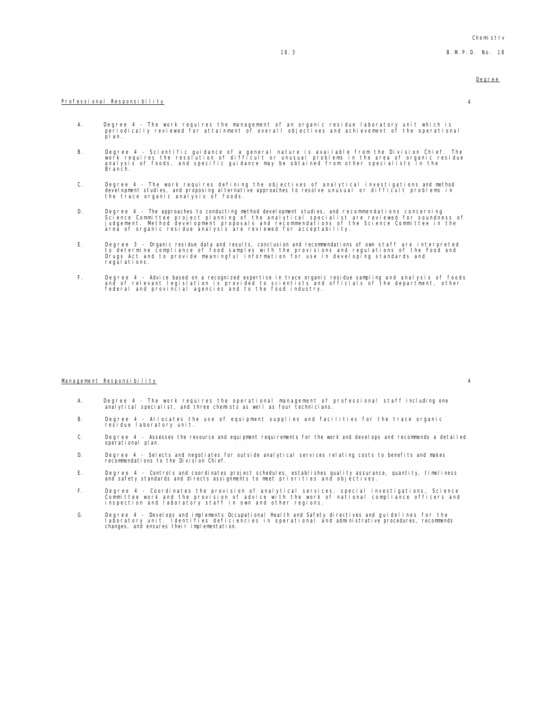# Professional Responsibility 4

- A. Degree 4 The work requires the management of an organic residue laboratory unit which is periodically reviewed for attainment of overall objectives and achievement of the operational pl an.
- B. Degree 4 Scientific guidance of a general nature is available from the Division Chief. The<br>work requires the resolution of difficult or unusual problems in the area of organic residue<br>analysis of foods, and specif Branch.
- C. Degree 4 The work requires defining the objectives of analytical investigations and method<br>development studies, and proposing alternative approaches to resolve unusual or difficult problems in<br>the trace organic a
- D. Degree 4 The approaches to conducting method development studies, and recommendations concerning<br>Science Committee project planning of the analytical specialist are reviewed for soundness of<br>judgement. Method developm
- E. Degree 3 Organic residue data and results, conclusion and recommendations of own staff are interpreted<br>to determine compliance of food samples with the provisions and regulations of the Food and<br>Drugs Act and to provi
- F. Degree 4 Advice based on a recognized expertise in trace organic residue sampling and analysis of foods<br>and of relevant legislation is provided to scientists and officials of the department, other<br>federal and provinci

### Management Responsibility 4

- A. Degree 4 The work requires the operational management of professional staff including one analytical specialist, and three chemists as well as four technicians.
- B. Degree 4 Allocates the use of equipment supplies and facilities for the trace organic residue laboratory unit.
- C. Degree 4 Assesses the resource and equipment requirements for the work and develops and recommends a detailed operational plan.
- D. Degree 4 Selects and negotiates for outside analytical services relating costs to benefits and makes recommendations to the Division Chief.
- E. Degree 4 Controls and coordinates project schedules, establishes quality assurance, quantity, timeliness and safety standards and directs assignments to meet priorities and objectives.
- F. Degree 4 Coordinates the provision of analytical services, special investigations, Science<br>Committee work and the provision of advice with the work of national compliance officers and<br>inspection and laboratory staf
- G. Degree 4 Develops and implements Occupational Health and Safety directives and guidelines for the<br>I aboratory unit. Identifies deficiencies in operational and administrative procedures, recommends<br>changes, and ens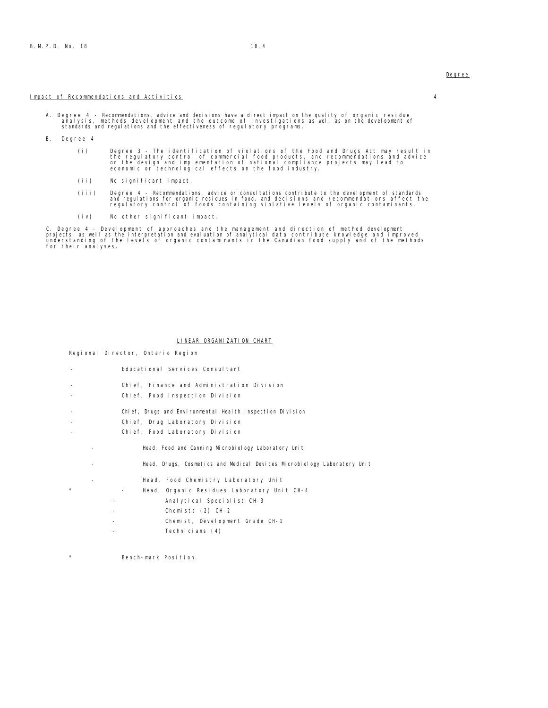### Impact of Recommendations and Activities 4

A. Degree 4 - Recommendations, advice and decisions have a direct impact on the quality of organic residue analysis, methods development and the outcome of investigations as well as on the development of standards and regulations and the effectiveness of regulatory programs.

B. Degree 4

- (i) Degree 3 The identification of violations of the Food and Drugs Act may result in<br>the regulatory control of commercial food products, and recommendations and advice<br>on the design and implementation of national compli
- (ii) No significant impact.
- (iii) Degree 4 Recommendations, advice or consultations contribute to the development of standards)<br>and regulations for organic residues in food, and decisions and recommendations affect the<br>regulatory control of foods c
- (iv) No other significant impact.

C. Degree 4 - Development of approaches and the management and direction of method development<br>projects, as well as the interpretation and evaluation of analytical data contribute knowledge and improved<br>understanding of th

### LINEAR ORGANIZATION CHART

Regional Director, Ontario Region

- Educational Services Consultant
- Chief, Finance and Administration Division
- Chief, Food Inspection Division
- Chief, Drugs and Environmental Health Inspection Division
- Chief, Drug Laboratory Division
- Chief, Food Laboratory Division
	- Head, Food and Canning Microbiology Laboratory Unit
	- Head, Drugs, Cosmetics and Medical Devices Microbiology Laboratory Unit
		- Head, Food Chemistry Laboratory Unit
- \* Head, Organic Residues Laboratory Unit CH-4
	- Analytical Specialist CH-3
	- Chemists (2) CH-2
	- Chemist, Development Grade CH-1
	- Technicians (4)
- \* Bench-mark Position.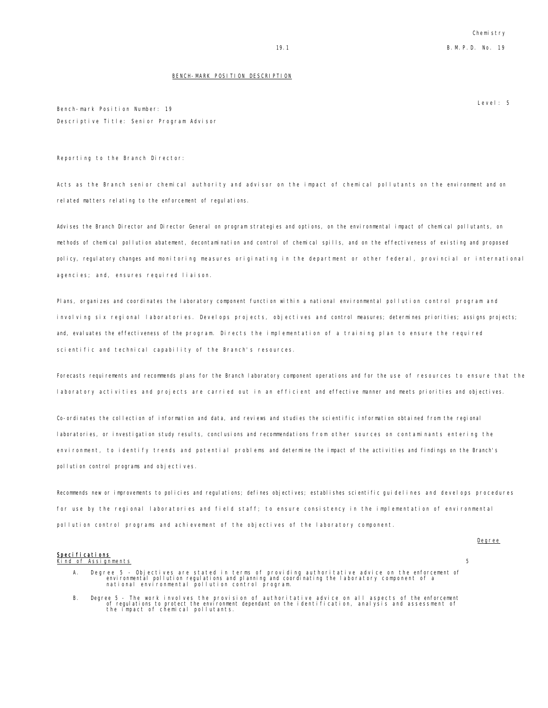### BENCH-MARK POSITION DESCRIPTION

Level: 5

Degree

Bench-mark Position Number: 19 Descriptive Title: Senior Program Advisor

Reporting to the Branch Director:

Acts as the Branch senior chemical authority and advisor on the impact of chemical pollutants on the environment and on related matters relating to the enforcement of regulations.

Advises the Branch Director and Director General on program strategies and options, on the environmental impact of chemical pollutants, on methods of chemical pollution abatement, decontamination and control of chemical spills, and on the effectiveness of existing and proposed policy, regulatory changes and monitoring measures originating in the department or other federal, provincial or international agencies; and, ensures required liaison.

Plans, organizes and coordinates the laboratory component function within a national environmental pollution control program and involving six regional laboratories. Develops projects, objectives and control measures; determines priorities; assigns projects; and, evaluates the effectiveness of the program. Directs the implementation of a training plan to ensure the required scientific and technical capability of the Branch's resources.

Forecasts requirements and recommends plans for the Branch laboratory component operations and for the use of resources to ensure that the laboratory activities and projects are carried out in an efficient and effective manner and meets priorities and objectives.

Co-ordinates the collection of information and data, and reviews and studies the scientific information obtained from the regional laboratories, or investigation study results, conclusions and recommendations from other sources on contaminants entering the environment, to identify trends and potential problems and determine the impact of the activities and findings on the Branch's pollution control programs and objectives.

Recommends new or improvements to policies and regulations; defines objectives; establishes scientific guidelines and develops procedures for use by the regional laboratories and field staff; to ensure consistency in the implementation of environmental pollution control programs and achievement of the objectives of the laboratory component.

# Specifications<br>Kind of Assignments

Kind of Assignments 5

- A. Degree 5 Objectives are stated in terms of providing authoritative advice on the enforcement of<br>environmental pollution regulations and planning and coordinating the laboratory component of a<br>national environmental po
- B. Degree 5 The work involves the provision of authoritative advice on all aspects of the enforcement<br>of regulations to protect the environment dependant on the identification, analysis and assessment of<br>the impact of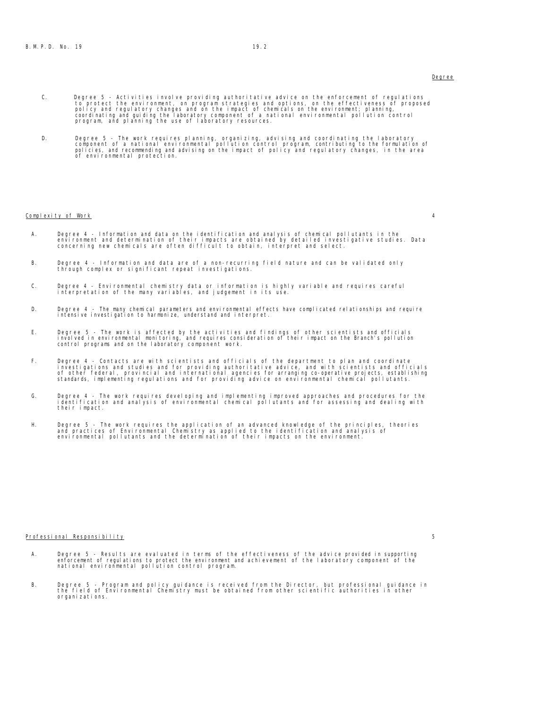- C. Degree 5 Activities involve providing authoritative advice on the enforcement of regulations<br>to protect the environment, on program strategies and options, on the effectiveness of proposed<br>policy and regulatory change
- D. Degree 5 The work requires planning, organizing, advising and coordinating the laboratory<br>component of a national environmental pollution control program, contributing to the formulation of<br>policies, and recommending

### Complexity of Work 4

- A. Degree 4 Information and data on the identification and analysis of chemical pollutants in the environment and determination of their impacts are obtained by detailed investigative studies. Data<br>concerning new chemicals are often difficult to obtain, interpret and select.
- B. Degree 4 Information and data are of a non-recurring field nature and can be validated only through complex or significant repeat investigations.
- C. Degree 4 Environmental chemistry data or information is highly variable and requires careful interpretation of the many variables, and judgement in its use.
- D. Degree 4 The many chemical parameters and environmental effects have complicated relationships and require intensive investigation to harmonize, understand and interpret.
- E. Degree 5 The work is affected by the activities and findings of other scientists and officials<br>involved in environmental monitoring, and requires consideration of their impact on the Branch's pollution<br>control program
- F. Degree 4 Contacts are with scientists and officials of the department to plan and coordinate<br>investigations and studies and for providing authoritative advice, and with scientists and officials<br>of other federal, provi
- G. Degree 4 The work requires developing and implementing improved approaches and procedures for the identification and analysis of environmental chemical pollutants and for assessing and dealing with their impact.
- H. Degree 5 The work requires the application of an advanced knowledge of the principles, theories<br>and practices of Environmental Chemistry as applied to the identification and analysis of<br>environmental pollutants and

### Professional Responsibility 5

- A. Degree 5 Results are evaluated in terms of the effectiveness of the advice provided in supporting<br>enforcement of regulations to protect the environment and achievement of the laboratory component of the<br>national en
- B. Degree 5 Program and policy guidance is received from the Director, but professional guidance in the field of Environmental Chemistry must be obtained from other scientific authorities in other organizations.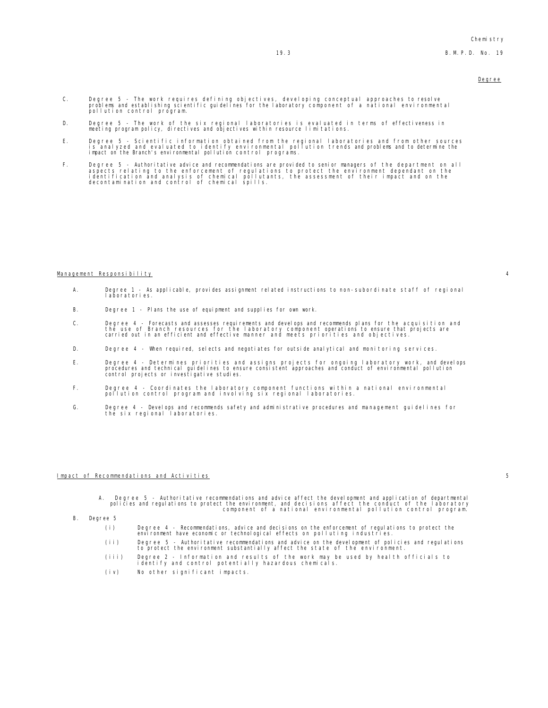- C. Degree 5 The work requires defining objectives, developing conceptual approaches to resolve<br>problems and establishing scientific guidelines for the laboratory component of a national environmental<br>pollution control
- D. Degree 5 The work of the six regional laboratories is evaluated in terms of effectiveness in meeting program policy, directives and objectives within resource limitations.
- E. Degree 5 Scientific information obtained from the regional laboratories and from other sources<br>is analyzed and evaluated to identify environmental pollution trends and problems and to determine the<br>impact on the B
- F. Degree 5 Authoritative advice and recommendations are provided to senior managers of the department on all aspects relating to the enforcement of regulations to protect the environment dependant on the<br>identification and analysis of chemical pollutants, the assessment of their impact and on the<br>decontamination and control of ch

### Management Responsibility 4

- A. Degree 1 As applicable, provides assignment related instructions to non-subordinate staff of regional laboratories.
- B. Degree 1 Plans the use of equipment and supplies for own work.
- C. Degree 4 Forecasts and assesses requirements and develops and recommends plans for the acquisition and<br>the use of Branch resources for the laboratory component operations to ensure that projects are<br>carried out in an
- D. Degree 4 When required, selects and negotiates for outside analytical and monitoring services.
- E. Degree 4 Determines priorities and assigns projects for ongoing laboratory work, and develops<br>procedures and technical guidelines to ensure consistent approaches and conduct of environmental pollution<br>control proj
- F. Degree 4 Coordinates the laboratory component functions within a national environmental pollution control program and involving six regional laboratories.
- G. Degree 4 Develops and recommends safety and administrative procedures and management guidelines for the six regional laboratories.

### Impact of Recommendations and Activities 5

- A. Degree 5 Authoritative recommendations and advice affect the development and application of departmental<br>policies and regulations to protect the environment, and decisions affect the conduct of the laboratory<br>.compone
- B. Degree 5
	- (i) Degree 4 Recommendations, advice and decisions on the enforcement of regulations to protect the environment have economic or technological effects on polluting industries.
	- (ii) Degree 5 Authoritative recommendations and advice on the development of policies and regulations to protect the environment substantially affect the state of the environment.
	- (iii) Degree 2 Information and results of the work may be used by health officials to identify and control potentially hazardous chemicals.
	- (iv) No other significant impacts.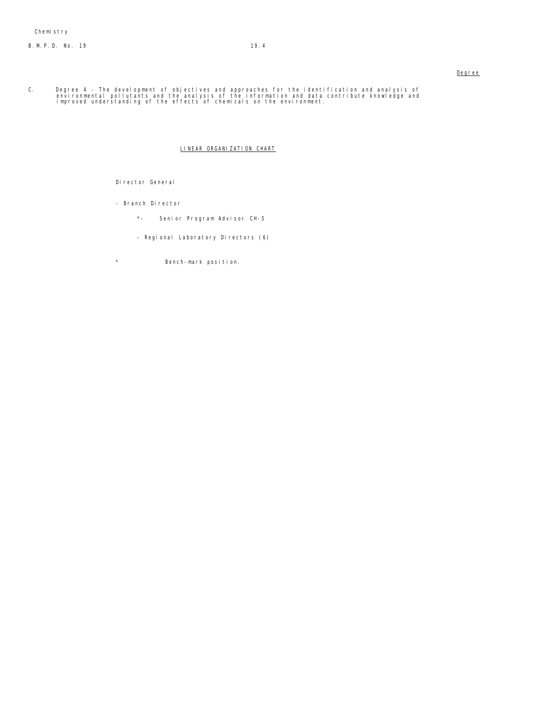# B.M.P.D. No. 19 19.4

# Degree

C. Degree 4 - The development of objectives and approaches for the identification and analysis of<br>environmental pollutants and the analysis of the information and data contribute knowledge and<br>improved understanding of

# LINEAR ORGANIZATION CHART

# Director General

- Branch Director
	- \*- Senior Program Advisor CH-5
	- Regional Laboratory Directors (6)
- \* Bench-mark position.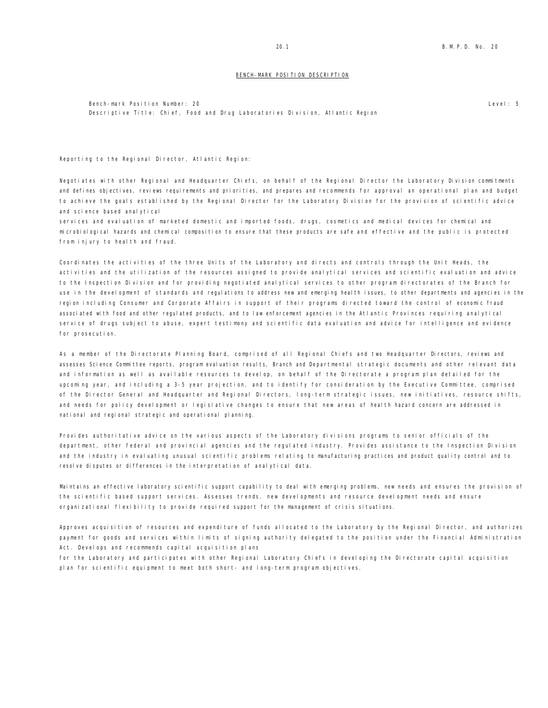# 20.1 B.M.P.D. No. 20

### BENCH-MARK POSITION DESCRIPTION

Bench-mark Position Number: 20 Descriptive Title: Chief, Food and Drug Laboratories Division, Atlantic Region Level: 5

Reporting to the Regional Director, Atlantic Region:

Negotiates with other Regional and Headquarter Chiefs, on behalf of the Regional Director the Laboratory Division commitments and defines objectives, reviews requirements and priorities, and prepares and recommends for approval an operational plan and budget to achieve the goals established by the Regional Director for the Laboratory Division for the provision of scientific advice and science based analytical

services and evaluation of marketed domestic and imported foods, drugs, cosmetics and medical devices for chemical and microbiological hazards and chemical composition to ensure that these products are safe and effective and the public is protected from injury to heal th and fraud.

Coordinates the activities of the three Units of the Laboratory and directs and controls through the Unit Heads, the activities and the utilization of the resources assigned to provide analytical services and scientific evaluation and advice to the Inspection Division and for providing negotiated analytical services to other program directorates of the Branch for use in the development of standards and regulations to address new and emerging health issues, to other departments and agencies in the region including Consumer and Corporate Affairs in support of their programs directed toward the control of economic fraud associated with food and other regulated products, and to law enforcement agencies in the Atlantic Provinces requiring analytical service of drugs subject to abuse, expert testimony and scientific data evaluation and advice for intelligence and evidence for prosecution.

As a member of the Directorate Planning Board, comprised of all Regional Chiefs and two Headquarter Directors, reviews and assesses Science Committee reports, program evaluation results, Branch and Departmental strategic documents and other relevant data and information as well as available resources to develop, on behalf of the Directorate a program plan detailed for the upcoming year, and including a 3-5 year projection, and to identify for consideration by the Executive Committee, comprised of the Director General and Headquarter and Regional Directors, long-term strategic issues, new initiatives, resource shifts, and needs for policy development or legislative changes to ensure that new areas of health hazard concern are addressed in national and regional strategic and operational planning.

Provides authoritative advice on the various aspects of the Laboratory divisions programs to senior officials of the department, other federal and provincial agencies and the regulated industry. Provides assistance to the Inspection Division and the industry in evaluating unusual scientific problems relating to manufacturing practices and product quality control and to resolve disputes or differences in the interpretation of analytical data.

Maintains an effective laboratory scientific support capability to deal with emerging problems, new needs and ensures the provision of the scientific based support services. Assesses trends, new developments and resource development needs and ensure organizational flexibility to provide required support for the management of crisis situations.

Approves acquisition of resources and expenditure of funds allocated to the Laboratory by the Regional Director, and authorizes payment for goods and services within limits of signing authority delegated to the position under the Financial Administration Act. Develops and recommends capital acquisition plans

for the Laboratory and participates with other Regional Laboratory Chiefs in developing the Directorate capital acquisition plan for scientific equipment to meet both short- and long-term program objectives.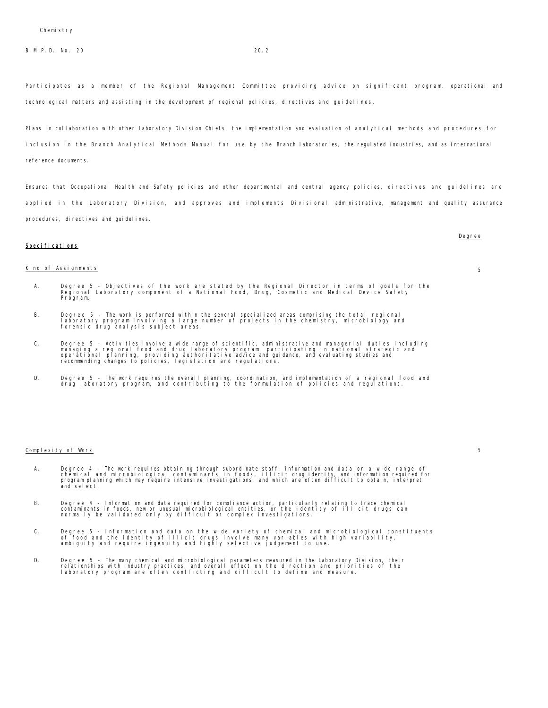B. M. P. D. No. 20 20.2

Participates as a member of the Regional Management Committee providing advice on significant program, operational and technological matters and assisting in the development of regional policies, directives and guidelines.

Plans in collaboration with other Laboratory Division Chiefs, the implementation and evaluation of analytical methods and procedures for inclusion in the Branch Analytical Methods Manual for use by the Branch laboratories, the regulated industries, and as international reference documents.

Ensures that Occupational Health and Safety policies and other departmental and central agency policies, directives and guidelines are applied in the Laboratory Division, and approves and implements Divisional administrative, management and quality assurance procedures, directives and guidelines.

# Specifications

# Kind of Assignments 5

- A. Degree 5 Objectives of the work are stated by the Regional Director in terms of goals for the Regional Laboratory component of a National Food, Drug, Cosmetic and Medical Device Safety Program.
- B. Degree 5 The work is performed within the several specialized areas comprising the total regional<br>Iaboratory program involving a large number of projects in the chemistry, microbiology and<br>forensic drug analysis s
- C. Degree 5 Activities involve a wide range of scientific, administrative and managerial duties including<br>managing a regional food and drug laboratory program, participating in national strategic and<br>operational planning
- D. Degree 5 The work requires the overall planning, coordination, and implementation of a regional food and drug laboratory program, and contributing to the formulation of policies and regulations.

### Complexity of Work 5

- A. Degree 4 The work requires obtaining through subordinate staff, information and data on a wide range of<br>chemical and microbiological contaminants in foods, illicit drugidentity, and information required for<br>program pl and select.
- B. Degree 4 Information and data required for compliance action, particularly relating to trace chemical<br>contaminants in foods, new or unusual microbiological entities, or the identity of illicit drugs can<br>normally b
- C. Degree 5 Information and data on the wide variety of chemical and microbiological constituents<br>of food and the identity of illicit drugs involve many variables with high variability,<br>ambiguity and require ingenuity
- D. Degree 5 The many chemical and microbiological parameters measured in the Laboratory Division, their<br>relationships with industry practices, and overall effect on the direction and priorities of the<br>laboratory program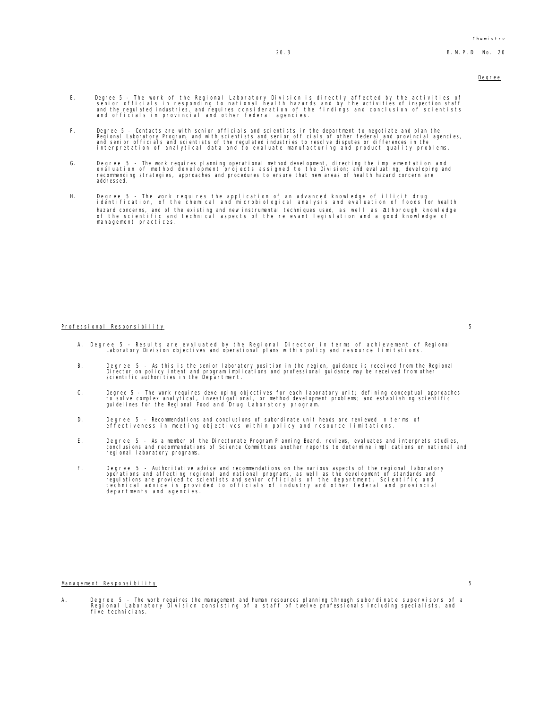- E. Degree 5 The work of the Regional Laboratory Division is directly affected by the activities of<br>senior officials in responding to national health hazards and by the activities of inspection staff<br>and the regulated ind
- F. Degree 5 Contacts are with senior officials and scientists in the department to negotiate and plan the<br>Regional Laboratory Program, and with scientists and senior officials of other federal and provincial agencies,<br>an
- G. Degree 5 The work requires planning operational method development, directing the implementation and<br>evaluation of method development projects assigned to the Division; and evaluating, developing and<br>recommending stra addressed.
- H. Degree 5 The work requires the application of an advanced knowledge of illicit drug identification, of the chemical and microbiological analysis and evaluation of foods for health hazard concerns, and of the existing and new instrumental techniques used, as well as a thorough knowledge of the scientific and technical aspects of the relevant legislation and a good knowledge of of the serentring and<br>management practices.

### Professional Responsibility 5

- A. Degree 5 Results are evaluated by the Regional Director in terms of achievement of Regional Laboratory Division objectives and operational plans within policy and resource limitations.
- B. Degree 5 As this is the seniorlaboratory position in the region, guidance is received from the Regional<br>Director on policy intent and professional mplications and professional guidance may be received from other<br>scien
- C. Degree 5 The work requires developing objectives for each laboratory unit; defining conceptual approaches<br>to solve complex analytical, investigational, or method development problems; and establishing scientific<br>guide
- D. Degree 5 Recommendations and conclusions of subordinate unit heads are reviewed in terms of effectiveness in meeting objectives within policy and resource limitations.
- E. Degree 5 As a member of the Directorate Program Planning Board, reviews, evaluates and interprets studies,<br>conclusions and recommendations of Science Committees another reports to determine implications on national an
- F. Degree 5 Authoritative advice and recommendations on the various aspects of the regional laboratory operations and affecting regional and national programs, as well as the development of standards and<br>regulations are provided to scientists and senior officials of the department. Scientific and<br>technical advice is provide

### Management Responsibility 5

A. Degree 5 - The work requires the management and human resources planning through subordinate supervisors of a Regional Laboratory Division consisting of a staff of twelve professionals including specialists, and five technicians.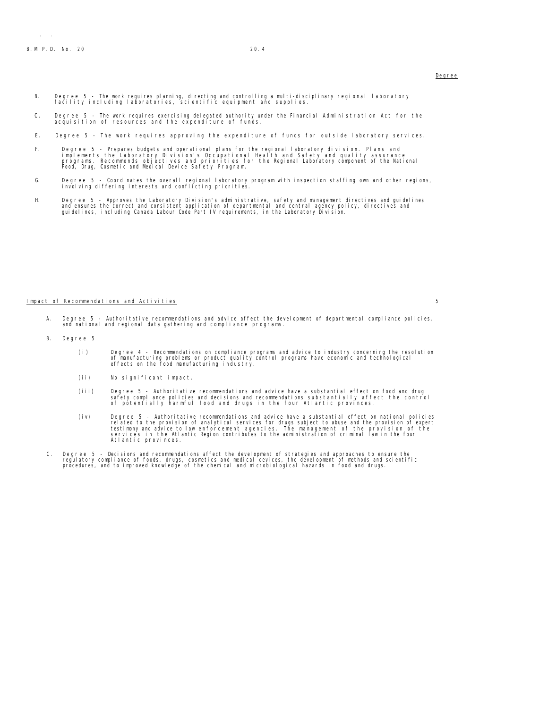- B. Degree 5 The work requires planning, directing and controlling a multi-disciplinary regional laboratory facility including laboratories, scientific equipment and supplies.
- C. Degree 5 The work requires exercising delegated authority under the Financial Administration Act for the acquisition of resources and the expenditure of funds.
- E. Degree 5 The work requires approving the expenditure of funds for outside laboratory services.
- F. Degree 5 Prepares budgets and operational plans for the regional laboratory division. Plans and<br>implements the Laboratory Division's Occupational Health and Safety and quality assurance<br>programs. Recommends objectives
- G. Degree 5 Coordinates the overall regional laboratory program with inspection staffing own and other regions, involving differing interests and conflicting priorities.
- H. Degree 5 Approves the Laboratory Division's administrative, safety and management directives and guidelines<br>and ensures the correct and consistent application of departmental and central agency policy, directives and<br>

### Impact of Recommendations and Activities 5

- Degree 5 Authoritative recommendations and advice affect the development of departmental compliance policies, and national and regional data gathering and compliance programs.
- B. Degree 5
	- (i) Degree 4 Recommendations on compliance programs and advice to industry concerning the resolution of manufacturing problems or product quality control programs have economic and technological effects on the food manuf
	- (ii) No significant impact.
	- iii) Degree 5 Authoritative recommendations and advice have a substantial effect on food and drug)<br>safety compliance policies and decisions and recommendations substantially affect the control<br>of potentially harmful food
	- (iv) Degree 5 Authoritative recommendations and advice have a substantial effect on national policies<br>related to the provision of analytical services for drugs subject to abuse and the provision of expert<br>testimony and a
- C. Degree 5 Decisions and recommendations affect the development of strategies and approaches to ensure the regulatory compliance of foods, drugs, cosmetics and medical devices, the development of methods and scientific procedures, and to improved knowledge of the chemical and microbiological hazards in food and drugs.